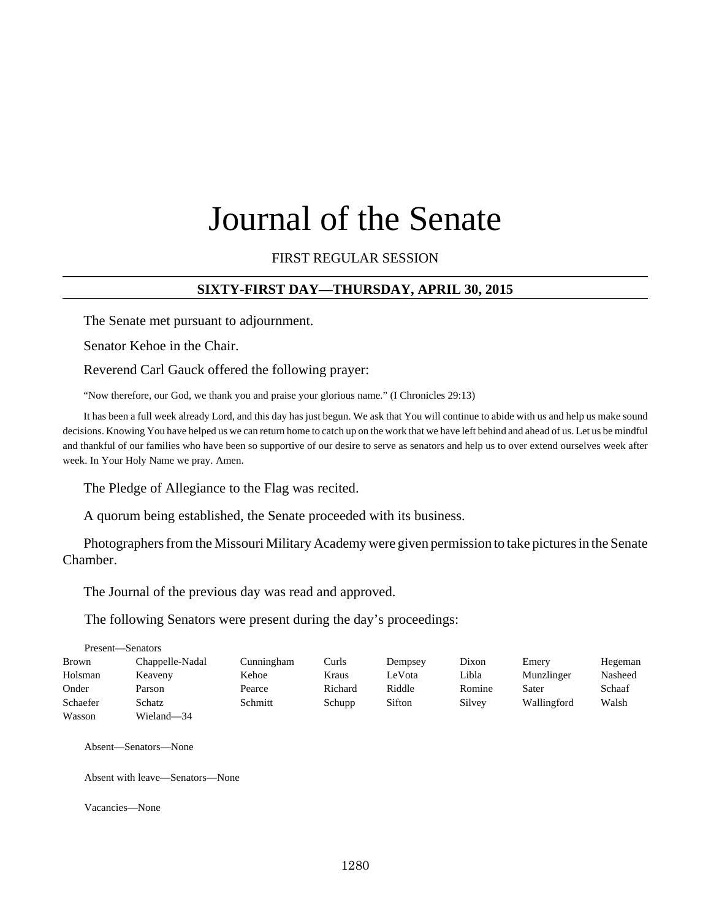# Journal of the Senate

FIRST REGULAR SESSION

# **SIXTY-FIRST DAY—THURSDAY, APRIL 30, 2015**

The Senate met pursuant to adjournment.

Senator Kehoe in the Chair.

Reverend Carl Gauck offered the following prayer:

"Now therefore, our God, we thank you and praise your glorious name." (I Chronicles 29:13)

It has been a full week already Lord, and this day has just begun. We ask that You will continue to abide with us and help us make sound decisions. Knowing You have helped us we can return home to catch up on the work that we have left behind and ahead of us. Let us be mindful and thankful of our families who have been so supportive of our desire to serve as senators and help us to over extend ourselves week after week. In Your Holy Name we pray. Amen.

The Pledge of Allegiance to the Flag was recited.

A quorum being established, the Senate proceeded with its business.

Photographers from the Missouri Military Academy were given permission to take pictures in the Senate Chamber.

The Journal of the previous day was read and approved.

The following Senators were present during the day's proceedings:

|          | Present—Senators |            |         |         |        |             |         |
|----------|------------------|------------|---------|---------|--------|-------------|---------|
| Brown    | Chappelle-Nadal  | Cunningham | Curls   | Dempsey | Dixon  | Emery       | Hegeman |
| Holsman  | Keaveny          | Kehoe      | Kraus   | LeVota  | Libla  | Munzlinger  | Nasheed |
| Onder    | Parson           | Pearce     | Richard | Riddle  | Romine | Sater       | Schaaf  |
| Schaefer | Schatz           | Schmitt    | Schupp  | Sifton  | Silvey | Wallingford | Walsh   |
| Wasson   | Wieland-34       |            |         |         |        |             |         |

Absent—Senators—None

Absent with leave—Senators—None

Vacancies—None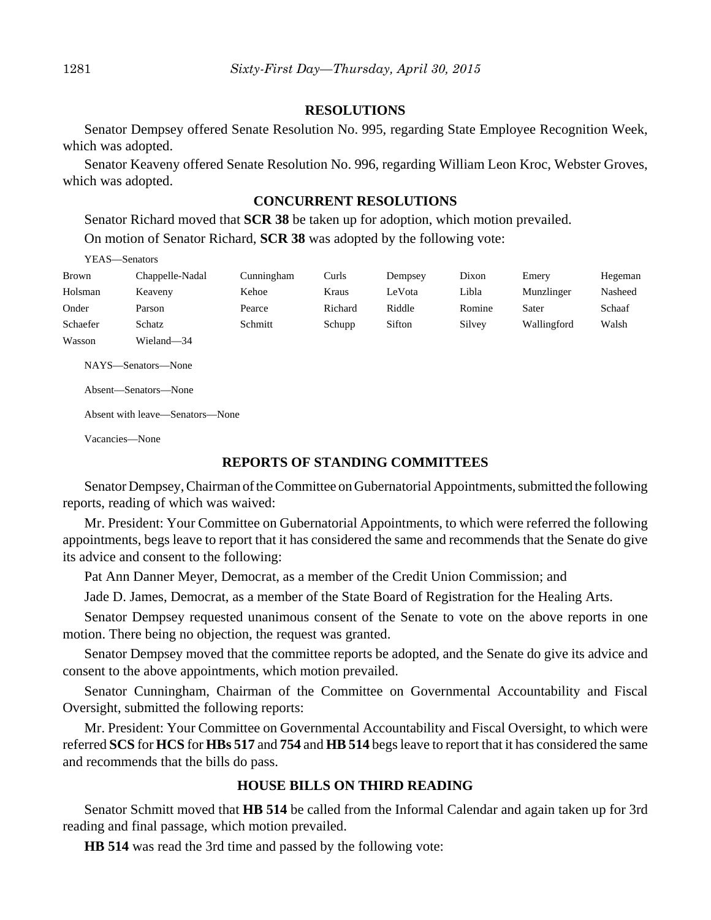#### **RESOLUTIONS**

Senator Dempsey offered Senate Resolution No. 995, regarding State Employee Recognition Week, which was adopted.

Senator Keaveny offered Senate Resolution No. 996, regarding William Leon Kroc, Webster Groves, which was adopted.

#### **CONCURRENT RESOLUTIONS**

Senator Richard moved that **SCR 38** be taken up for adoption, which motion prevailed. On motion of Senator Richard, **SCR 38** was adopted by the following vote:

#### YEAS—Senators

| Brown    | Chappelle-Nadal | Cunningham | Curls   | Dempsey | Dixon  | Emery       | Hegeman |
|----------|-----------------|------------|---------|---------|--------|-------------|---------|
| Holsman  | Keaveny         | Kehoe      | Kraus   | LeVota  | Libla  | Munzlinger  | Nasheed |
| Onder    | Parson          | Pearce     | Richard | Riddle  | Romine | Sater       | Schaaf  |
| Schaefer | Schatz          | Schmitt    | Schupp  | Sifton  | Silvey | Wallingford | Walsh   |
| Wasson   | Wieland—34      |            |         |         |        |             |         |

NAYS—Senators—None

Absent—Senators—None

Absent with leave—Senators—None

Vacancies—None

#### **REPORTS OF STANDING COMMITTEES**

Senator Dempsey, Chairman of the Committee on Gubernatorial Appointments, submitted the following reports, reading of which was waived:

Mr. President: Your Committee on Gubernatorial Appointments, to which were referred the following appointments, begs leave to report that it has considered the same and recommends that the Senate do give its advice and consent to the following:

Pat Ann Danner Meyer, Democrat, as a member of the Credit Union Commission; and

Jade D. James, Democrat, as a member of the State Board of Registration for the Healing Arts.

Senator Dempsey requested unanimous consent of the Senate to vote on the above reports in one motion. There being no objection, the request was granted.

Senator Dempsey moved that the committee reports be adopted, and the Senate do give its advice and consent to the above appointments, which motion prevailed.

Senator Cunningham, Chairman of the Committee on Governmental Accountability and Fiscal Oversight, submitted the following reports:

Mr. President: Your Committee on Governmental Accountability and Fiscal Oversight, to which were referred **SCS** for **HCS** for **HBs 517** and **754** and **HB 514** begs leave to report that it has considered the same and recommends that the bills do pass.

#### **HOUSE BILLS ON THIRD READING**

Senator Schmitt moved that **HB 514** be called from the Informal Calendar and again taken up for 3rd reading and final passage, which motion prevailed.

**HB 514** was read the 3rd time and passed by the following vote: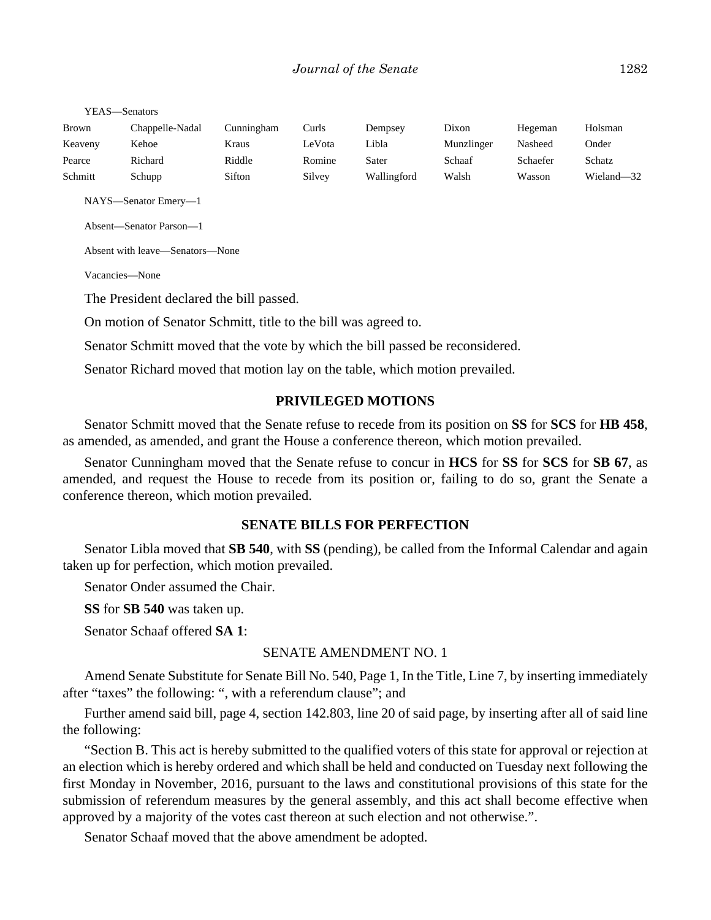| Brown   | Chappelle-Nadal | <b>Cunningham</b> | Curls  | Dempsey     | Dixon      | Hegeman  | Holsman    |
|---------|-----------------|-------------------|--------|-------------|------------|----------|------------|
| Keaveny | Kehoe           | Kraus             | LeVota | Libla       | Munzlinger | Nasheed  | Onder      |
| Pearce  | Richard         | Riddle            | Romine | Sater       | Schaaf     | Schaefer | Schatz     |
| Schmitt | Schupp          | Sifton            | Silvey | Wallingford | Walsh      | Wasson   | Wieland-32 |

NAYS—Senator Emery—1

Absent—Senator Parson—1

Absent with leave—Senators—None

Vacancies—None

The President declared the bill passed.

On motion of Senator Schmitt, title to the bill was agreed to.

Senator Schmitt moved that the vote by which the bill passed be reconsidered.

Senator Richard moved that motion lay on the table, which motion prevailed.

#### **PRIVILEGED MOTIONS**

Senator Schmitt moved that the Senate refuse to recede from its position on **SS** for **SCS** for **HB 458**, as amended, as amended, and grant the House a conference thereon, which motion prevailed.

Senator Cunningham moved that the Senate refuse to concur in **HCS** for **SS** for **SCS** for **SB 67**, as amended, and request the House to recede from its position or, failing to do so, grant the Senate a conference thereon, which motion prevailed.

#### **SENATE BILLS FOR PERFECTION**

Senator Libla moved that **SB 540**, with **SS** (pending), be called from the Informal Calendar and again taken up for perfection, which motion prevailed.

Senator Onder assumed the Chair.

**SS** for **SB 540** was taken up.

Senator Schaaf offered **SA 1**:

#### SENATE AMENDMENT NO. 1

Amend Senate Substitute for Senate Bill No. 540, Page 1, In the Title, Line 7, by inserting immediately after "taxes" the following: ", with a referendum clause"; and

Further amend said bill, page 4, section 142.803, line 20 of said page, by inserting after all of said line the following:

"Section B. This act is hereby submitted to the qualified voters of this state for approval or rejection at an election which is hereby ordered and which shall be held and conducted on Tuesday next following the first Monday in November, 2016, pursuant to the laws and constitutional provisions of this state for the submission of referendum measures by the general assembly, and this act shall become effective when approved by a majority of the votes cast thereon at such election and not otherwise.".

Senator Schaaf moved that the above amendment be adopted.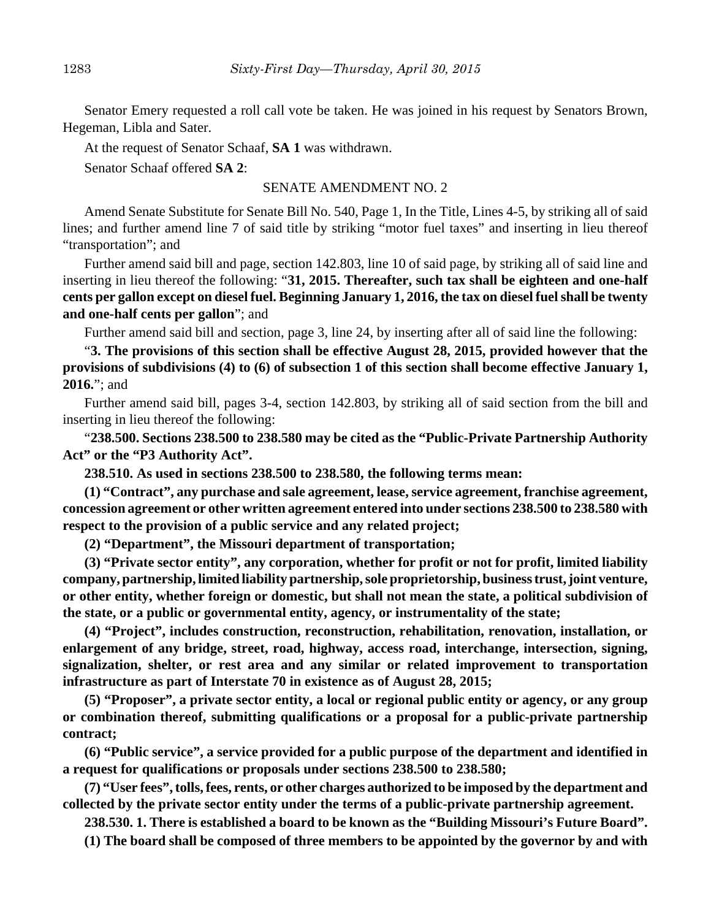Senator Emery requested a roll call vote be taken. He was joined in his request by Senators Brown, Hegeman, Libla and Sater.

At the request of Senator Schaaf, **SA 1** was withdrawn.

Senator Schaaf offered **SA 2**:

#### SENATE AMENDMENT NO. 2

Amend Senate Substitute for Senate Bill No. 540, Page 1, In the Title, Lines 4-5, by striking all of said lines; and further amend line 7 of said title by striking "motor fuel taxes" and inserting in lieu thereof "transportation"; and

Further amend said bill and page, section 142.803, line 10 of said page, by striking all of said line and inserting in lieu thereof the following: "**31, 2015. Thereafter, such tax shall be eighteen and one-half cents per gallon except on diesel fuel. Beginning January 1, 2016, the tax on diesel fuel shall be twenty and one-half cents per gallon**"; and

Further amend said bill and section, page 3, line 24, by inserting after all of said line the following:

"**3. The provisions of this section shall be effective August 28, 2015, provided however that the provisions of subdivisions (4) to (6) of subsection 1 of this section shall become effective January 1, 2016.**"; and

Further amend said bill, pages 3-4, section 142.803, by striking all of said section from the bill and inserting in lieu thereof the following:

"**238.500. Sections 238.500 to 238.580 may be cited as the "Public-Private Partnership Authority Act" or the "P3 Authority Act".**

**238.510. As used in sections 238.500 to 238.580, the following terms mean:**

**(1) "Contract", any purchase and sale agreement, lease, service agreement, franchise agreement, concession agreement or other written agreement entered into under sections 238.500 to 238.580 with respect to the provision of a public service and any related project;**

**(2) "Department", the Missouri department of transportation;**

**(3) "Private sector entity", any corporation, whether for profit or not for profit, limited liability company, partnership, limited liability partnership, sole proprietorship, business trust, joint venture, or other entity, whether foreign or domestic, but shall not mean the state, a political subdivision of the state, or a public or governmental entity, agency, or instrumentality of the state;**

**(4) "Project", includes construction, reconstruction, rehabilitation, renovation, installation, or enlargement of any bridge, street, road, highway, access road, interchange, intersection, signing, signalization, shelter, or rest area and any similar or related improvement to transportation infrastructure as part of Interstate 70 in existence as of August 28, 2015;**

**(5) "Proposer", a private sector entity, a local or regional public entity or agency, or any group or combination thereof, submitting qualifications or a proposal for a public-private partnership contract;**

**(6) "Public service", a service provided for a public purpose of the department and identified in a request for qualifications or proposals under sections 238.500 to 238.580;**

**(7) "User fees", tolls, fees, rents, or other charges authorized to be imposed by the department and collected by the private sector entity under the terms of a public-private partnership agreement.**

**238.530. 1. There is established a board to be known as the "Building Missouri's Future Board".**

**(1) The board shall be composed of three members to be appointed by the governor by and with**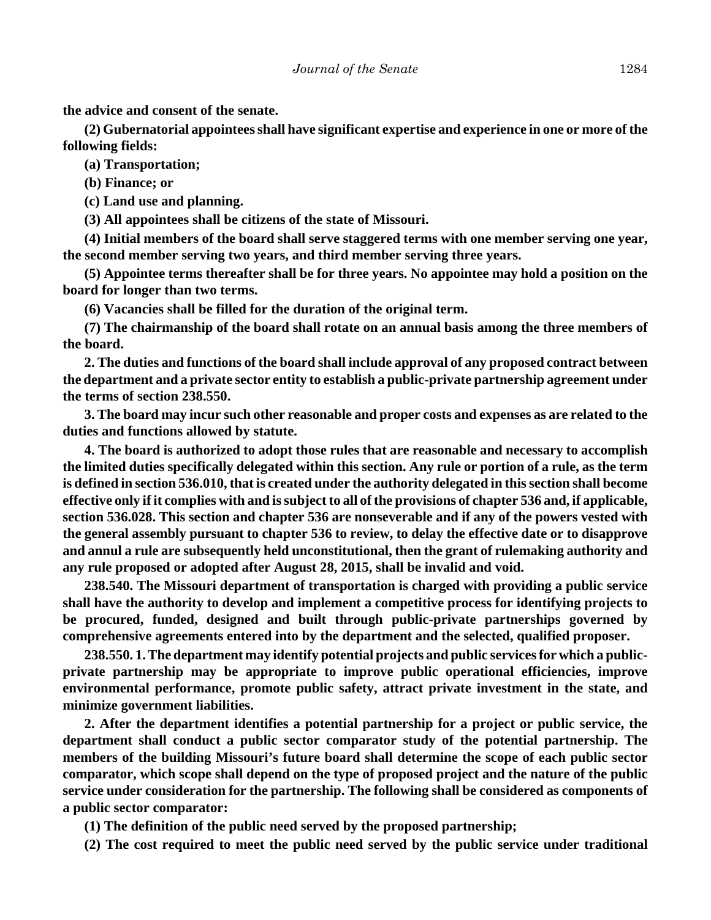**the advice and consent of the senate.**

**(2) Gubernatorial appointees shall have significant expertise and experience in one or more of the following fields:**

**(a) Transportation;**

**(b) Finance; or**

**(c) Land use and planning.**

**(3) All appointees shall be citizens of the state of Missouri.**

**(4) Initial members of the board shall serve staggered terms with one member serving one year, the second member serving two years, and third member serving three years.**

**(5) Appointee terms thereafter shall be for three years. No appointee may hold a position on the board for longer than two terms.**

**(6) Vacancies shall be filled for the duration of the original term.**

**(7) The chairmanship of the board shall rotate on an annual basis among the three members of the board.**

**2. The duties and functions of the board shall include approval of any proposed contract between the department and a private sector entity to establish a public-private partnership agreement under the terms of section 238.550.**

**3. The board may incur such other reasonable and proper costs and expenses as are related to the duties and functions allowed by statute.**

**4. The board is authorized to adopt those rules that are reasonable and necessary to accomplish the limited duties specifically delegated within this section. Any rule or portion of a rule, as the term is defined in section 536.010, that is created under the authority delegated in this section shall become effective only if it complies with and is subject to all of the provisions of chapter 536 and, if applicable, section 536.028. This section and chapter 536 are nonseverable and if any of the powers vested with the general assembly pursuant to chapter 536 to review, to delay the effective date or to disapprove and annul a rule are subsequently held unconstitutional, then the grant of rulemaking authority and any rule proposed or adopted after August 28, 2015, shall be invalid and void.**

**238.540. The Missouri department of transportation is charged with providing a public service shall have the authority to develop and implement a competitive process for identifying projects to be procured, funded, designed and built through public-private partnerships governed by comprehensive agreements entered into by the department and the selected, qualified proposer.**

**238.550. 1. The department may identify potential projects and public services for which a publicprivate partnership may be appropriate to improve public operational efficiencies, improve environmental performance, promote public safety, attract private investment in the state, and minimize government liabilities.**

**2. After the department identifies a potential partnership for a project or public service, the department shall conduct a public sector comparator study of the potential partnership. The members of the building Missouri's future board shall determine the scope of each public sector comparator, which scope shall depend on the type of proposed project and the nature of the public service under consideration for the partnership. The following shall be considered as components of a public sector comparator:**

**(1) The definition of the public need served by the proposed partnership;**

**(2) The cost required to meet the public need served by the public service under traditional**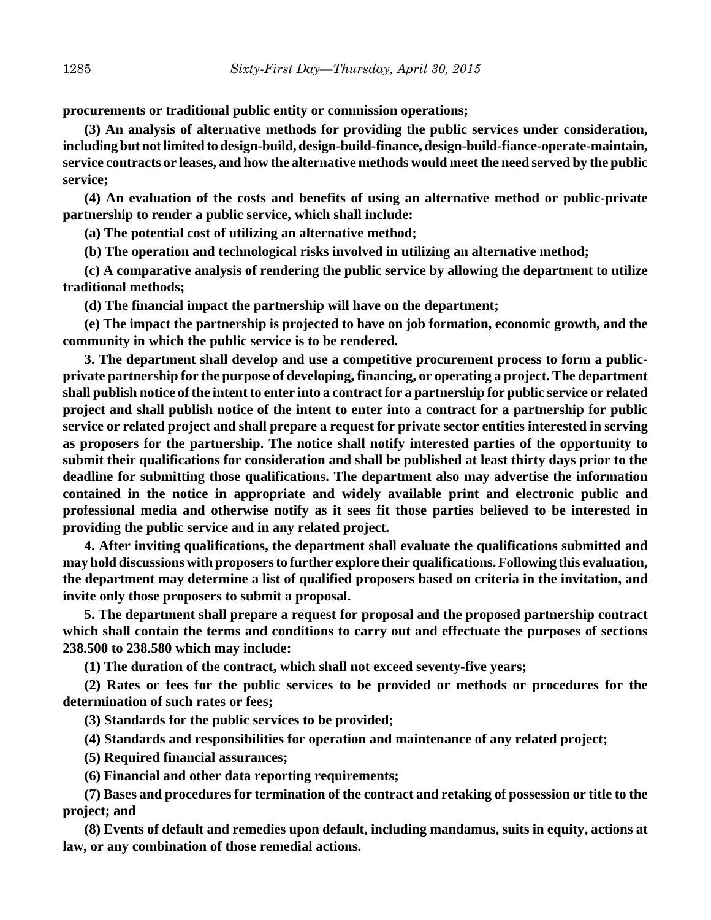**procurements or traditional public entity or commission operations;** 

**(3) An analysis of alternative methods for providing the public services under consideration, including but not limited to design-build, design-build-finance, design-build-fiance-operate-maintain, service contracts or leases, and how the alternative methods would meet the need served by the public service;**

**(4) An evaluation of the costs and benefits of using an alternative method or public-private partnership to render a public service, which shall include:**

**(a) The potential cost of utilizing an alternative method;**

**(b) The operation and technological risks involved in utilizing an alternative method;**

**(c) A comparative analysis of rendering the public service by allowing the department to utilize traditional methods;**

**(d) The financial impact the partnership will have on the department;**

**(e) The impact the partnership is projected to have on job formation, economic growth, and the community in which the public service is to be rendered.**

**3. The department shall develop and use a competitive procurement process to form a publicprivate partnership for the purpose of developing, financing, or operating a project. The department shall publish notice of the intent to enter into a contract for a partnership for public service or related project and shall publish notice of the intent to enter into a contract for a partnership for public service or related project and shall prepare a request for private sector entities interested in serving as proposers for the partnership. The notice shall notify interested parties of the opportunity to submit their qualifications for consideration and shall be published at least thirty days prior to the deadline for submitting those qualifications. The department also may advertise the information contained in the notice in appropriate and widely available print and electronic public and professional media and otherwise notify as it sees fit those parties believed to be interested in providing the public service and in any related project.**

**4. After inviting qualifications, the department shall evaluate the qualifications submitted and may hold discussions with proposers to further explore their qualifications. Following this evaluation, the department may determine a list of qualified proposers based on criteria in the invitation, and invite only those proposers to submit a proposal.**

**5. The department shall prepare a request for proposal and the proposed partnership contract which shall contain the terms and conditions to carry out and effectuate the purposes of sections 238.500 to 238.580 which may include:**

**(1) The duration of the contract, which shall not exceed seventy-five years;**

**(2) Rates or fees for the public services to be provided or methods or procedures for the determination of such rates or fees;**

**(3) Standards for the public services to be provided;**

**(4) Standards and responsibilities for operation and maintenance of any related project;**

**(5) Required financial assurances;**

**(6) Financial and other data reporting requirements;**

**(7) Bases and procedures for termination of the contract and retaking of possession or title to the project; and**

**(8) Events of default and remedies upon default, including mandamus, suits in equity, actions at law, or any combination of those remedial actions.**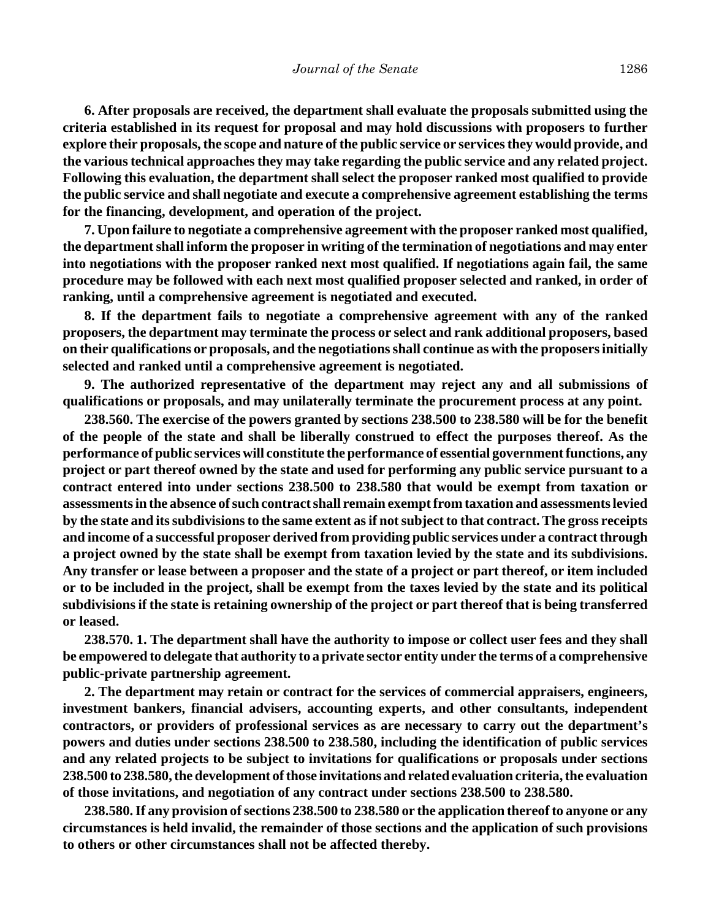**6. After proposals are received, the department shall evaluate the proposals submitted using the criteria established in its request for proposal and may hold discussions with proposers to further explore their proposals, the scope and nature of the public service or services they would provide, and the various technical approaches they may take regarding the public service and any related project. Following this evaluation, the department shall select the proposer ranked most qualified to provide the public service and shall negotiate and execute a comprehensive agreement establishing the terms for the financing, development, and operation of the project.**

**7. Upon failure to negotiate a comprehensive agreement with the proposer ranked most qualified, the department shall inform the proposer in writing of the termination of negotiations and may enter into negotiations with the proposer ranked next most qualified. If negotiations again fail, the same procedure may be followed with each next most qualified proposer selected and ranked, in order of ranking, until a comprehensive agreement is negotiated and executed.**

**8. If the department fails to negotiate a comprehensive agreement with any of the ranked proposers, the department may terminate the process or select and rank additional proposers, based on their qualifications or proposals, and the negotiations shall continue as with the proposers initially selected and ranked until a comprehensive agreement is negotiated.**

**9. The authorized representative of the department may reject any and all submissions of qualifications or proposals, and may unilaterally terminate the procurement process at any point.**

**238.560. The exercise of the powers granted by sections 238.500 to 238.580 will be for the benefit of the people of the state and shall be liberally construed to effect the purposes thereof. As the performance of public services will constitute the performance of essential government functions, any project or part thereof owned by the state and used for performing any public service pursuant to a contract entered into under sections 238.500 to 238.580 that would be exempt from taxation or assessments in the absence of such contract shall remain exempt from taxation and assessments levied by the state and its subdivisions to the same extent as if not subject to that contract. The gross receipts and income of a successful proposer derived from providing public services under a contract through a project owned by the state shall be exempt from taxation levied by the state and its subdivisions. Any transfer or lease between a proposer and the state of a project or part thereof, or item included or to be included in the project, shall be exempt from the taxes levied by the state and its political subdivisions if the state is retaining ownership of the project or part thereof that is being transferred or leased.**

**238.570. 1. The department shall have the authority to impose or collect user fees and they shall be empowered to delegate that authority to a private sector entity under the terms of a comprehensive public-private partnership agreement.**

**2. The department may retain or contract for the services of commercial appraisers, engineers, investment bankers, financial advisers, accounting experts, and other consultants, independent contractors, or providers of professional services as are necessary to carry out the department's powers and duties under sections 238.500 to 238.580, including the identification of public services and any related projects to be subject to invitations for qualifications or proposals under sections 238.500 to 238.580, the development of those invitations and related evaluation criteria, the evaluation of those invitations, and negotiation of any contract under sections 238.500 to 238.580.**

**238.580. If any provision of sections 238.500 to 238.580 or the application thereof to anyone or any circumstances is held invalid, the remainder of those sections and the application of such provisions to others or other circumstances shall not be affected thereby.**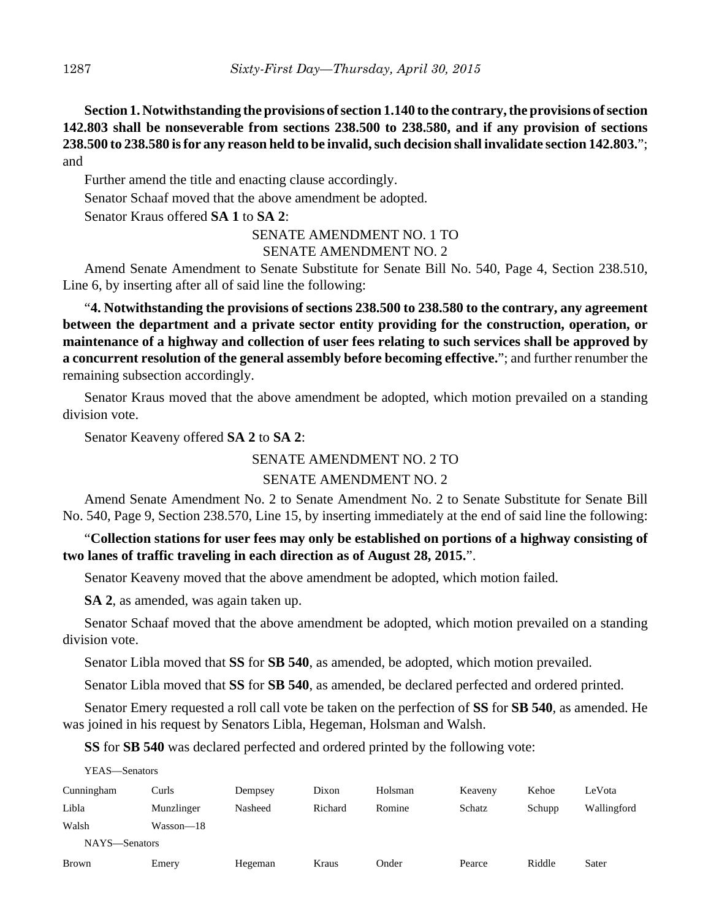**Section 1. Notwithstanding the provisions of section 1.140 to the contrary, the provisions of section 142.803 shall be nonseverable from sections 238.500 to 238.580, and if any provision of sections 238.500 to 238.580 is for any reason held to be invalid, such decision shall invalidate section 142.803.**"; and

Further amend the title and enacting clause accordingly.

Senator Schaaf moved that the above amendment be adopted.

Senator Kraus offered **SA 1** to **SA 2**:

#### SENATE AMENDMENT NO. 1 TO

#### SENATE AMENDMENT NO. 2

Amend Senate Amendment to Senate Substitute for Senate Bill No. 540, Page 4, Section 238.510, Line 6, by inserting after all of said line the following:

"**4. Notwithstanding the provisions of sections 238.500 to 238.580 to the contrary, any agreement between the department and a private sector entity providing for the construction, operation, or maintenance of a highway and collection of user fees relating to such services shall be approved by a concurrent resolution of the general assembly before becoming effective.**"; and further renumber the remaining subsection accordingly.

Senator Kraus moved that the above amendment be adopted, which motion prevailed on a standing division vote.

Senator Keaveny offered **SA 2** to **SA 2**:

SENATE AMENDMENT NO. 2 TO

## SENATE AMENDMENT NO. 2

Amend Senate Amendment No. 2 to Senate Amendment No. 2 to Senate Substitute for Senate Bill No. 540, Page 9, Section 238.570, Line 15, by inserting immediately at the end of said line the following:

## "**Collection stations for user fees may only be established on portions of a highway consisting of two lanes of traffic traveling in each direction as of August 28, 2015.**".

Senator Keaveny moved that the above amendment be adopted, which motion failed.

**SA 2**, as amended, was again taken up.

Senator Schaaf moved that the above amendment be adopted, which motion prevailed on a standing division vote.

Senator Libla moved that **SS** for **SB 540**, as amended, be adopted, which motion prevailed.

Senator Libla moved that **SS** for **SB 540**, as amended, be declared perfected and ordered printed.

Senator Emery requested a roll call vote be taken on the perfection of **SS** for **SB 540**, as amended. He was joined in his request by Senators Libla, Hegeman, Holsman and Walsh.

**SS** for **SB 540** was declared perfected and ordered printed by the following vote:

YEAS—Senators

| Cunningham    | Curls      | Dempsey | Dixon   | Holsman | Keaveny | Kehoe  | LeVota      |
|---------------|------------|---------|---------|---------|---------|--------|-------------|
| Libla         | Munzlinger | Nasheed | Richard | Romine  | Schatz  | Schupp | Wallingford |
| Walsh         | Wasson—18  |         |         |         |         |        |             |
| NAYS-Senators |            |         |         |         |         |        |             |
| <b>Brown</b>  | Emery      | Hegeman | Kraus   | Onder   | Pearce  | Riddle | Sater       |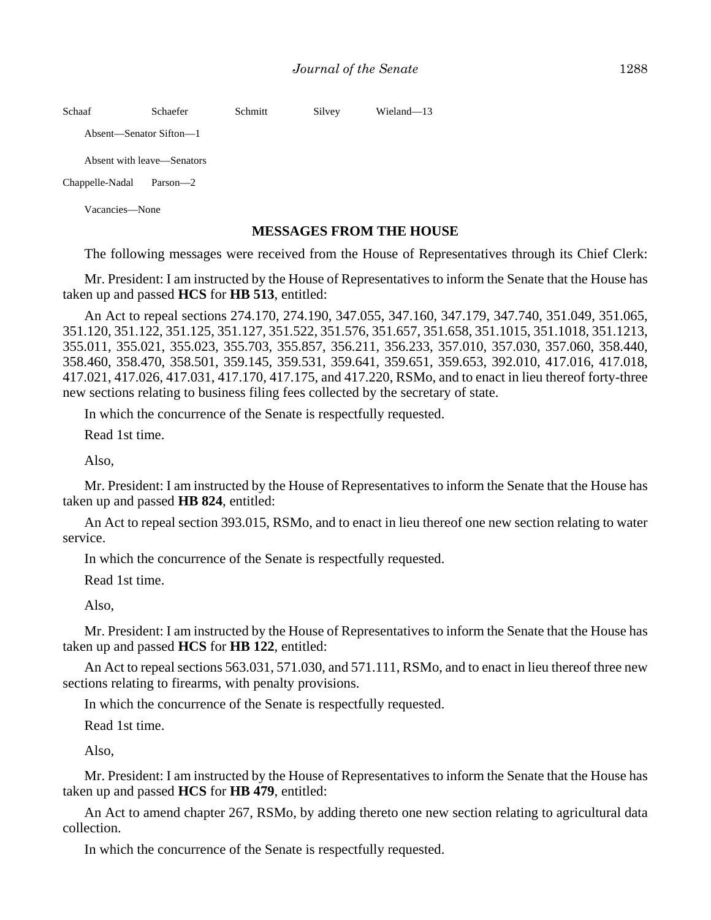| Schaaf          | Schaefer                   | Schmitt | Silvey | Wieland-13 |  |
|-----------------|----------------------------|---------|--------|------------|--|
|                 | Absent—Senator Sifton—1    |         |        |            |  |
|                 | Absent with leave—Senators |         |        |            |  |
| Chappelle-Nadal | Parson—2                   |         |        |            |  |
| Vacancies—None  |                            |         |        |            |  |

#### **MESSAGES FROM THE HOUSE**

The following messages were received from the House of Representatives through its Chief Clerk:

Mr. President: I am instructed by the House of Representatives to inform the Senate that the House has taken up and passed **HCS** for **HB 513**, entitled:

An Act to repeal sections 274.170, 274.190, 347.055, 347.160, 347.179, 347.740, 351.049, 351.065, 351.120, 351.122, 351.125, 351.127, 351.522, 351.576, 351.657, 351.658, 351.1015, 351.1018, 351.1213, 355.011, 355.021, 355.023, 355.703, 355.857, 356.211, 356.233, 357.010, 357.030, 357.060, 358.440, 358.460, 358.470, 358.501, 359.145, 359.531, 359.641, 359.651, 359.653, 392.010, 417.016, 417.018, 417.021, 417.026, 417.031, 417.170, 417.175, and 417.220, RSMo, and to enact in lieu thereof forty-three new sections relating to business filing fees collected by the secretary of state.

In which the concurrence of the Senate is respectfully requested.

Read 1st time.

Also,

Mr. President: I am instructed by the House of Representatives to inform the Senate that the House has taken up and passed **HB 824**, entitled:

An Act to repeal section 393.015, RSMo, and to enact in lieu thereof one new section relating to water service.

In which the concurrence of the Senate is respectfully requested.

Read 1st time.

Also,

Mr. President: I am instructed by the House of Representatives to inform the Senate that the House has taken up and passed **HCS** for **HB 122**, entitled:

An Act to repeal sections 563.031, 571.030, and 571.111, RSMo, and to enact in lieu thereof three new sections relating to firearms, with penalty provisions.

In which the concurrence of the Senate is respectfully requested.

Read 1st time.

Also,

Mr. President: I am instructed by the House of Representatives to inform the Senate that the House has taken up and passed **HCS** for **HB 479**, entitled:

An Act to amend chapter 267, RSMo, by adding thereto one new section relating to agricultural data collection.

In which the concurrence of the Senate is respectfully requested.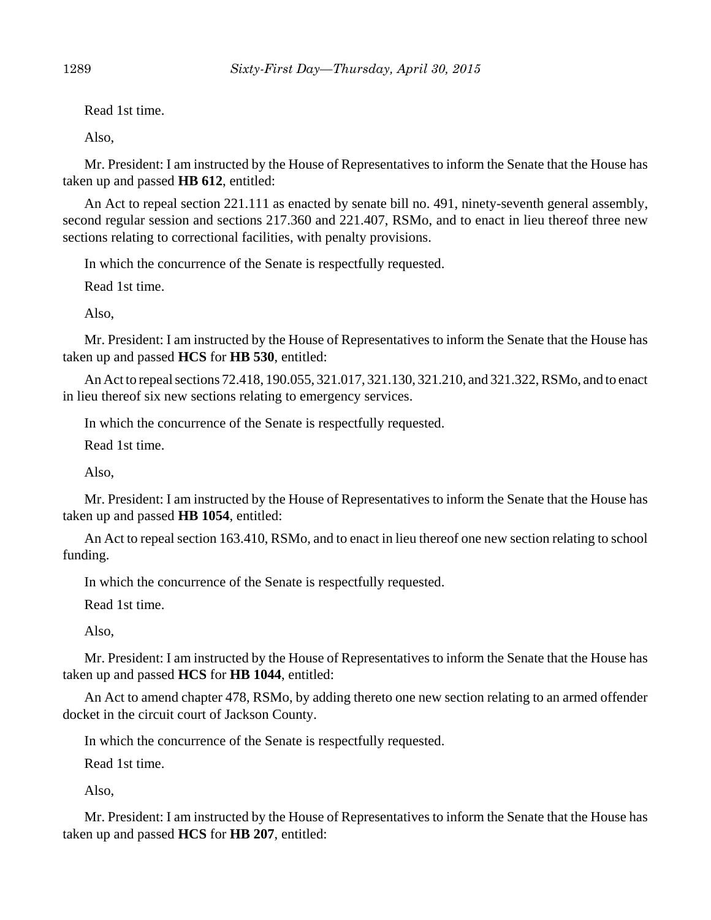Read 1st time.

Also,

Mr. President: I am instructed by the House of Representatives to inform the Senate that the House has taken up and passed **HB 612**, entitled:

An Act to repeal section 221.111 as enacted by senate bill no. 491, ninety-seventh general assembly, second regular session and sections 217.360 and 221.407, RSMo, and to enact in lieu thereof three new sections relating to correctional facilities, with penalty provisions.

In which the concurrence of the Senate is respectfully requested.

Read 1st time.

Also,

Mr. President: I am instructed by the House of Representatives to inform the Senate that the House has taken up and passed **HCS** for **HB 530**, entitled:

An Act to repeal sections 72.418, 190.055, 321.017, 321.130, 321.210, and 321.322, RSMo, and to enact in lieu thereof six new sections relating to emergency services.

In which the concurrence of the Senate is respectfully requested.

Read 1st time.

Also,

Mr. President: I am instructed by the House of Representatives to inform the Senate that the House has taken up and passed **HB 1054**, entitled:

An Act to repeal section 163.410, RSMo, and to enact in lieu thereof one new section relating to school funding.

In which the concurrence of the Senate is respectfully requested.

Read 1st time.

Also,

Mr. President: I am instructed by the House of Representatives to inform the Senate that the House has taken up and passed **HCS** for **HB 1044**, entitled:

An Act to amend chapter 478, RSMo, by adding thereto one new section relating to an armed offender docket in the circuit court of Jackson County.

In which the concurrence of the Senate is respectfully requested.

Read 1st time.

Also,

Mr. President: I am instructed by the House of Representatives to inform the Senate that the House has taken up and passed **HCS** for **HB 207**, entitled: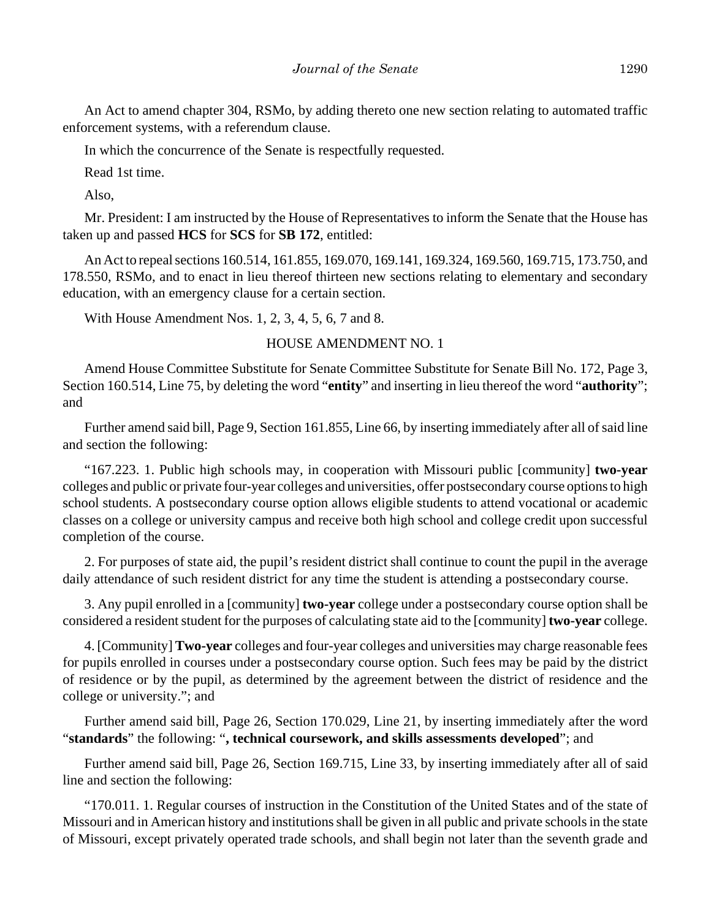An Act to amend chapter 304, RSMo, by adding thereto one new section relating to automated traffic enforcement systems, with a referendum clause.

In which the concurrence of the Senate is respectfully requested.

Read 1st time.

Also,

Mr. President: I am instructed by the House of Representatives to inform the Senate that the House has taken up and passed **HCS** for **SCS** for **SB 172**, entitled:

An Act to repeal sections 160.514, 161.855, 169.070, 169.141, 169.324, 169.560, 169.715, 173.750, and 178.550, RSMo, and to enact in lieu thereof thirteen new sections relating to elementary and secondary education, with an emergency clause for a certain section.

With House Amendment Nos. 1, 2, 3, 4, 5, 6, 7 and 8.

## HOUSE AMENDMENT NO. 1

Amend House Committee Substitute for Senate Committee Substitute for Senate Bill No. 172, Page 3, Section 160.514, Line 75, by deleting the word "**entity**" and inserting in lieu thereof the word "**authority**"; and

Further amend said bill, Page 9, Section 161.855, Line 66, by inserting immediately after all of said line and section the following:

"167.223. 1. Public high schools may, in cooperation with Missouri public [community] **two-year** colleges and public or private four-year colleges and universities, offer postsecondary course options to high school students. A postsecondary course option allows eligible students to attend vocational or academic classes on a college or university campus and receive both high school and college credit upon successful completion of the course.

2. For purposes of state aid, the pupil's resident district shall continue to count the pupil in the average daily attendance of such resident district for any time the student is attending a postsecondary course.

3. Any pupil enrolled in a [community] **two-year** college under a postsecondary course option shall be considered a resident student for the purposes of calculating state aid to the [community] **two-year** college.

4. [Community] **Two-year** colleges and four-year colleges and universities may charge reasonable fees for pupils enrolled in courses under a postsecondary course option. Such fees may be paid by the district of residence or by the pupil, as determined by the agreement between the district of residence and the college or university."; and

Further amend said bill, Page 26, Section 170.029, Line 21, by inserting immediately after the word "**standards**" the following: "**, technical coursework, and skills assessments developed**"; and

Further amend said bill, Page 26, Section 169.715, Line 33, by inserting immediately after all of said line and section the following:

"170.011. 1. Regular courses of instruction in the Constitution of the United States and of the state of Missouri and in American history and institutions shall be given in all public and private schools in the state of Missouri, except privately operated trade schools, and shall begin not later than the seventh grade and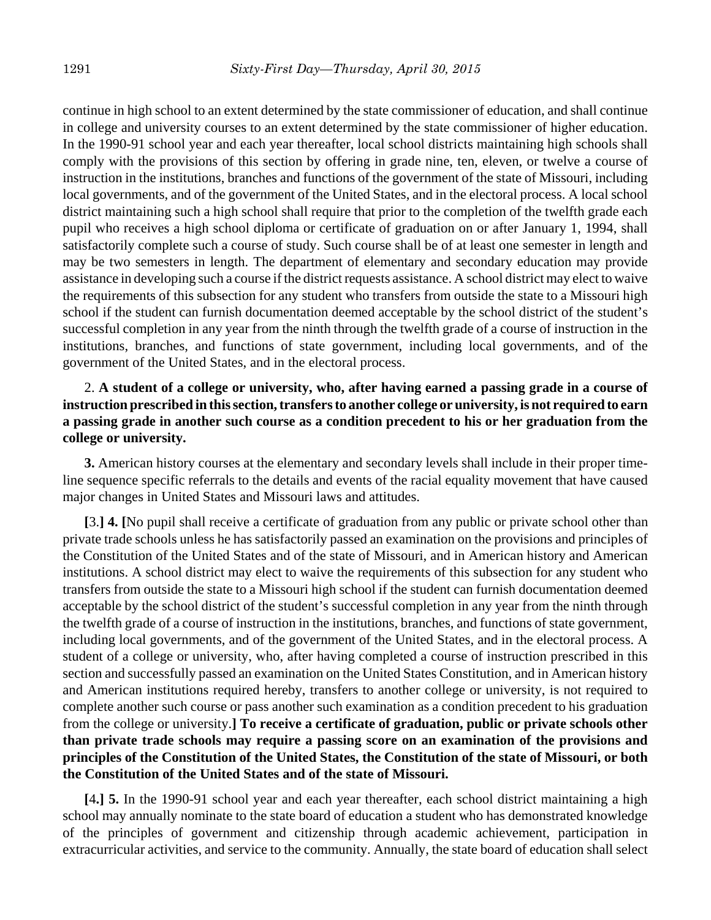continue in high school to an extent determined by the state commissioner of education, and shall continue in college and university courses to an extent determined by the state commissioner of higher education. In the 1990-91 school year and each year thereafter, local school districts maintaining high schools shall comply with the provisions of this section by offering in grade nine, ten, eleven, or twelve a course of instruction in the institutions, branches and functions of the government of the state of Missouri, including local governments, and of the government of the United States, and in the electoral process. A local school district maintaining such a high school shall require that prior to the completion of the twelfth grade each pupil who receives a high school diploma or certificate of graduation on or after January 1, 1994, shall satisfactorily complete such a course of study. Such course shall be of at least one semester in length and may be two semesters in length. The department of elementary and secondary education may provide assistance in developing such a course if the district requests assistance. A school district may elect to waive the requirements of this subsection for any student who transfers from outside the state to a Missouri high school if the student can furnish documentation deemed acceptable by the school district of the student's successful completion in any year from the ninth through the twelfth grade of a course of instruction in the institutions, branches, and functions of state government, including local governments, and of the government of the United States, and in the electoral process.

# 2. **A student of a college or university, who, after having earned a passing grade in a course of instruction prescribed in this section, transfers to another college or university, is not required to earn a passing grade in another such course as a condition precedent to his or her graduation from the college or university.**

**3.** American history courses at the elementary and secondary levels shall include in their proper timeline sequence specific referrals to the details and events of the racial equality movement that have caused major changes in United States and Missouri laws and attitudes.

**[**3.**] 4. [**No pupil shall receive a certificate of graduation from any public or private school other than private trade schools unless he has satisfactorily passed an examination on the provisions and principles of the Constitution of the United States and of the state of Missouri, and in American history and American institutions. A school district may elect to waive the requirements of this subsection for any student who transfers from outside the state to a Missouri high school if the student can furnish documentation deemed acceptable by the school district of the student's successful completion in any year from the ninth through the twelfth grade of a course of instruction in the institutions, branches, and functions of state government, including local governments, and of the government of the United States, and in the electoral process. A student of a college or university, who, after having completed a course of instruction prescribed in this section and successfully passed an examination on the United States Constitution, and in American history and American institutions required hereby, transfers to another college or university, is not required to complete another such course or pass another such examination as a condition precedent to his graduation from the college or university.**] To receive a certificate of graduation, public or private schools other than private trade schools may require a passing score on an examination of the provisions and principles of the Constitution of the United States, the Constitution of the state of Missouri, or both the Constitution of the United States and of the state of Missouri.**

**[**4**.] 5.** In the 1990-91 school year and each year thereafter, each school district maintaining a high school may annually nominate to the state board of education a student who has demonstrated knowledge of the principles of government and citizenship through academic achievement, participation in extracurricular activities, and service to the community. Annually, the state board of education shall select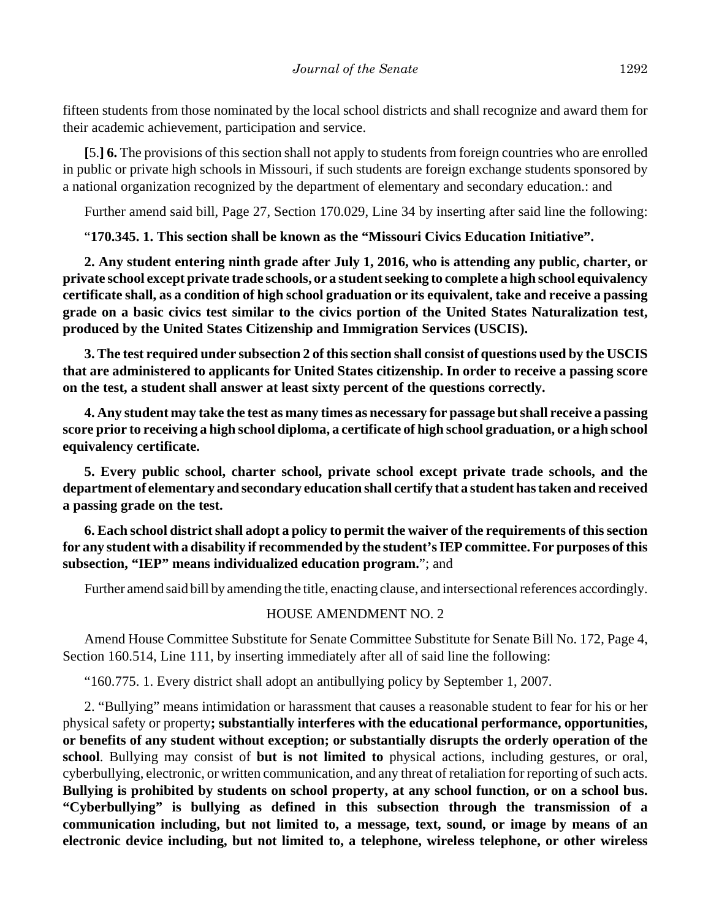fifteen students from those nominated by the local school districts and shall recognize and award them for their academic achievement, participation and service.

**[**5.**] 6.** The provisions of this section shall not apply to students from foreign countries who are enrolled in public or private high schools in Missouri, if such students are foreign exchange students sponsored by a national organization recognized by the department of elementary and secondary education.: and

Further amend said bill, Page 27, Section 170.029, Line 34 by inserting after said line the following:

"**170.345. 1. This section shall be known as the "Missouri Civics Education Initiative".**

**2. Any student entering ninth grade after July 1, 2016, who is attending any public, charter, or private school except private trade schools, or a student seeking to complete a high school equivalency certificate shall, as a condition of high school graduation or its equivalent, take and receive a passing grade on a basic civics test similar to the civics portion of the United States Naturalization test, produced by the United States Citizenship and Immigration Services (USCIS).**

**3. The test required under subsection 2 of this section shall consist of questions used by the USCIS that are administered to applicants for United States citizenship. In order to receive a passing score on the test, a student shall answer at least sixty percent of the questions correctly.**

**4. Any student may take the test as many times as necessary for passage but shall receive a passing score prior to receiving a high school diploma, a certificate of high school graduation, or a high school equivalency certificate.**

**5. Every public school, charter school, private school except private trade schools, and the department of elementary and secondary education shall certify that a student has taken and received a passing grade on the test.**

**6. Each school district shall adopt a policy to permit the waiver of the requirements of this section for any student with a disability if recommended by the student's IEP committee. For purposes of this subsection, "IEP" means individualized education program.**"; and

Further amend said bill by amending the title, enacting clause, and intersectional references accordingly.

#### HOUSE AMENDMENT NO. 2

Amend House Committee Substitute for Senate Committee Substitute for Senate Bill No. 172, Page 4, Section 160.514, Line 111, by inserting immediately after all of said line the following:

"160.775. 1. Every district shall adopt an antibullying policy by September 1, 2007.

2. "Bullying" means intimidation or harassment that causes a reasonable student to fear for his or her physical safety or property**; substantially interferes with the educational performance, opportunities, or benefits of any student without exception; or substantially disrupts the orderly operation of the school**. Bullying may consist of **but is not limited to** physical actions, including gestures, or oral, cyberbullying, electronic, or written communication, and any threat of retaliation for reporting of such acts. **Bullying is prohibited by students on school property, at any school function, or on a school bus. "Cyberbullying" is bullying as defined in this subsection through the transmission of a communication including, but not limited to, a message, text, sound, or image by means of an electronic device including, but not limited to, a telephone, wireless telephone, or other wireless**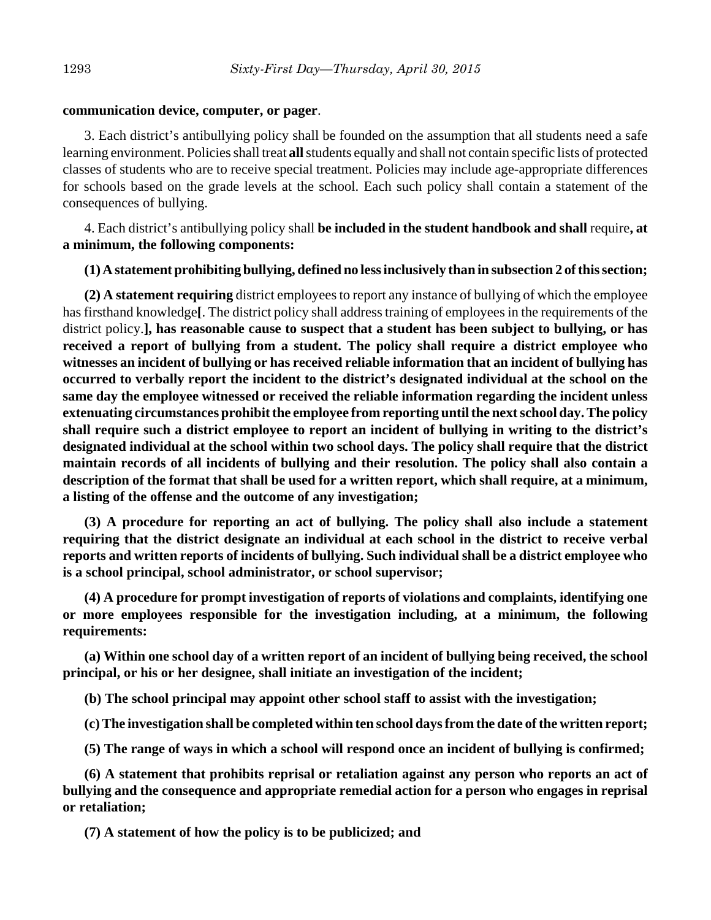### **communication device, computer, or pager**.

3. Each district's antibullying policy shall be founded on the assumption that all students need a safe learning environment. Policies shall treat **all** students equally and shall not contain specific lists of protected classes of students who are to receive special treatment. Policies may include age-appropriate differences for schools based on the grade levels at the school. Each such policy shall contain a statement of the consequences of bullying.

4. Each district's antibullying policy shall **be included in the student handbook and shall** require**, at a minimum, the following components:**

## **(1) A statement prohibiting bullying, defined no less inclusively than in subsection 2 of this section;**

**(2) A statement requiring** district employees to report any instance of bullying of which the employee has firsthand knowledge**[**. The district policy shall address training of employees in the requirements of the district policy.**], has reasonable cause to suspect that a student has been subject to bullying, or has received a report of bullying from a student. The policy shall require a district employee who witnesses an incident of bullying or has received reliable information that an incident of bullying has occurred to verbally report the incident to the district's designated individual at the school on the same day the employee witnessed or received the reliable information regarding the incident unless extenuating circumstances prohibit the employee from reporting until the next school day. The policy shall require such a district employee to report an incident of bullying in writing to the district's designated individual at the school within two school days. The policy shall require that the district maintain records of all incidents of bullying and their resolution. The policy shall also contain a description of the format that shall be used for a written report, which shall require, at a minimum, a listing of the offense and the outcome of any investigation;**

**(3) A procedure for reporting an act of bullying. The policy shall also include a statement requiring that the district designate an individual at each school in the district to receive verbal reports and written reports of incidents of bullying. Such individual shall be a district employee who is a school principal, school administrator, or school supervisor;**

**(4) A procedure for prompt investigation of reports of violations and complaints, identifying one or more employees responsible for the investigation including, at a minimum, the following requirements:**

**(a) Within one school day of a written report of an incident of bullying being received, the school principal, or his or her designee, shall initiate an investigation of the incident;**

**(b) The school principal may appoint other school staff to assist with the investigation;**

**(c) The investigation shall be completed within ten school days from the date of the written report;**

**(5) The range of ways in which a school will respond once an incident of bullying is confirmed;**

**(6) A statement that prohibits reprisal or retaliation against any person who reports an act of bullying and the consequence and appropriate remedial action for a person who engages in reprisal or retaliation;**

**(7) A statement of how the policy is to be publicized; and**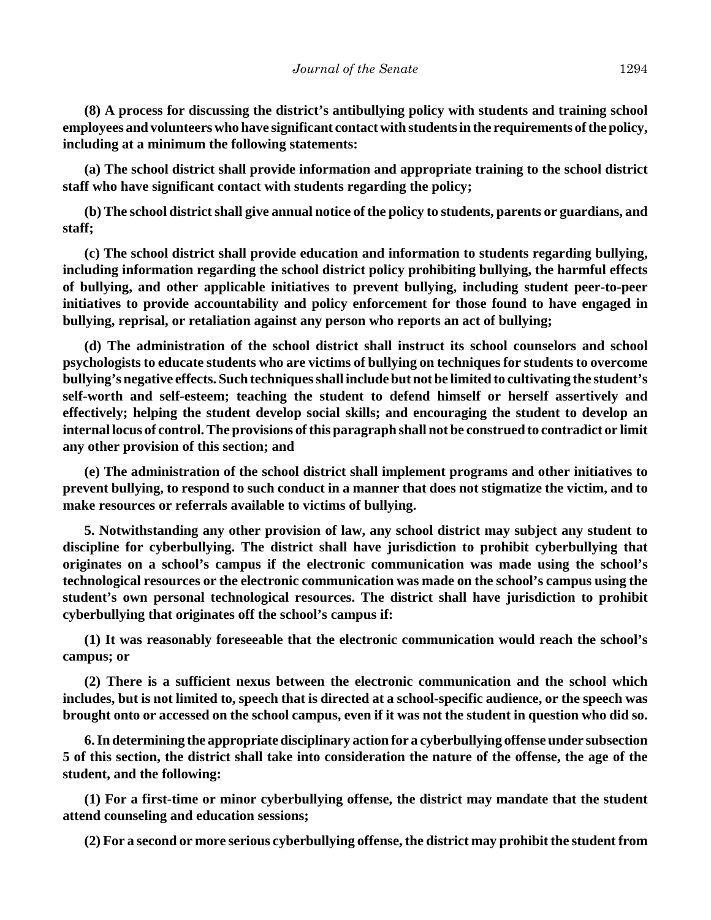**(8) A process for discussing the district's antibullying policy with students and training school employees and volunteers who have significant contact with students in the requirements of the policy, including at a minimum the following statements:**

**(a) The school district shall provide information and appropriate training to the school district staff who have significant contact with students regarding the policy;**

**(b) The school district shall give annual notice of the policy to students, parents or guardians, and staff;**

**(c) The school district shall provide education and information to students regarding bullying, including information regarding the school district policy prohibiting bullying, the harmful effects of bullying, and other applicable initiatives to prevent bullying, including student peer-to-peer initiatives to provide accountability and policy enforcement for those found to have engaged in bullying, reprisal, or retaliation against any person who reports an act of bullying;**

**(d) The administration of the school district shall instruct its school counselors and school psychologists to educate students who are victims of bullying on techniques for students to overcome bullying's negative effects. Such techniques shall include but not be limited to cultivating the student's self-worth and self-esteem; teaching the student to defend himself or herself assertively and effectively; helping the student develop social skills; and encouraging the student to develop an internal locus of control. The provisions of this paragraph shall not be construed to contradict or limit any other provision of this section; and**

**(e) The administration of the school district shall implement programs and other initiatives to prevent bullying, to respond to such conduct in a manner that does not stigmatize the victim, and to make resources or referrals available to victims of bullying.**

**5. Notwithstanding any other provision of law, any school district may subject any student to discipline for cyberbullying. The district shall have jurisdiction to prohibit cyberbullying that originates on a school's campus if the electronic communication was made using the school's technological resources or the electronic communication was made on the school's campus using the student's own personal technological resources. The district shall have jurisdiction to prohibit cyberbullying that originates off the school's campus if:**

**(1) It was reasonably foreseeable that the electronic communication would reach the school's campus; or**

**(2) There is a sufficient nexus between the electronic communication and the school which includes, but is not limited to, speech that is directed at a school-specific audience, or the speech was brought onto or accessed on the school campus, even if it was not the student in question who did so.**

**6. In determining the appropriate disciplinary action for a cyberbullying offense under subsection 5 of this section, the district shall take into consideration the nature of the offense, the age of the student, and the following:**

**(1) For a first-time or minor cyberbullying offense, the district may mandate that the student attend counseling and education sessions;**

**(2) For a second or more serious cyberbullying offense, the district may prohibit the student from**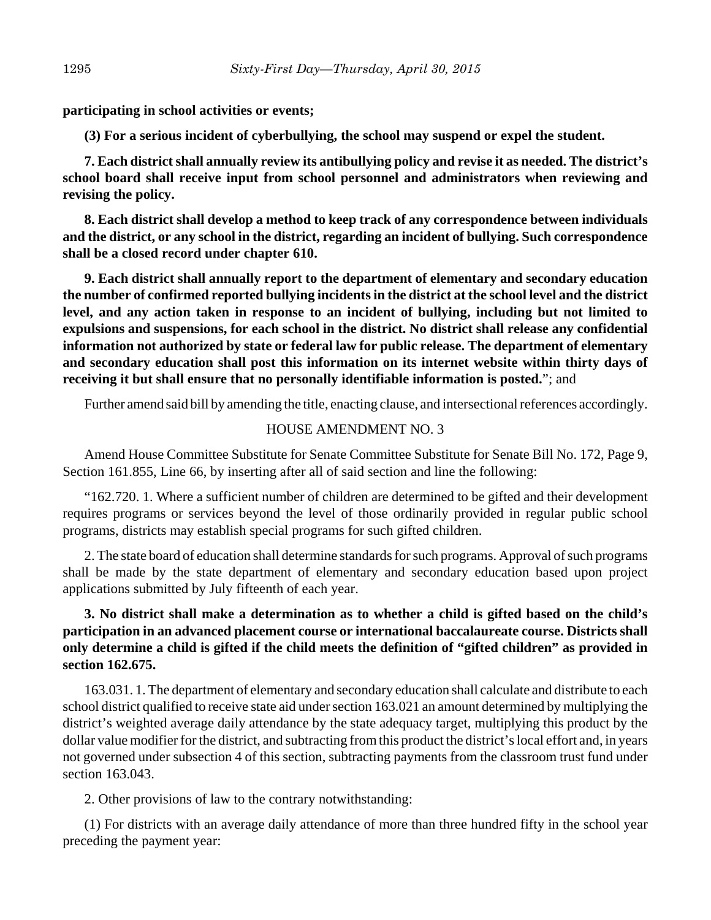**participating in school activities or events;**

**(3) For a serious incident of cyberbullying, the school may suspend or expel the student.**

**7. Each district shall annually review its antibullying policy and revise it as needed. The district's school board shall receive input from school personnel and administrators when reviewing and revising the policy.**

**8. Each district shall develop a method to keep track of any correspondence between individuals and the district, or any school in the district, regarding an incident of bullying. Such correspondence shall be a closed record under chapter 610.**

**9. Each district shall annually report to the department of elementary and secondary education the number of confirmed reported bullying incidents in the district at the school level and the district level, and any action taken in response to an incident of bullying, including but not limited to expulsions and suspensions, for each school in the district. No district shall release any confidential information not authorized by state or federal law for public release. The department of elementary and secondary education shall post this information on its internet website within thirty days of receiving it but shall ensure that no personally identifiable information is posted.**"; and

Further amend said bill by amending the title, enacting clause, and intersectional references accordingly.

### HOUSE AMENDMENT NO. 3

Amend House Committee Substitute for Senate Committee Substitute for Senate Bill No. 172, Page 9, Section 161.855, Line 66, by inserting after all of said section and line the following:

"162.720. 1. Where a sufficient number of children are determined to be gifted and their development requires programs or services beyond the level of those ordinarily provided in regular public school programs, districts may establish special programs for such gifted children.

2. The state board of education shall determine standards for such programs. Approval of such programs shall be made by the state department of elementary and secondary education based upon project applications submitted by July fifteenth of each year.

# **3. No district shall make a determination as to whether a child is gifted based on the child's participation in an advanced placement course or international baccalaureate course. Districts shall only determine a child is gifted if the child meets the definition of "gifted children" as provided in section 162.675.**

163.031. 1. The department of elementary and secondary education shall calculate and distribute to each school district qualified to receive state aid under section 163.021 an amount determined by multiplying the district's weighted average daily attendance by the state adequacy target, multiplying this product by the dollar value modifier for the district, and subtracting from this product the district's local effort and, in years not governed under subsection 4 of this section, subtracting payments from the classroom trust fund under section 163.043.

2. Other provisions of law to the contrary notwithstanding:

(1) For districts with an average daily attendance of more than three hundred fifty in the school year preceding the payment year: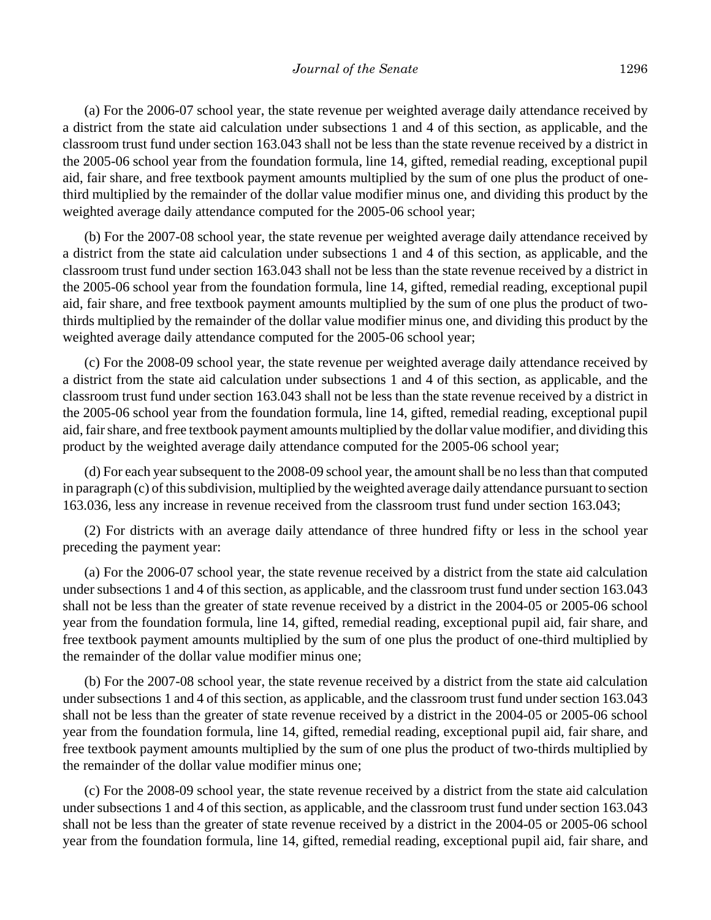(a) For the 2006-07 school year, the state revenue per weighted average daily attendance received by a district from the state aid calculation under subsections 1 and 4 of this section, as applicable, and the classroom trust fund under section 163.043 shall not be less than the state revenue received by a district in the 2005-06 school year from the foundation formula, line 14, gifted, remedial reading, exceptional pupil aid, fair share, and free textbook payment amounts multiplied by the sum of one plus the product of onethird multiplied by the remainder of the dollar value modifier minus one, and dividing this product by the weighted average daily attendance computed for the 2005-06 school year;

(b) For the 2007-08 school year, the state revenue per weighted average daily attendance received by a district from the state aid calculation under subsections 1 and 4 of this section, as applicable, and the classroom trust fund under section 163.043 shall not be less than the state revenue received by a district in the 2005-06 school year from the foundation formula, line 14, gifted, remedial reading, exceptional pupil aid, fair share, and free textbook payment amounts multiplied by the sum of one plus the product of twothirds multiplied by the remainder of the dollar value modifier minus one, and dividing this product by the weighted average daily attendance computed for the 2005-06 school year;

(c) For the 2008-09 school year, the state revenue per weighted average daily attendance received by a district from the state aid calculation under subsections 1 and 4 of this section, as applicable, and the classroom trust fund under section 163.043 shall not be less than the state revenue received by a district in the 2005-06 school year from the foundation formula, line 14, gifted, remedial reading, exceptional pupil aid, fair share, and free textbook payment amounts multiplied by the dollar value modifier, and dividing this product by the weighted average daily attendance computed for the 2005-06 school year;

(d) For each year subsequent to the 2008-09 school year, the amount shall be no less than that computed in paragraph (c) of this subdivision, multiplied by the weighted average daily attendance pursuant to section 163.036, less any increase in revenue received from the classroom trust fund under section 163.043;

(2) For districts with an average daily attendance of three hundred fifty or less in the school year preceding the payment year:

(a) For the 2006-07 school year, the state revenue received by a district from the state aid calculation under subsections 1 and 4 of this section, as applicable, and the classroom trust fund under section 163.043 shall not be less than the greater of state revenue received by a district in the 2004-05 or 2005-06 school year from the foundation formula, line 14, gifted, remedial reading, exceptional pupil aid, fair share, and free textbook payment amounts multiplied by the sum of one plus the product of one-third multiplied by the remainder of the dollar value modifier minus one;

(b) For the 2007-08 school year, the state revenue received by a district from the state aid calculation under subsections 1 and 4 of this section, as applicable, and the classroom trust fund under section 163.043 shall not be less than the greater of state revenue received by a district in the 2004-05 or 2005-06 school year from the foundation formula, line 14, gifted, remedial reading, exceptional pupil aid, fair share, and free textbook payment amounts multiplied by the sum of one plus the product of two-thirds multiplied by the remainder of the dollar value modifier minus one;

(c) For the 2008-09 school year, the state revenue received by a district from the state aid calculation under subsections 1 and 4 of this section, as applicable, and the classroom trust fund under section 163.043 shall not be less than the greater of state revenue received by a district in the 2004-05 or 2005-06 school year from the foundation formula, line 14, gifted, remedial reading, exceptional pupil aid, fair share, and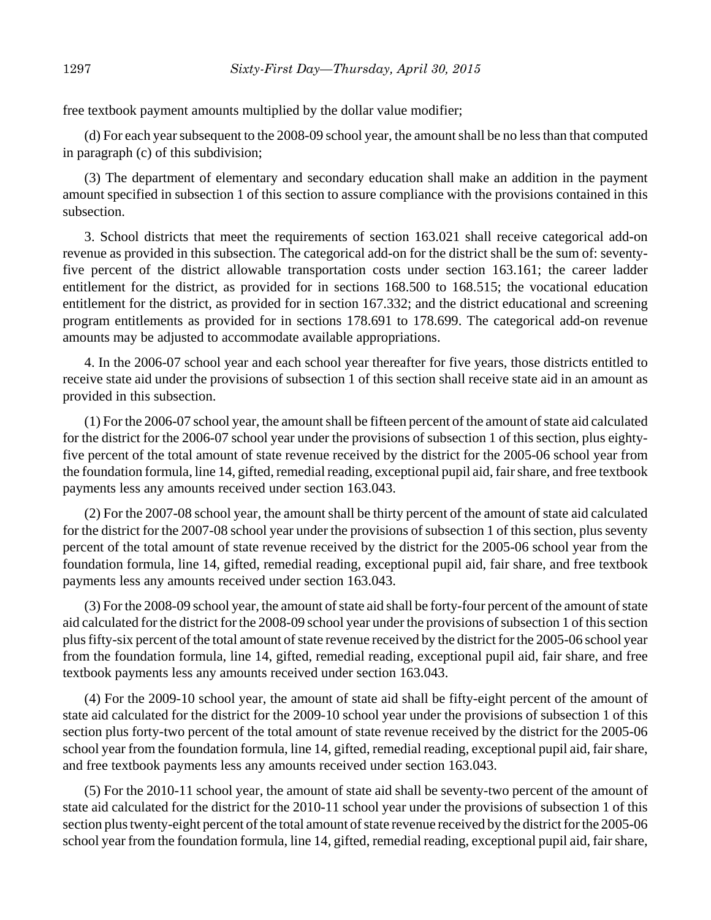free textbook payment amounts multiplied by the dollar value modifier;

(d) For each year subsequent to the 2008-09 school year, the amount shall be no less than that computed in paragraph (c) of this subdivision;

(3) The department of elementary and secondary education shall make an addition in the payment amount specified in subsection 1 of this section to assure compliance with the provisions contained in this subsection.

3. School districts that meet the requirements of section 163.021 shall receive categorical add-on revenue as provided in this subsection. The categorical add-on for the district shall be the sum of: seventyfive percent of the district allowable transportation costs under section 163.161; the career ladder entitlement for the district, as provided for in sections 168.500 to 168.515; the vocational education entitlement for the district, as provided for in section 167.332; and the district educational and screening program entitlements as provided for in sections 178.691 to 178.699. The categorical add-on revenue amounts may be adjusted to accommodate available appropriations.

4. In the 2006-07 school year and each school year thereafter for five years, those districts entitled to receive state aid under the provisions of subsection 1 of this section shall receive state aid in an amount as provided in this subsection.

(1) For the 2006-07 school year, the amount shall be fifteen percent of the amount of state aid calculated for the district for the 2006-07 school year under the provisions of subsection 1 of this section, plus eightyfive percent of the total amount of state revenue received by the district for the 2005-06 school year from the foundation formula, line 14, gifted, remedial reading, exceptional pupil aid, fair share, and free textbook payments less any amounts received under section 163.043.

(2) For the 2007-08 school year, the amount shall be thirty percent of the amount of state aid calculated for the district for the 2007-08 school year under the provisions of subsection 1 of this section, plus seventy percent of the total amount of state revenue received by the district for the 2005-06 school year from the foundation formula, line 14, gifted, remedial reading, exceptional pupil aid, fair share, and free textbook payments less any amounts received under section 163.043.

(3) For the 2008-09 school year, the amount of state aid shall be forty-four percent of the amount of state aid calculated for the district for the 2008-09 school year under the provisions of subsection 1 of this section plus fifty-six percent of the total amount of state revenue received by the district for the 2005-06 school year from the foundation formula, line 14, gifted, remedial reading, exceptional pupil aid, fair share, and free textbook payments less any amounts received under section 163.043.

(4) For the 2009-10 school year, the amount of state aid shall be fifty-eight percent of the amount of state aid calculated for the district for the 2009-10 school year under the provisions of subsection 1 of this section plus forty-two percent of the total amount of state revenue received by the district for the 2005-06 school year from the foundation formula, line 14, gifted, remedial reading, exceptional pupil aid, fair share, and free textbook payments less any amounts received under section 163.043.

(5) For the 2010-11 school year, the amount of state aid shall be seventy-two percent of the amount of state aid calculated for the district for the 2010-11 school year under the provisions of subsection 1 of this section plus twenty-eight percent of the total amount of state revenue received by the district for the 2005-06 school year from the foundation formula, line 14, gifted, remedial reading, exceptional pupil aid, fair share,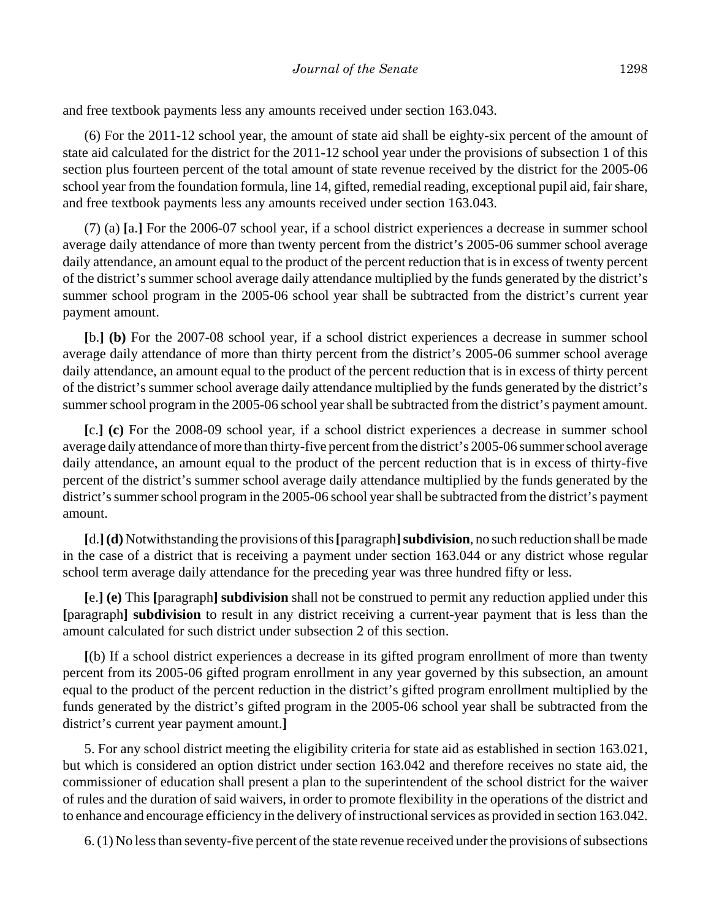and free textbook payments less any amounts received under section 163.043.

(6) For the 2011-12 school year, the amount of state aid shall be eighty-six percent of the amount of state aid calculated for the district for the 2011-12 school year under the provisions of subsection 1 of this section plus fourteen percent of the total amount of state revenue received by the district for the 2005-06 school year from the foundation formula, line 14, gifted, remedial reading, exceptional pupil aid, fair share, and free textbook payments less any amounts received under section 163.043.

(7) (a) **[**a.**]** For the 2006-07 school year, if a school district experiences a decrease in summer school average daily attendance of more than twenty percent from the district's 2005-06 summer school average daily attendance, an amount equal to the product of the percent reduction that is in excess of twenty percent of the district's summer school average daily attendance multiplied by the funds generated by the district's summer school program in the 2005-06 school year shall be subtracted from the district's current year payment amount.

**[**b.**] (b)** For the 2007-08 school year, if a school district experiences a decrease in summer school average daily attendance of more than thirty percent from the district's 2005-06 summer school average daily attendance, an amount equal to the product of the percent reduction that is in excess of thirty percent of the district's summer school average daily attendance multiplied by the funds generated by the district's summer school program in the 2005-06 school year shall be subtracted from the district's payment amount.

**[**c.**] (c)** For the 2008-09 school year, if a school district experiences a decrease in summer school average daily attendance of more than thirty-five percent from the district's 2005-06 summer school average daily attendance, an amount equal to the product of the percent reduction that is in excess of thirty-five percent of the district's summer school average daily attendance multiplied by the funds generated by the district's summer school program in the 2005-06 school year shall be subtracted from the district's payment amount.

**[**d.**](d)** Notwithstanding the provisions of this **[**paragraph**]subdivision**, no such reduction shall be made in the case of a district that is receiving a payment under section 163.044 or any district whose regular school term average daily attendance for the preceding year was three hundred fifty or less.

**[**e.**] (e)** This **[**paragraph**] subdivision** shall not be construed to permit any reduction applied under this **[**paragraph**] subdivision** to result in any district receiving a current-year payment that is less than the amount calculated for such district under subsection 2 of this section.

**[**(b) If a school district experiences a decrease in its gifted program enrollment of more than twenty percent from its 2005-06 gifted program enrollment in any year governed by this subsection, an amount equal to the product of the percent reduction in the district's gifted program enrollment multiplied by the funds generated by the district's gifted program in the 2005-06 school year shall be subtracted from the district's current year payment amount.**]**

5. For any school district meeting the eligibility criteria for state aid as established in section 163.021, but which is considered an option district under section 163.042 and therefore receives no state aid, the commissioner of education shall present a plan to the superintendent of the school district for the waiver of rules and the duration of said waivers, in order to promote flexibility in the operations of the district and to enhance and encourage efficiency in the delivery of instructional services as provided in section 163.042.

6. (1) No less than seventy-five percent of the state revenue received under the provisions of subsections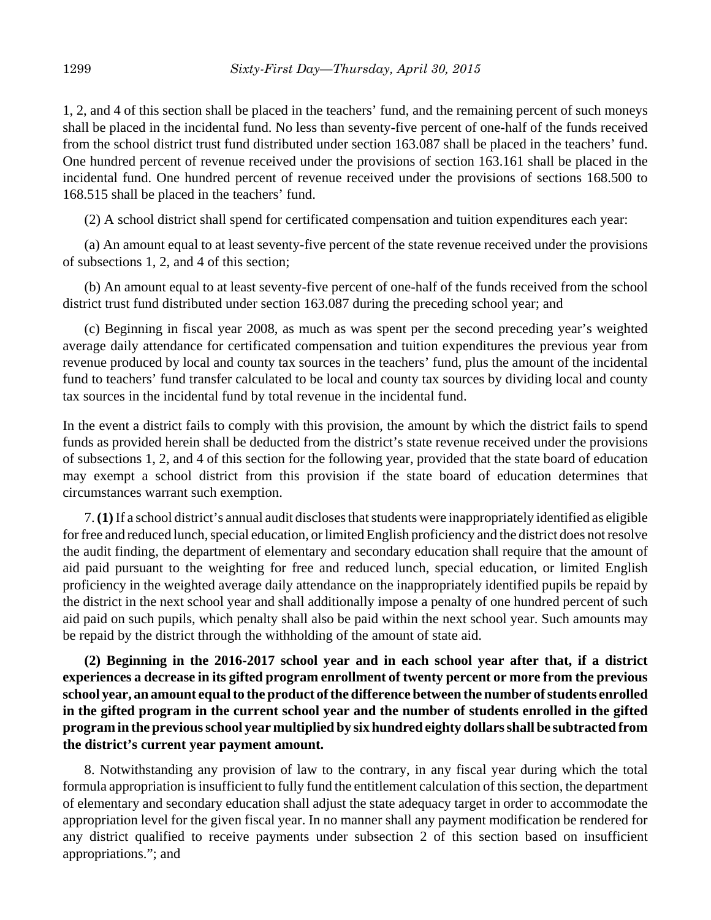1, 2, and 4 of this section shall be placed in the teachers' fund, and the remaining percent of such moneys shall be placed in the incidental fund. No less than seventy-five percent of one-half of the funds received from the school district trust fund distributed under section 163.087 shall be placed in the teachers' fund. One hundred percent of revenue received under the provisions of section 163.161 shall be placed in the incidental fund. One hundred percent of revenue received under the provisions of sections 168.500 to 168.515 shall be placed in the teachers' fund.

(2) A school district shall spend for certificated compensation and tuition expenditures each year:

(a) An amount equal to at least seventy-five percent of the state revenue received under the provisions of subsections 1, 2, and 4 of this section;

(b) An amount equal to at least seventy-five percent of one-half of the funds received from the school district trust fund distributed under section 163.087 during the preceding school year; and

(c) Beginning in fiscal year 2008, as much as was spent per the second preceding year's weighted average daily attendance for certificated compensation and tuition expenditures the previous year from revenue produced by local and county tax sources in the teachers' fund, plus the amount of the incidental fund to teachers' fund transfer calculated to be local and county tax sources by dividing local and county tax sources in the incidental fund by total revenue in the incidental fund.

In the event a district fails to comply with this provision, the amount by which the district fails to spend funds as provided herein shall be deducted from the district's state revenue received under the provisions of subsections 1, 2, and 4 of this section for the following year, provided that the state board of education may exempt a school district from this provision if the state board of education determines that circumstances warrant such exemption.

7. **(1)** If a school district's annual audit discloses that students were inappropriately identified as eligible for free and reduced lunch, special education, or limited English proficiency and the district does not resolve the audit finding, the department of elementary and secondary education shall require that the amount of aid paid pursuant to the weighting for free and reduced lunch, special education, or limited English proficiency in the weighted average daily attendance on the inappropriately identified pupils be repaid by the district in the next school year and shall additionally impose a penalty of one hundred percent of such aid paid on such pupils, which penalty shall also be paid within the next school year. Such amounts may be repaid by the district through the withholding of the amount of state aid.

**(2) Beginning in the 2016-2017 school year and in each school year after that, if a district experiences a decrease in its gifted program enrollment of twenty percent or more from the previous school year, an amount equal to the product of the difference between the number of students enrolled in the gifted program in the current school year and the number of students enrolled in the gifted program in the previous school year multiplied by six hundred eighty dollars shall be subtracted from the district's current year payment amount.**

8. Notwithstanding any provision of law to the contrary, in any fiscal year during which the total formula appropriation is insufficient to fully fund the entitlement calculation of this section, the department of elementary and secondary education shall adjust the state adequacy target in order to accommodate the appropriation level for the given fiscal year. In no manner shall any payment modification be rendered for any district qualified to receive payments under subsection 2 of this section based on insufficient appropriations."; and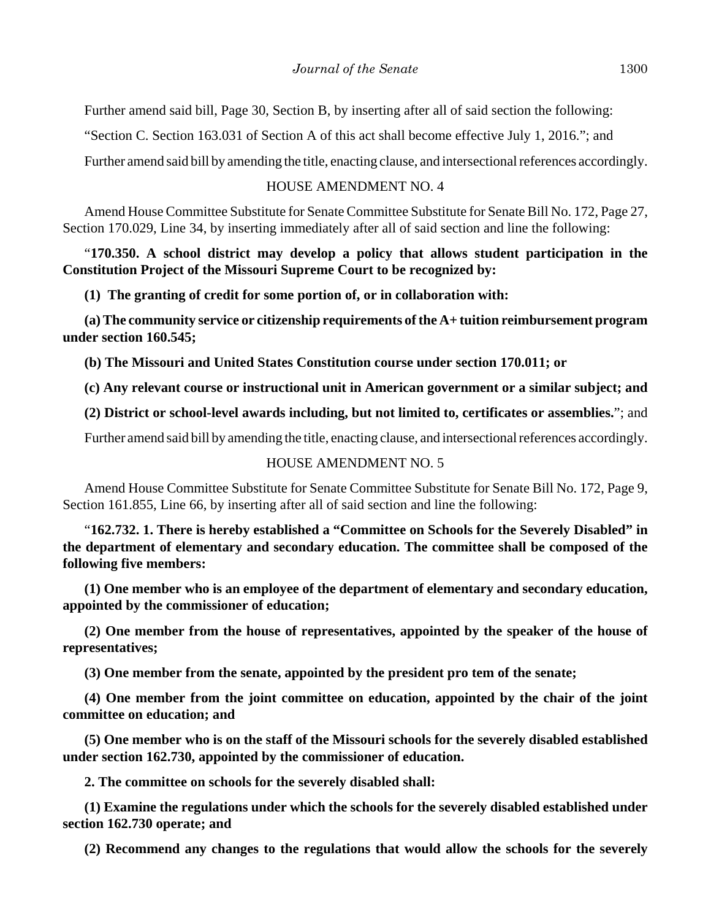Further amend said bill, Page 30, Section B, by inserting after all of said section the following:

"Section C. Section 163.031 of Section A of this act shall become effective July 1, 2016."; and

Further amend said bill by amending the title, enacting clause, and intersectional references accordingly.

#### HOUSE AMENDMENT NO. 4

Amend House Committee Substitute for Senate Committee Substitute for Senate Bill No. 172, Page 27, Section 170.029, Line 34, by inserting immediately after all of said section and line the following:

"**170.350. A school district may develop a policy that allows student participation in the Constitution Project of the Missouri Supreme Court to be recognized by:**

**(1) The granting of credit for some portion of, or in collaboration with:**

**(a) The community service or citizenship requirements of the A+ tuition reimbursement program under section 160.545;**

**(b) The Missouri and United States Constitution course under section 170.011; or**

**(c) Any relevant course or instructional unit in American government or a similar subject; and**

**(2) District or school-level awards including, but not limited to, certificates or assemblies.**"; and

Further amend said bill by amending the title, enacting clause, and intersectional references accordingly.

#### HOUSE AMENDMENT NO. 5

Amend House Committee Substitute for Senate Committee Substitute for Senate Bill No. 172, Page 9, Section 161.855, Line 66, by inserting after all of said section and line the following:

"**162.732. 1. There is hereby established a "Committee on Schools for the Severely Disabled" in the department of elementary and secondary education. The committee shall be composed of the following five members:**

**(1) One member who is an employee of the department of elementary and secondary education, appointed by the commissioner of education;**

**(2) One member from the house of representatives, appointed by the speaker of the house of representatives;**

**(3) One member from the senate, appointed by the president pro tem of the senate;**

**(4) One member from the joint committee on education, appointed by the chair of the joint committee on education; and**

**(5) One member who is on the staff of the Missouri schools for the severely disabled established under section 162.730, appointed by the commissioner of education.**

**2. The committee on schools for the severely disabled shall:**

**(1) Examine the regulations under which the schools for the severely disabled established under section 162.730 operate; and**

**(2) Recommend any changes to the regulations that would allow the schools for the severely**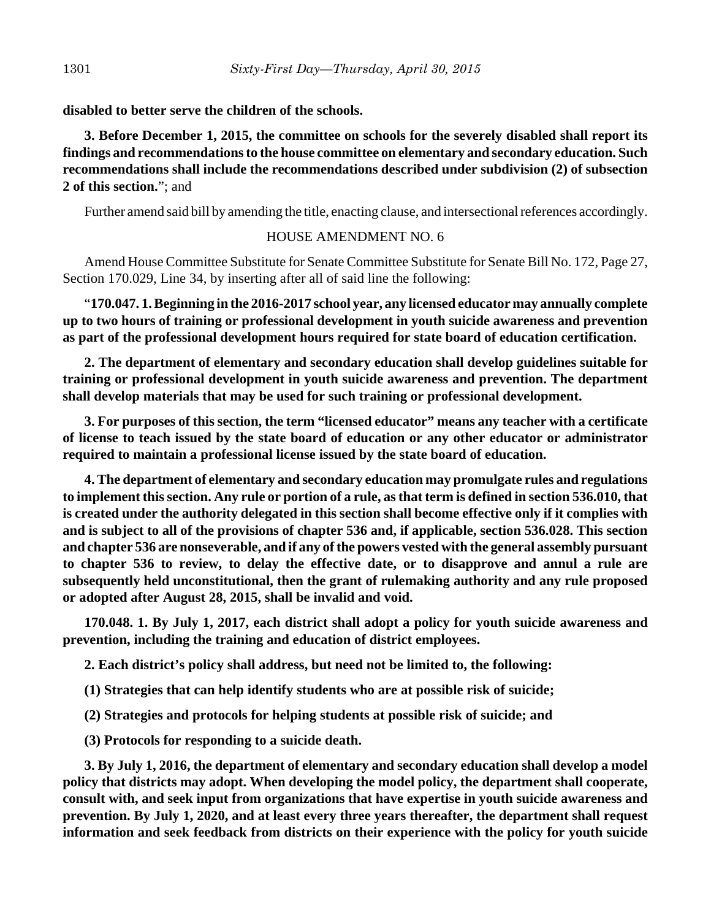**disabled to better serve the children of the schools.**

**3. Before December 1, 2015, the committee on schools for the severely disabled shall report its findings and recommendations to the house committee on elementary and secondary education. Such recommendations shall include the recommendations described under subdivision (2) of subsection 2 of this section.**"; and

Further amend said bill by amending the title, enacting clause, and intersectional references accordingly.

## HOUSE AMENDMENT NO. 6

Amend House Committee Substitute for Senate Committee Substitute for Senate Bill No. 172, Page 27, Section 170.029, Line 34, by inserting after all of said line the following:

"**170.047. 1. Beginning in the 2016-2017 school year, any licensed educator may annually complete up to two hours of training or professional development in youth suicide awareness and prevention as part of the professional development hours required for state board of education certification.**

**2. The department of elementary and secondary education shall develop guidelines suitable for training or professional development in youth suicide awareness and prevention. The department shall develop materials that may be used for such training or professional development.**

**3. For purposes of this section, the term "licensed educator" means any teacher with a certificate of license to teach issued by the state board of education or any other educator or administrator required to maintain a professional license issued by the state board of education.**

**4. The department of elementary and secondary education may promulgate rules and regulations to implement this section. Any rule or portion of a rule, as that term is defined in section 536.010, that is created under the authority delegated in this section shall become effective only if it complies with and is subject to all of the provisions of chapter 536 and, if applicable, section 536.028. This section and chapter 536 are nonseverable, and if any of the powers vested with the general assembly pursuant to chapter 536 to review, to delay the effective date, or to disapprove and annul a rule are subsequently held unconstitutional, then the grant of rulemaking authority and any rule proposed or adopted after August 28, 2015, shall be invalid and void.**

**170.048. 1. By July 1, 2017, each district shall adopt a policy for youth suicide awareness and prevention, including the training and education of district employees.**

**2. Each district's policy shall address, but need not be limited to, the following:**

**(1) Strategies that can help identify students who are at possible risk of suicide;**

**(2) Strategies and protocols for helping students at possible risk of suicide; and**

**(3) Protocols for responding to a suicide death.**

**3. By July 1, 2016, the department of elementary and secondary education shall develop a model policy that districts may adopt. When developing the model policy, the department shall cooperate, consult with, and seek input from organizations that have expertise in youth suicide awareness and prevention. By July 1, 2020, and at least every three years thereafter, the department shall request information and seek feedback from districts on their experience with the policy for youth suicide**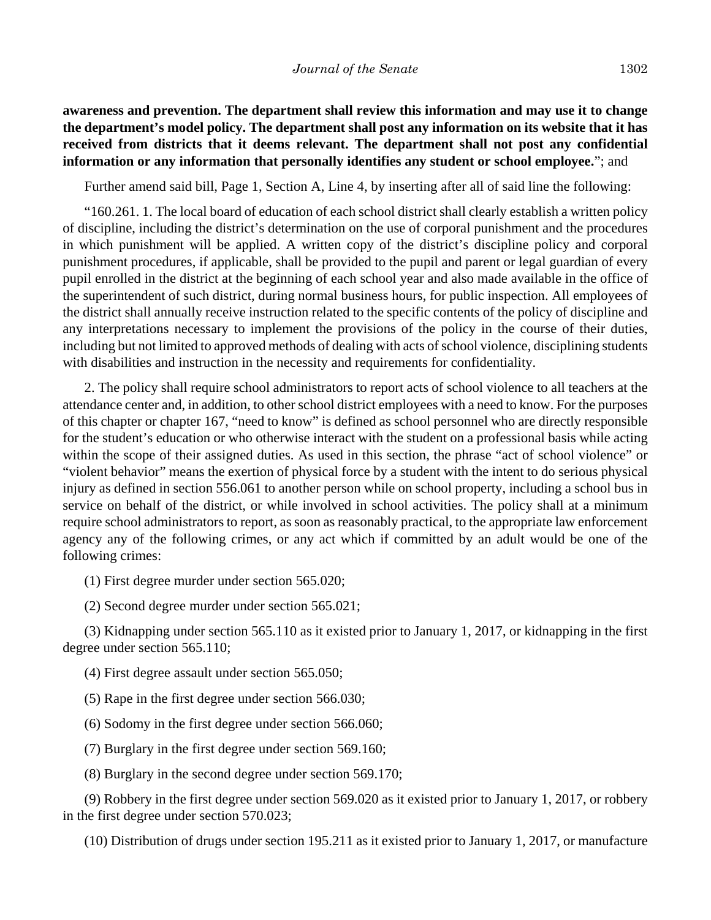## **awareness and prevention. The department shall review this information and may use it to change the department's model policy. The department shall post any information on its website that it has received from districts that it deems relevant. The department shall not post any confidential information or any information that personally identifies any student or school employee.**"; and

Further amend said bill, Page 1, Section A, Line 4, by inserting after all of said line the following:

"160.261. 1. The local board of education of each school district shall clearly establish a written policy of discipline, including the district's determination on the use of corporal punishment and the procedures in which punishment will be applied. A written copy of the district's discipline policy and corporal punishment procedures, if applicable, shall be provided to the pupil and parent or legal guardian of every pupil enrolled in the district at the beginning of each school year and also made available in the office of the superintendent of such district, during normal business hours, for public inspection. All employees of the district shall annually receive instruction related to the specific contents of the policy of discipline and any interpretations necessary to implement the provisions of the policy in the course of their duties, including but not limited to approved methods of dealing with acts of school violence, disciplining students with disabilities and instruction in the necessity and requirements for confidentiality.

2. The policy shall require school administrators to report acts of school violence to all teachers at the attendance center and, in addition, to other school district employees with a need to know. For the purposes of this chapter or chapter 167, "need to know" is defined as school personnel who are directly responsible for the student's education or who otherwise interact with the student on a professional basis while acting within the scope of their assigned duties. As used in this section, the phrase "act of school violence" or "violent behavior" means the exertion of physical force by a student with the intent to do serious physical injury as defined in section 556.061 to another person while on school property, including a school bus in service on behalf of the district, or while involved in school activities. The policy shall at a minimum require school administrators to report, as soon as reasonably practical, to the appropriate law enforcement agency any of the following crimes, or any act which if committed by an adult would be one of the following crimes:

(1) First degree murder under section 565.020;

(2) Second degree murder under section 565.021;

(3) Kidnapping under section 565.110 as it existed prior to January 1, 2017, or kidnapping in the first degree under section 565.110;

(4) First degree assault under section 565.050;

(5) Rape in the first degree under section 566.030;

(6) Sodomy in the first degree under section 566.060;

(7) Burglary in the first degree under section 569.160;

(8) Burglary in the second degree under section 569.170;

(9) Robbery in the first degree under section 569.020 as it existed prior to January 1, 2017, or robbery in the first degree under section 570.023;

(10) Distribution of drugs under section 195.211 as it existed prior to January 1, 2017, or manufacture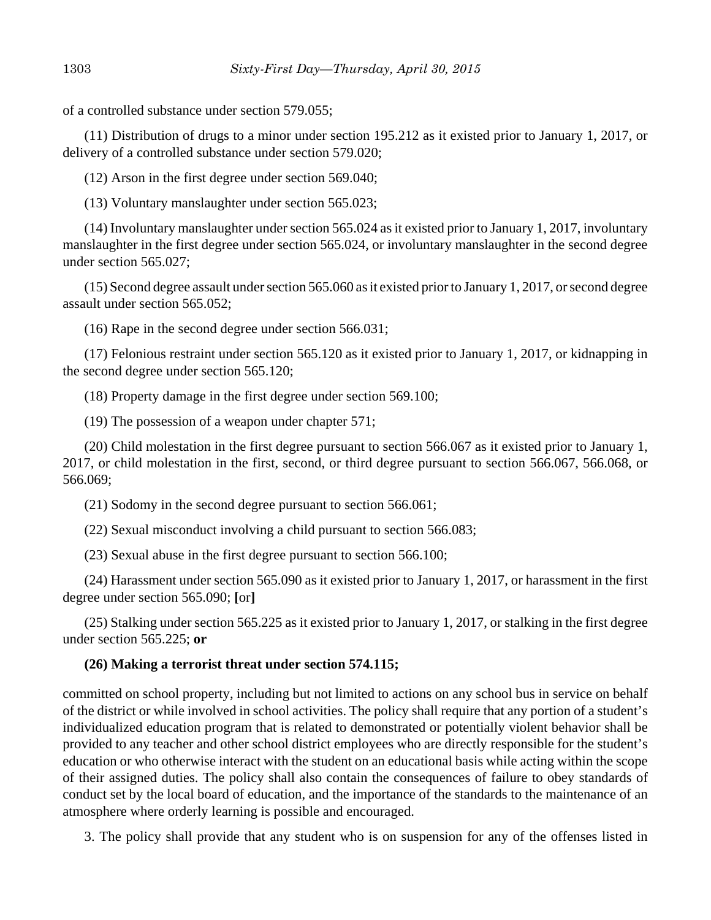of a controlled substance under section 579.055;

(11) Distribution of drugs to a minor under section 195.212 as it existed prior to January 1, 2017, or delivery of a controlled substance under section 579.020;

(12) Arson in the first degree under section 569.040;

(13) Voluntary manslaughter under section 565.023;

(14) Involuntary manslaughter under section 565.024 as it existed prior to January 1, 2017, involuntary manslaughter in the first degree under section 565.024, or involuntary manslaughter in the second degree under section 565.027;

(15) Second degree assault under section 565.060 as it existed prior to January 1, 2017, or second degree assault under section 565.052;

(16) Rape in the second degree under section 566.031;

(17) Felonious restraint under section 565.120 as it existed prior to January 1, 2017, or kidnapping in the second degree under section 565.120;

(18) Property damage in the first degree under section 569.100;

(19) The possession of a weapon under chapter 571;

(20) Child molestation in the first degree pursuant to section 566.067 as it existed prior to January 1, 2017, or child molestation in the first, second, or third degree pursuant to section 566.067, 566.068, or 566.069;

(21) Sodomy in the second degree pursuant to section 566.061;

(22) Sexual misconduct involving a child pursuant to section 566.083;

(23) Sexual abuse in the first degree pursuant to section 566.100;

(24) Harassment under section 565.090 as it existed prior to January 1, 2017, or harassment in the first degree under section 565.090; **[**or**]**

(25) Stalking under section 565.225 as it existed prior to January 1, 2017, or stalking in the first degree under section 565.225; **or**

# **(26) Making a terrorist threat under section 574.115;**

committed on school property, including but not limited to actions on any school bus in service on behalf of the district or while involved in school activities. The policy shall require that any portion of a student's individualized education program that is related to demonstrated or potentially violent behavior shall be provided to any teacher and other school district employees who are directly responsible for the student's education or who otherwise interact with the student on an educational basis while acting within the scope of their assigned duties. The policy shall also contain the consequences of failure to obey standards of conduct set by the local board of education, and the importance of the standards to the maintenance of an atmosphere where orderly learning is possible and encouraged.

3. The policy shall provide that any student who is on suspension for any of the offenses listed in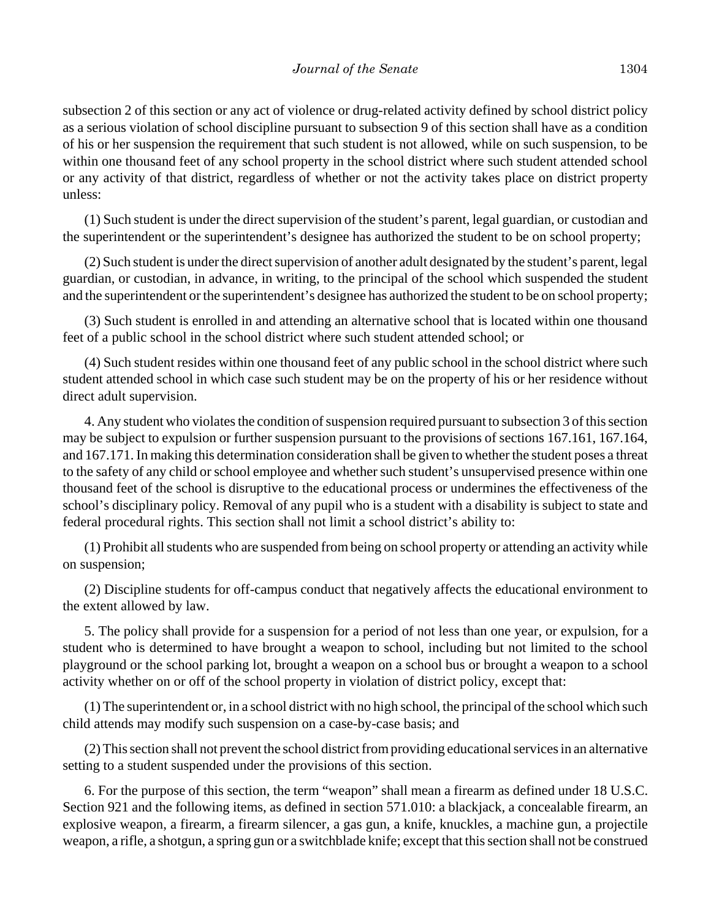subsection 2 of this section or any act of violence or drug-related activity defined by school district policy as a serious violation of school discipline pursuant to subsection 9 of this section shall have as a condition of his or her suspension the requirement that such student is not allowed, while on such suspension, to be within one thousand feet of any school property in the school district where such student attended school or any activity of that district, regardless of whether or not the activity takes place on district property unless:

(1) Such student is under the direct supervision of the student's parent, legal guardian, or custodian and the superintendent or the superintendent's designee has authorized the student to be on school property;

(2) Such student is under the direct supervision of another adult designated by the student's parent, legal guardian, or custodian, in advance, in writing, to the principal of the school which suspended the student and the superintendent or the superintendent's designee has authorized the student to be on school property;

(3) Such student is enrolled in and attending an alternative school that is located within one thousand feet of a public school in the school district where such student attended school; or

(4) Such student resides within one thousand feet of any public school in the school district where such student attended school in which case such student may be on the property of his or her residence without direct adult supervision.

4. Any student who violates the condition of suspension required pursuant to subsection 3 of this section may be subject to expulsion or further suspension pursuant to the provisions of sections 167.161, 167.164, and 167.171. In making this determination consideration shall be given to whether the student poses a threat to the safety of any child or school employee and whether such student's unsupervised presence within one thousand feet of the school is disruptive to the educational process or undermines the effectiveness of the school's disciplinary policy. Removal of any pupil who is a student with a disability is subject to state and federal procedural rights. This section shall not limit a school district's ability to:

(1) Prohibit all students who are suspended from being on school property or attending an activity while on suspension;

(2) Discipline students for off-campus conduct that negatively affects the educational environment to the extent allowed by law.

5. The policy shall provide for a suspension for a period of not less than one year, or expulsion, for a student who is determined to have brought a weapon to school, including but not limited to the school playground or the school parking lot, brought a weapon on a school bus or brought a weapon to a school activity whether on or off of the school property in violation of district policy, except that:

(1) The superintendent or, in a school district with no high school, the principal of the school which such child attends may modify such suspension on a case-by-case basis; and

(2) This section shall not prevent the school district from providing educational services in an alternative setting to a student suspended under the provisions of this section.

6. For the purpose of this section, the term "weapon" shall mean a firearm as defined under 18 U.S.C. Section 921 and the following items, as defined in section 571.010: a blackjack, a concealable firearm, an explosive weapon, a firearm, a firearm silencer, a gas gun, a knife, knuckles, a machine gun, a projectile weapon, a rifle, a shotgun, a spring gun or a switchblade knife; except that this section shall not be construed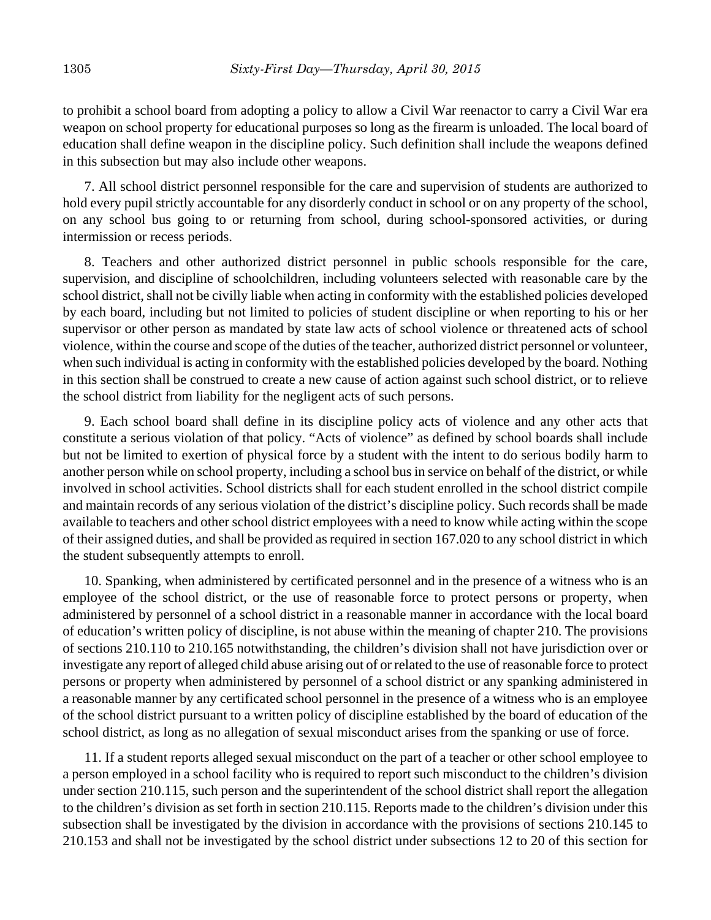to prohibit a school board from adopting a policy to allow a Civil War reenactor to carry a Civil War era weapon on school property for educational purposes so long as the firearm is unloaded. The local board of education shall define weapon in the discipline policy. Such definition shall include the weapons defined in this subsection but may also include other weapons.

7. All school district personnel responsible for the care and supervision of students are authorized to hold every pupil strictly accountable for any disorderly conduct in school or on any property of the school, on any school bus going to or returning from school, during school-sponsored activities, or during intermission or recess periods.

8. Teachers and other authorized district personnel in public schools responsible for the care, supervision, and discipline of schoolchildren, including volunteers selected with reasonable care by the school district, shall not be civilly liable when acting in conformity with the established policies developed by each board, including but not limited to policies of student discipline or when reporting to his or her supervisor or other person as mandated by state law acts of school violence or threatened acts of school violence, within the course and scope of the duties of the teacher, authorized district personnel or volunteer, when such individual is acting in conformity with the established policies developed by the board. Nothing in this section shall be construed to create a new cause of action against such school district, or to relieve the school district from liability for the negligent acts of such persons.

9. Each school board shall define in its discipline policy acts of violence and any other acts that constitute a serious violation of that policy. "Acts of violence" as defined by school boards shall include but not be limited to exertion of physical force by a student with the intent to do serious bodily harm to another person while on school property, including a school bus in service on behalf of the district, or while involved in school activities. School districts shall for each student enrolled in the school district compile and maintain records of any serious violation of the district's discipline policy. Such records shall be made available to teachers and other school district employees with a need to know while acting within the scope of their assigned duties, and shall be provided as required in section 167.020 to any school district in which the student subsequently attempts to enroll.

10. Spanking, when administered by certificated personnel and in the presence of a witness who is an employee of the school district, or the use of reasonable force to protect persons or property, when administered by personnel of a school district in a reasonable manner in accordance with the local board of education's written policy of discipline, is not abuse within the meaning of chapter 210. The provisions of sections 210.110 to 210.165 notwithstanding, the children's division shall not have jurisdiction over or investigate any report of alleged child abuse arising out of or related to the use of reasonable force to protect persons or property when administered by personnel of a school district or any spanking administered in a reasonable manner by any certificated school personnel in the presence of a witness who is an employee of the school district pursuant to a written policy of discipline established by the board of education of the school district, as long as no allegation of sexual misconduct arises from the spanking or use of force.

11. If a student reports alleged sexual misconduct on the part of a teacher or other school employee to a person employed in a school facility who is required to report such misconduct to the children's division under section 210.115, such person and the superintendent of the school district shall report the allegation to the children's division as set forth in section 210.115. Reports made to the children's division under this subsection shall be investigated by the division in accordance with the provisions of sections 210.145 to 210.153 and shall not be investigated by the school district under subsections 12 to 20 of this section for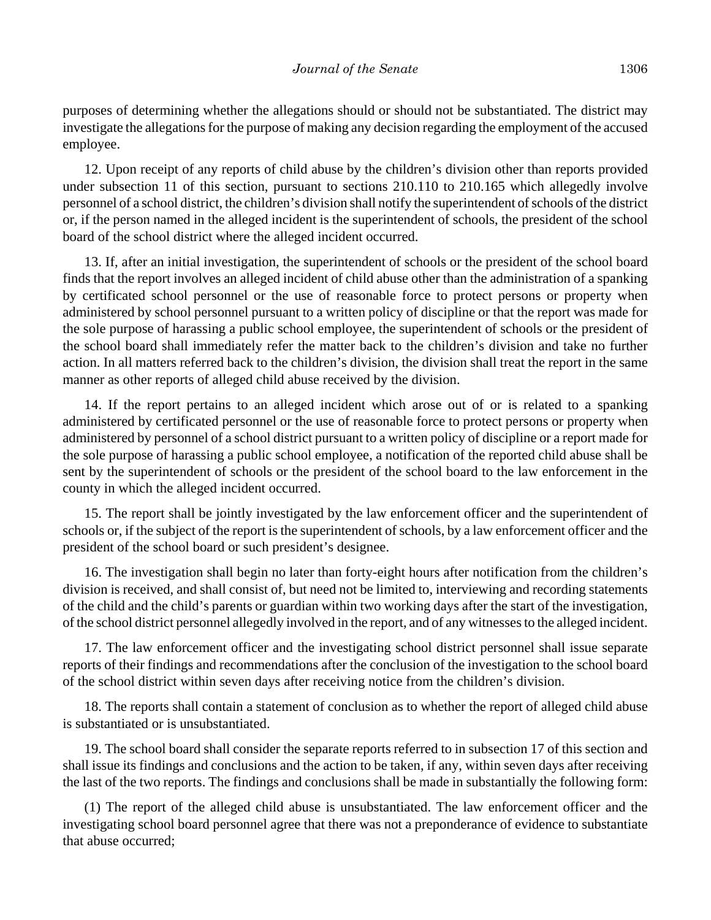purposes of determining whether the allegations should or should not be substantiated. The district may investigate the allegations for the purpose of making any decision regarding the employment of the accused employee.

12. Upon receipt of any reports of child abuse by the children's division other than reports provided under subsection 11 of this section, pursuant to sections 210.110 to 210.165 which allegedly involve personnel of a school district, the children's division shall notify the superintendent of schools of the district or, if the person named in the alleged incident is the superintendent of schools, the president of the school board of the school district where the alleged incident occurred.

13. If, after an initial investigation, the superintendent of schools or the president of the school board finds that the report involves an alleged incident of child abuse other than the administration of a spanking by certificated school personnel or the use of reasonable force to protect persons or property when administered by school personnel pursuant to a written policy of discipline or that the report was made for the sole purpose of harassing a public school employee, the superintendent of schools or the president of the school board shall immediately refer the matter back to the children's division and take no further action. In all matters referred back to the children's division, the division shall treat the report in the same manner as other reports of alleged child abuse received by the division.

14. If the report pertains to an alleged incident which arose out of or is related to a spanking administered by certificated personnel or the use of reasonable force to protect persons or property when administered by personnel of a school district pursuant to a written policy of discipline or a report made for the sole purpose of harassing a public school employee, a notification of the reported child abuse shall be sent by the superintendent of schools or the president of the school board to the law enforcement in the county in which the alleged incident occurred.

15. The report shall be jointly investigated by the law enforcement officer and the superintendent of schools or, if the subject of the report is the superintendent of schools, by a law enforcement officer and the president of the school board or such president's designee.

16. The investigation shall begin no later than forty-eight hours after notification from the children's division is received, and shall consist of, but need not be limited to, interviewing and recording statements of the child and the child's parents or guardian within two working days after the start of the investigation, of the school district personnel allegedly involved in the report, and of any witnesses to the alleged incident.

17. The law enforcement officer and the investigating school district personnel shall issue separate reports of their findings and recommendations after the conclusion of the investigation to the school board of the school district within seven days after receiving notice from the children's division.

18. The reports shall contain a statement of conclusion as to whether the report of alleged child abuse is substantiated or is unsubstantiated.

19. The school board shall consider the separate reports referred to in subsection 17 of this section and shall issue its findings and conclusions and the action to be taken, if any, within seven days after receiving the last of the two reports. The findings and conclusions shall be made in substantially the following form:

(1) The report of the alleged child abuse is unsubstantiated. The law enforcement officer and the investigating school board personnel agree that there was not a preponderance of evidence to substantiate that abuse occurred;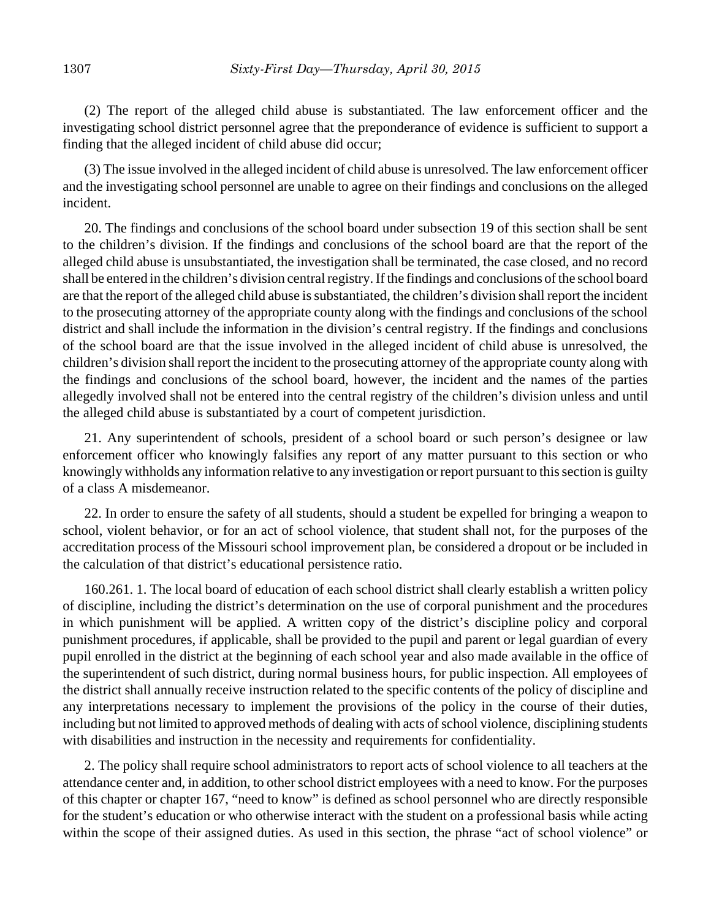(2) The report of the alleged child abuse is substantiated. The law enforcement officer and the investigating school district personnel agree that the preponderance of evidence is sufficient to support a finding that the alleged incident of child abuse did occur;

(3) The issue involved in the alleged incident of child abuse is unresolved. The law enforcement officer and the investigating school personnel are unable to agree on their findings and conclusions on the alleged incident.

20. The findings and conclusions of the school board under subsection 19 of this section shall be sent to the children's division. If the findings and conclusions of the school board are that the report of the alleged child abuse is unsubstantiated, the investigation shall be terminated, the case closed, and no record shall be entered in the children's division central registry. If the findings and conclusions of the school board are that the report of the alleged child abuse is substantiated, the children's division shall report the incident to the prosecuting attorney of the appropriate county along with the findings and conclusions of the school district and shall include the information in the division's central registry. If the findings and conclusions of the school board are that the issue involved in the alleged incident of child abuse is unresolved, the children's division shall report the incident to the prosecuting attorney of the appropriate county along with the findings and conclusions of the school board, however, the incident and the names of the parties allegedly involved shall not be entered into the central registry of the children's division unless and until the alleged child abuse is substantiated by a court of competent jurisdiction.

21. Any superintendent of schools, president of a school board or such person's designee or law enforcement officer who knowingly falsifies any report of any matter pursuant to this section or who knowingly withholds any information relative to any investigation or report pursuant to this section is guilty of a class A misdemeanor.

22. In order to ensure the safety of all students, should a student be expelled for bringing a weapon to school, violent behavior, or for an act of school violence, that student shall not, for the purposes of the accreditation process of the Missouri school improvement plan, be considered a dropout or be included in the calculation of that district's educational persistence ratio.

160.261. 1. The local board of education of each school district shall clearly establish a written policy of discipline, including the district's determination on the use of corporal punishment and the procedures in which punishment will be applied. A written copy of the district's discipline policy and corporal punishment procedures, if applicable, shall be provided to the pupil and parent or legal guardian of every pupil enrolled in the district at the beginning of each school year and also made available in the office of the superintendent of such district, during normal business hours, for public inspection. All employees of the district shall annually receive instruction related to the specific contents of the policy of discipline and any interpretations necessary to implement the provisions of the policy in the course of their duties, including but not limited to approved methods of dealing with acts of school violence, disciplining students with disabilities and instruction in the necessity and requirements for confidentiality.

2. The policy shall require school administrators to report acts of school violence to all teachers at the attendance center and, in addition, to other school district employees with a need to know. For the purposes of this chapter or chapter 167, "need to know" is defined as school personnel who are directly responsible for the student's education or who otherwise interact with the student on a professional basis while acting within the scope of their assigned duties. As used in this section, the phrase "act of school violence" or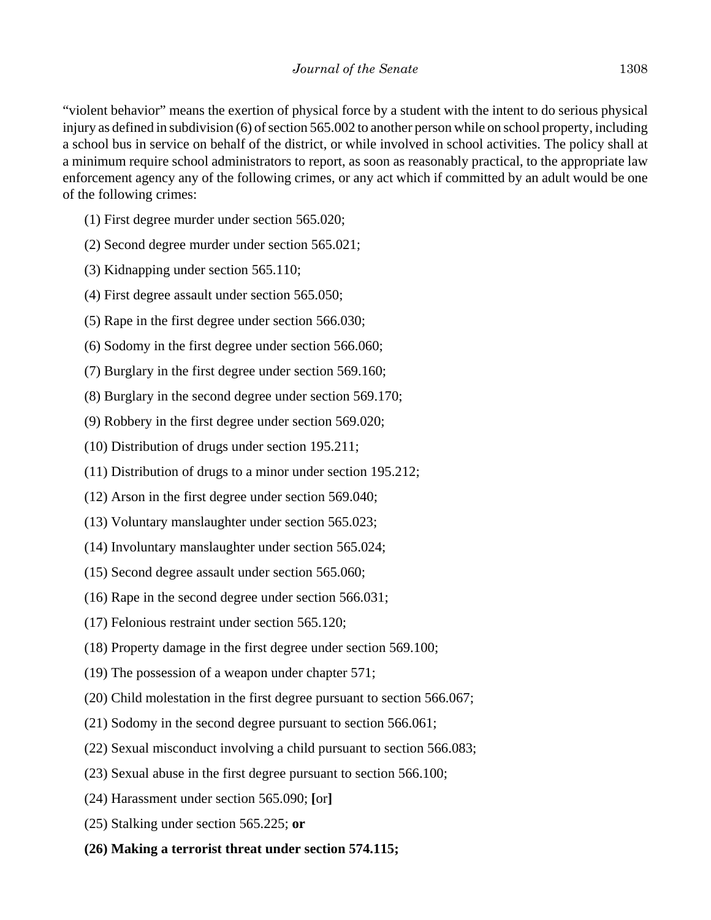"violent behavior" means the exertion of physical force by a student with the intent to do serious physical injury as defined in subdivision (6) of section 565.002 to another person while on school property, including a school bus in service on behalf of the district, or while involved in school activities. The policy shall at a minimum require school administrators to report, as soon as reasonably practical, to the appropriate law enforcement agency any of the following crimes, or any act which if committed by an adult would be one of the following crimes:

- (1) First degree murder under section 565.020;
- (2) Second degree murder under section 565.021;
- (3) Kidnapping under section 565.110;
- (4) First degree assault under section 565.050;
- (5) Rape in the first degree under section 566.030;
- (6) Sodomy in the first degree under section 566.060;
- (7) Burglary in the first degree under section 569.160;
- (8) Burglary in the second degree under section 569.170;
- (9) Robbery in the first degree under section 569.020;
- (10) Distribution of drugs under section 195.211;
- (11) Distribution of drugs to a minor under section 195.212;
- (12) Arson in the first degree under section 569.040;
- (13) Voluntary manslaughter under section 565.023;
- (14) Involuntary manslaughter under section 565.024;
- (15) Second degree assault under section 565.060;
- (16) Rape in the second degree under section 566.031;
- (17) Felonious restraint under section 565.120;
- (18) Property damage in the first degree under section 569.100;
- (19) The possession of a weapon under chapter 571;
- (20) Child molestation in the first degree pursuant to section 566.067;
- (21) Sodomy in the second degree pursuant to section 566.061;
- (22) Sexual misconduct involving a child pursuant to section 566.083;
- (23) Sexual abuse in the first degree pursuant to section 566.100;
- (24) Harassment under section 565.090; **[**or**]**
- (25) Stalking under section 565.225; **or**
- **(26) Making a terrorist threat under section 574.115;**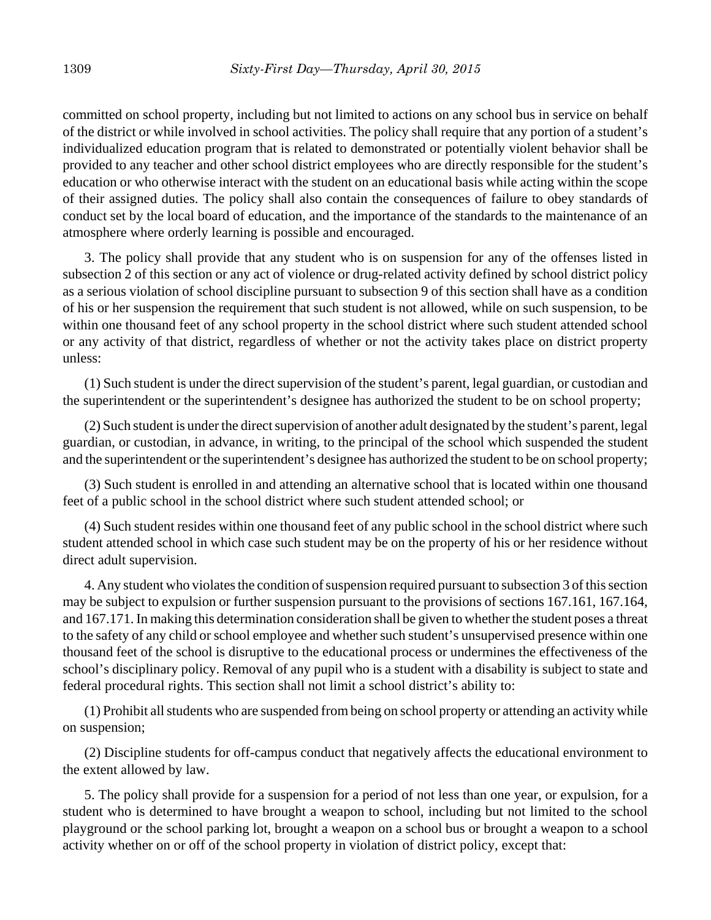committed on school property, including but not limited to actions on any school bus in service on behalf of the district or while involved in school activities. The policy shall require that any portion of a student's individualized education program that is related to demonstrated or potentially violent behavior shall be provided to any teacher and other school district employees who are directly responsible for the student's education or who otherwise interact with the student on an educational basis while acting within the scope of their assigned duties. The policy shall also contain the consequences of failure to obey standards of conduct set by the local board of education, and the importance of the standards to the maintenance of an atmosphere where orderly learning is possible and encouraged.

3. The policy shall provide that any student who is on suspension for any of the offenses listed in subsection 2 of this section or any act of violence or drug-related activity defined by school district policy as a serious violation of school discipline pursuant to subsection 9 of this section shall have as a condition of his or her suspension the requirement that such student is not allowed, while on such suspension, to be within one thousand feet of any school property in the school district where such student attended school or any activity of that district, regardless of whether or not the activity takes place on district property unless:

(1) Such student is under the direct supervision of the student's parent, legal guardian, or custodian and the superintendent or the superintendent's designee has authorized the student to be on school property;

(2) Such student is under the direct supervision of another adult designated by the student's parent, legal guardian, or custodian, in advance, in writing, to the principal of the school which suspended the student and the superintendent or the superintendent's designee has authorized the student to be on school property;

(3) Such student is enrolled in and attending an alternative school that is located within one thousand feet of a public school in the school district where such student attended school; or

(4) Such student resides within one thousand feet of any public school in the school district where such student attended school in which case such student may be on the property of his or her residence without direct adult supervision.

4. Any student who violates the condition of suspension required pursuant to subsection 3 of this section may be subject to expulsion or further suspension pursuant to the provisions of sections 167.161, 167.164, and 167.171. In making this determination consideration shall be given to whether the student poses a threat to the safety of any child or school employee and whether such student's unsupervised presence within one thousand feet of the school is disruptive to the educational process or undermines the effectiveness of the school's disciplinary policy. Removal of any pupil who is a student with a disability is subject to state and federal procedural rights. This section shall not limit a school district's ability to:

(1) Prohibit all students who are suspended from being on school property or attending an activity while on suspension;

(2) Discipline students for off-campus conduct that negatively affects the educational environment to the extent allowed by law.

5. The policy shall provide for a suspension for a period of not less than one year, or expulsion, for a student who is determined to have brought a weapon to school, including but not limited to the school playground or the school parking lot, brought a weapon on a school bus or brought a weapon to a school activity whether on or off of the school property in violation of district policy, except that: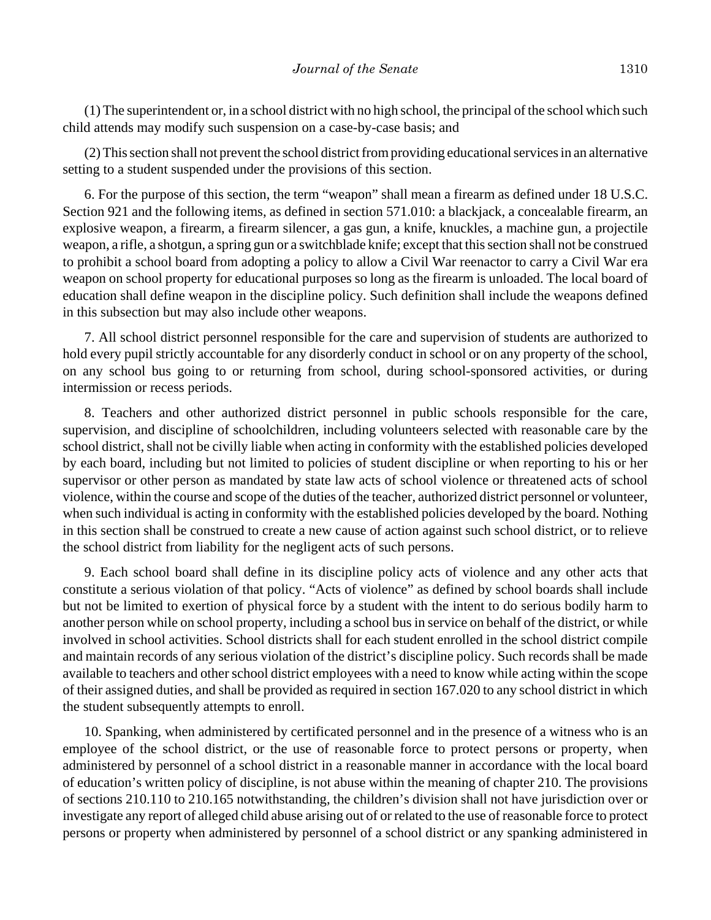(1) The superintendent or, in a school district with no high school, the principal of the school which such child attends may modify such suspension on a case-by-case basis; and

(2) This section shall not prevent the school district from providing educational services in an alternative setting to a student suspended under the provisions of this section.

6. For the purpose of this section, the term "weapon" shall mean a firearm as defined under 18 U.S.C. Section 921 and the following items, as defined in section 571.010: a blackjack, a concealable firearm, an explosive weapon, a firearm, a firearm silencer, a gas gun, a knife, knuckles, a machine gun, a projectile weapon, a rifle, a shotgun, a spring gun or a switchblade knife; except that this section shall not be construed to prohibit a school board from adopting a policy to allow a Civil War reenactor to carry a Civil War era weapon on school property for educational purposes so long as the firearm is unloaded. The local board of education shall define weapon in the discipline policy. Such definition shall include the weapons defined in this subsection but may also include other weapons.

7. All school district personnel responsible for the care and supervision of students are authorized to hold every pupil strictly accountable for any disorderly conduct in school or on any property of the school, on any school bus going to or returning from school, during school-sponsored activities, or during intermission or recess periods.

8. Teachers and other authorized district personnel in public schools responsible for the care, supervision, and discipline of schoolchildren, including volunteers selected with reasonable care by the school district, shall not be civilly liable when acting in conformity with the established policies developed by each board, including but not limited to policies of student discipline or when reporting to his or her supervisor or other person as mandated by state law acts of school violence or threatened acts of school violence, within the course and scope of the duties of the teacher, authorized district personnel or volunteer, when such individual is acting in conformity with the established policies developed by the board. Nothing in this section shall be construed to create a new cause of action against such school district, or to relieve the school district from liability for the negligent acts of such persons.

9. Each school board shall define in its discipline policy acts of violence and any other acts that constitute a serious violation of that policy. "Acts of violence" as defined by school boards shall include but not be limited to exertion of physical force by a student with the intent to do serious bodily harm to another person while on school property, including a school bus in service on behalf of the district, or while involved in school activities. School districts shall for each student enrolled in the school district compile and maintain records of any serious violation of the district's discipline policy. Such records shall be made available to teachers and other school district employees with a need to know while acting within the scope of their assigned duties, and shall be provided as required in section 167.020 to any school district in which the student subsequently attempts to enroll.

10. Spanking, when administered by certificated personnel and in the presence of a witness who is an employee of the school district, or the use of reasonable force to protect persons or property, when administered by personnel of a school district in a reasonable manner in accordance with the local board of education's written policy of discipline, is not abuse within the meaning of chapter 210. The provisions of sections 210.110 to 210.165 notwithstanding, the children's division shall not have jurisdiction over or investigate any report of alleged child abuse arising out of or related to the use of reasonable force to protect persons or property when administered by personnel of a school district or any spanking administered in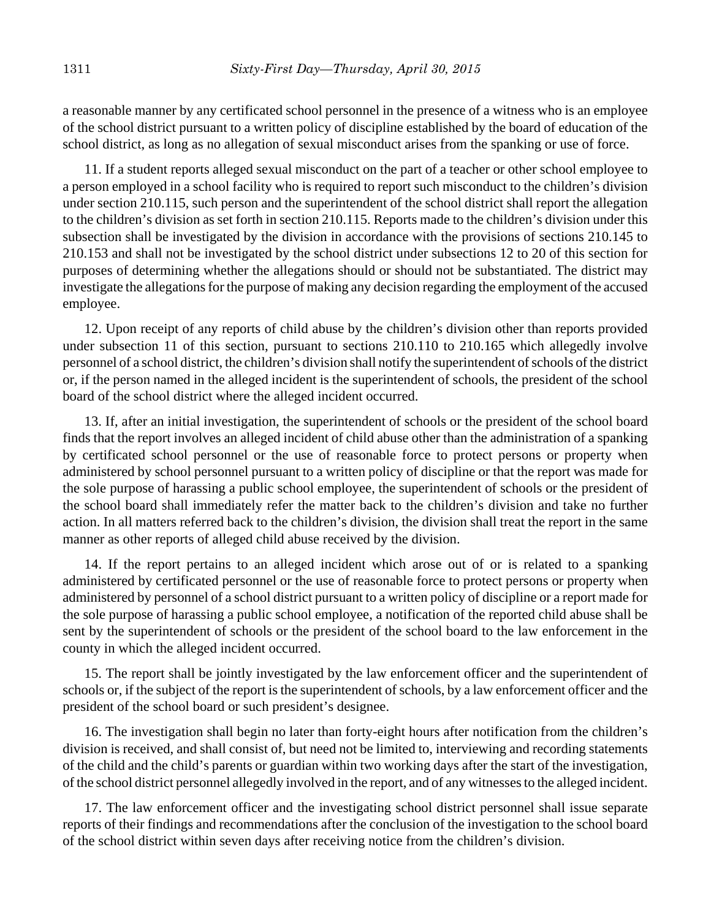a reasonable manner by any certificated school personnel in the presence of a witness who is an employee of the school district pursuant to a written policy of discipline established by the board of education of the school district, as long as no allegation of sexual misconduct arises from the spanking or use of force.

11. If a student reports alleged sexual misconduct on the part of a teacher or other school employee to a person employed in a school facility who is required to report such misconduct to the children's division under section 210.115, such person and the superintendent of the school district shall report the allegation to the children's division as set forth in section 210.115. Reports made to the children's division under this subsection shall be investigated by the division in accordance with the provisions of sections 210.145 to 210.153 and shall not be investigated by the school district under subsections 12 to 20 of this section for purposes of determining whether the allegations should or should not be substantiated. The district may investigate the allegations for the purpose of making any decision regarding the employment of the accused employee.

12. Upon receipt of any reports of child abuse by the children's division other than reports provided under subsection 11 of this section, pursuant to sections 210.110 to 210.165 which allegedly involve personnel of a school district, the children's division shall notify the superintendent of schools of the district or, if the person named in the alleged incident is the superintendent of schools, the president of the school board of the school district where the alleged incident occurred.

13. If, after an initial investigation, the superintendent of schools or the president of the school board finds that the report involves an alleged incident of child abuse other than the administration of a spanking by certificated school personnel or the use of reasonable force to protect persons or property when administered by school personnel pursuant to a written policy of discipline or that the report was made for the sole purpose of harassing a public school employee, the superintendent of schools or the president of the school board shall immediately refer the matter back to the children's division and take no further action. In all matters referred back to the children's division, the division shall treat the report in the same manner as other reports of alleged child abuse received by the division.

14. If the report pertains to an alleged incident which arose out of or is related to a spanking administered by certificated personnel or the use of reasonable force to protect persons or property when administered by personnel of a school district pursuant to a written policy of discipline or a report made for the sole purpose of harassing a public school employee, a notification of the reported child abuse shall be sent by the superintendent of schools or the president of the school board to the law enforcement in the county in which the alleged incident occurred.

15. The report shall be jointly investigated by the law enforcement officer and the superintendent of schools or, if the subject of the report is the superintendent of schools, by a law enforcement officer and the president of the school board or such president's designee.

16. The investigation shall begin no later than forty-eight hours after notification from the children's division is received, and shall consist of, but need not be limited to, interviewing and recording statements of the child and the child's parents or guardian within two working days after the start of the investigation, of the school district personnel allegedly involved in the report, and of any witnesses to the alleged incident.

17. The law enforcement officer and the investigating school district personnel shall issue separate reports of their findings and recommendations after the conclusion of the investigation to the school board of the school district within seven days after receiving notice from the children's division.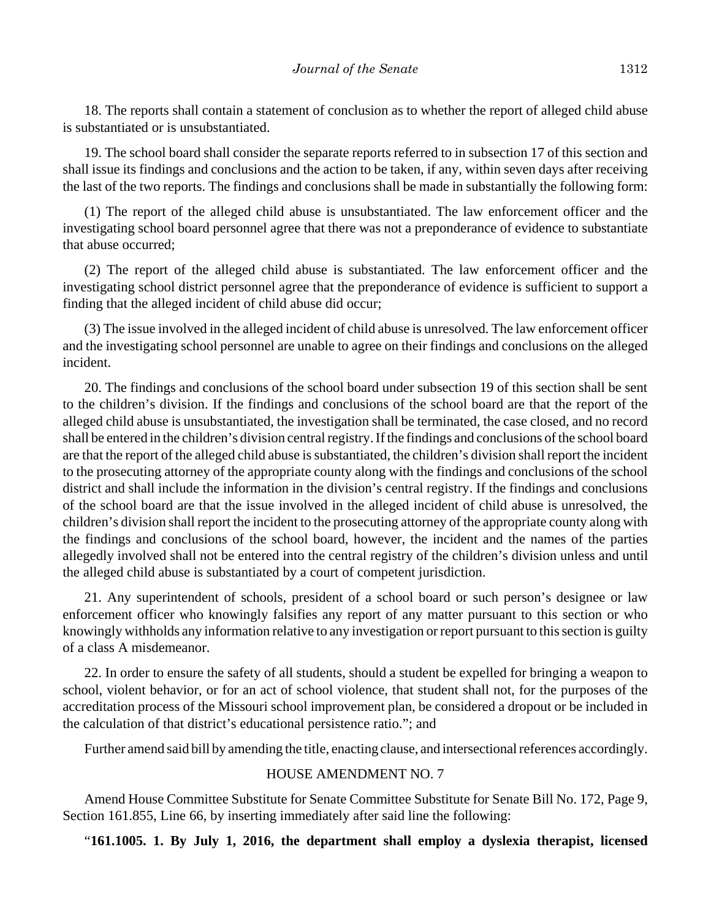18. The reports shall contain a statement of conclusion as to whether the report of alleged child abuse is substantiated or is unsubstantiated.

19. The school board shall consider the separate reports referred to in subsection 17 of this section and shall issue its findings and conclusions and the action to be taken, if any, within seven days after receiving the last of the two reports. The findings and conclusions shall be made in substantially the following form:

(1) The report of the alleged child abuse is unsubstantiated. The law enforcement officer and the investigating school board personnel agree that there was not a preponderance of evidence to substantiate that abuse occurred;

(2) The report of the alleged child abuse is substantiated. The law enforcement officer and the investigating school district personnel agree that the preponderance of evidence is sufficient to support a finding that the alleged incident of child abuse did occur;

(3) The issue involved in the alleged incident of child abuse is unresolved. The law enforcement officer and the investigating school personnel are unable to agree on their findings and conclusions on the alleged incident.

20. The findings and conclusions of the school board under subsection 19 of this section shall be sent to the children's division. If the findings and conclusions of the school board are that the report of the alleged child abuse is unsubstantiated, the investigation shall be terminated, the case closed, and no record shall be entered in the children's division central registry. If the findings and conclusions of the school board are that the report of the alleged child abuse is substantiated, the children's division shall report the incident to the prosecuting attorney of the appropriate county along with the findings and conclusions of the school district and shall include the information in the division's central registry. If the findings and conclusions of the school board are that the issue involved in the alleged incident of child abuse is unresolved, the children's division shall report the incident to the prosecuting attorney of the appropriate county along with the findings and conclusions of the school board, however, the incident and the names of the parties allegedly involved shall not be entered into the central registry of the children's division unless and until the alleged child abuse is substantiated by a court of competent jurisdiction.

21. Any superintendent of schools, president of a school board or such person's designee or law enforcement officer who knowingly falsifies any report of any matter pursuant to this section or who knowingly withholds any information relative to any investigation or report pursuant to this section is guilty of a class A misdemeanor.

22. In order to ensure the safety of all students, should a student be expelled for bringing a weapon to school, violent behavior, or for an act of school violence, that student shall not, for the purposes of the accreditation process of the Missouri school improvement plan, be considered a dropout or be included in the calculation of that district's educational persistence ratio."; and

Further amend said bill by amending the title, enacting clause, and intersectional references accordingly.

### HOUSE AMENDMENT NO. 7

Amend House Committee Substitute for Senate Committee Substitute for Senate Bill No. 172, Page 9, Section 161.855, Line 66, by inserting immediately after said line the following:

"**161.1005. 1. By July 1, 2016, the department shall employ a dyslexia therapist, licensed**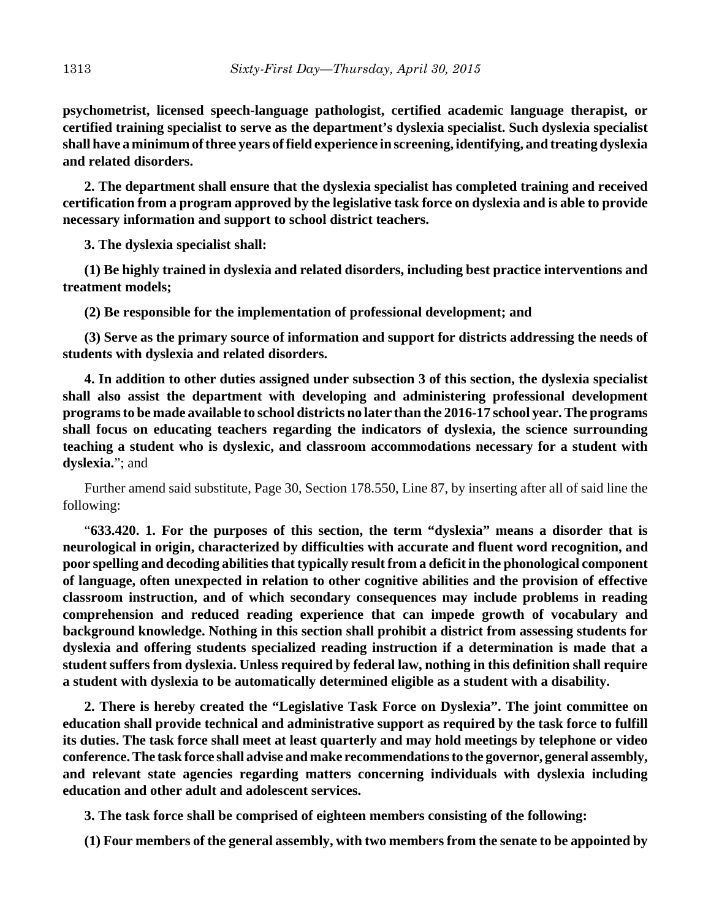**psychometrist, licensed speech-language pathologist, certified academic language therapist, or certified training specialist to serve as the department's dyslexia specialist. Such dyslexia specialist shall have a minimum of three years of field experience in screening, identifying, and treating dyslexia and related disorders.**

**2. The department shall ensure that the dyslexia specialist has completed training and received certification from a program approved by the legislative task force on dyslexia and is able to provide necessary information and support to school district teachers.**

**3. The dyslexia specialist shall:**

**(1) Be highly trained in dyslexia and related disorders, including best practice interventions and treatment models;**

**(2) Be responsible for the implementation of professional development; and**

**(3) Serve as the primary source of information and support for districts addressing the needs of students with dyslexia and related disorders.**

**4. In addition to other duties assigned under subsection 3 of this section, the dyslexia specialist shall also assist the department with developing and administering professional development programs to be made available to school districts no later than the 2016-17 school year. The programs shall focus on educating teachers regarding the indicators of dyslexia, the science surrounding teaching a student who is dyslexic, and classroom accommodations necessary for a student with dyslexia.**"; and

Further amend said substitute, Page 30, Section 178.550, Line 87, by inserting after all of said line the following:

"**633.420. 1. For the purposes of this section, the term "dyslexia" means a disorder that is neurological in origin, characterized by difficulties with accurate and fluent word recognition, and poor spelling and decoding abilities that typically result from a deficit in the phonological component of language, often unexpected in relation to other cognitive abilities and the provision of effective classroom instruction, and of which secondary consequences may include problems in reading comprehension and reduced reading experience that can impede growth of vocabulary and background knowledge. Nothing in this section shall prohibit a district from assessing students for dyslexia and offering students specialized reading instruction if a determination is made that a student suffers from dyslexia. Unless required by federal law, nothing in this definition shall require a student with dyslexia to be automatically determined eligible as a student with a disability.**

**2. There is hereby created the "Legislative Task Force on Dyslexia". The joint committee on education shall provide technical and administrative support as required by the task force to fulfill its duties. The task force shall meet at least quarterly and may hold meetings by telephone or video conference. The task force shall advise and make recommendations to the governor, general assembly, and relevant state agencies regarding matters concerning individuals with dyslexia including education and other adult and adolescent services.**

**3. The task force shall be comprised of eighteen members consisting of the following:**

**(1) Four members of the general assembly, with two members from the senate to be appointed by**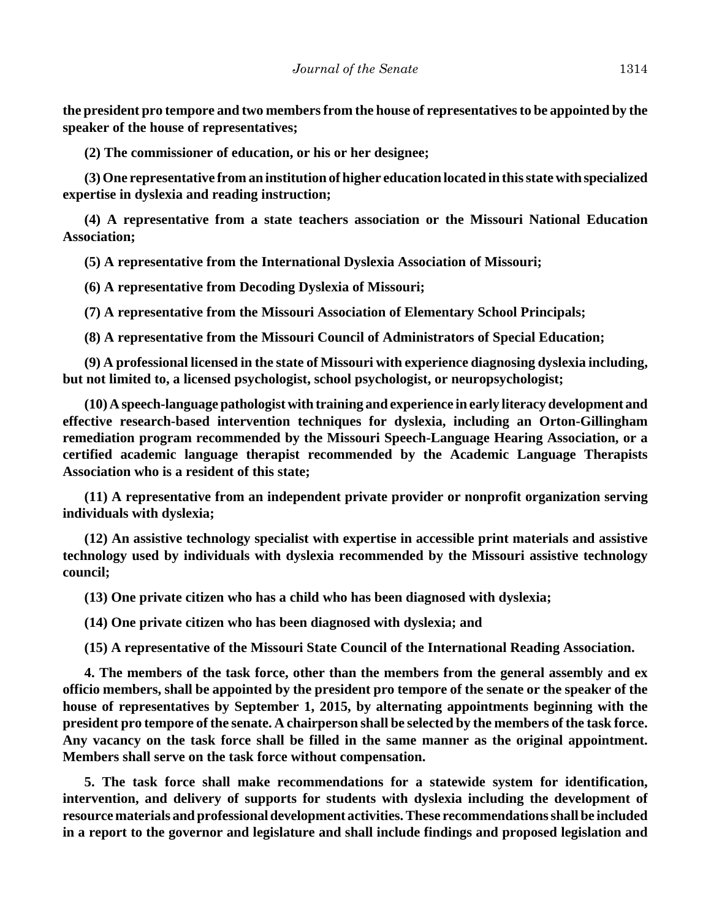**the president pro tempore and two members from the house of representatives to be appointed by the speaker of the house of representatives;**

**(2) The commissioner of education, or his or her designee;**

**(3) One representative from an institution of higher education located in this state with specialized expertise in dyslexia and reading instruction;**

**(4) A representative from a state teachers association or the Missouri National Education Association;**

**(5) A representative from the International Dyslexia Association of Missouri;**

**(6) A representative from Decoding Dyslexia of Missouri;**

**(7) A representative from the Missouri Association of Elementary School Principals;**

**(8) A representative from the Missouri Council of Administrators of Special Education;**

**(9) A professional licensed in the state of Missouri with experience diagnosing dyslexia including, but not limited to, a licensed psychologist, school psychologist, or neuropsychologist;**

**(10) A speech-language pathologist with training and experience in early literacy development and effective research-based intervention techniques for dyslexia, including an Orton-Gillingham remediation program recommended by the Missouri Speech-Language Hearing Association, or a certified academic language therapist recommended by the Academic Language Therapists Association who is a resident of this state;**

**(11) A representative from an independent private provider or nonprofit organization serving individuals with dyslexia;**

**(12) An assistive technology specialist with expertise in accessible print materials and assistive technology used by individuals with dyslexia recommended by the Missouri assistive technology council;**

**(13) One private citizen who has a child who has been diagnosed with dyslexia;**

**(14) One private citizen who has been diagnosed with dyslexia; and**

**(15) A representative of the Missouri State Council of the International Reading Association.**

**4. The members of the task force, other than the members from the general assembly and ex officio members, shall be appointed by the president pro tempore of the senate or the speaker of the house of representatives by September 1, 2015, by alternating appointments beginning with the president pro tempore of the senate. A chairperson shall be selected by the members of the task force. Any vacancy on the task force shall be filled in the same manner as the original appointment. Members shall serve on the task force without compensation.**

**5. The task force shall make recommendations for a statewide system for identification, intervention, and delivery of supports for students with dyslexia including the development of resource materials and professional development activities. These recommendations shall be included in a report to the governor and legislature and shall include findings and proposed legislation and**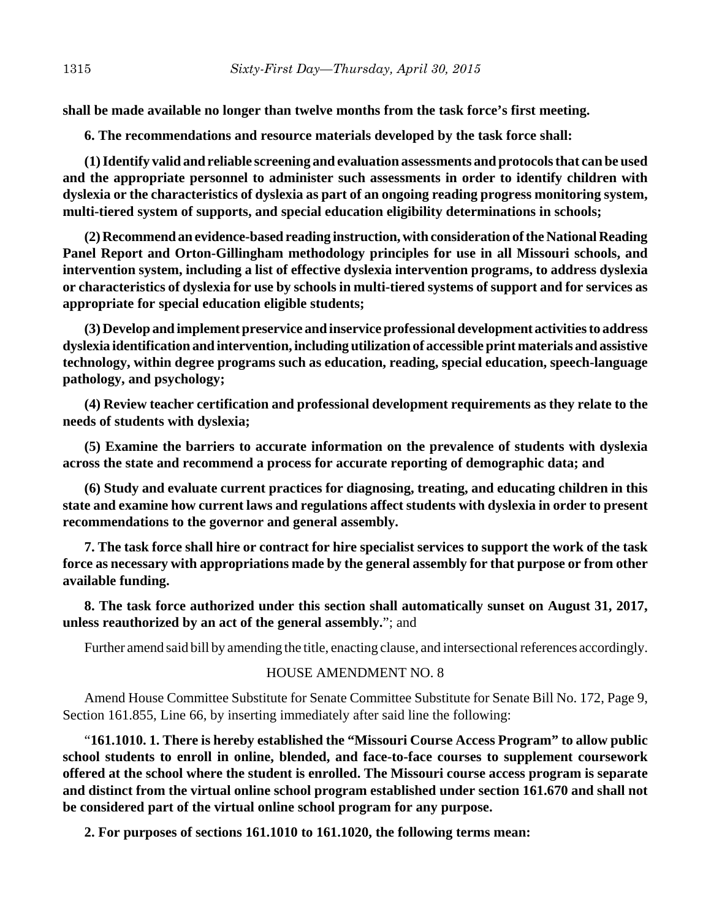**shall be made available no longer than twelve months from the task force's first meeting.**

**6. The recommendations and resource materials developed by the task force shall:**

**(1) Identify valid and reliable screening and evaluation assessments and protocols that can be used and the appropriate personnel to administer such assessments in order to identify children with dyslexia or the characteristics of dyslexia as part of an ongoing reading progress monitoring system, multi-tiered system of supports, and special education eligibility determinations in schools;**

**(2) Recommend an evidence-based reading instruction, with consideration of the National Reading Panel Report and Orton-Gillingham methodology principles for use in all Missouri schools, and intervention system, including a list of effective dyslexia intervention programs, to address dyslexia or characteristics of dyslexia for use by schools in multi-tiered systems of support and for services as appropriate for special education eligible students;**

**(3) Develop and implement preservice and inservice professional development activities to address dyslexia identification and intervention, including utilization of accessible print materials and assistive technology, within degree programs such as education, reading, special education, speech-language pathology, and psychology;**

**(4) Review teacher certification and professional development requirements as they relate to the needs of students with dyslexia;**

**(5) Examine the barriers to accurate information on the prevalence of students with dyslexia across the state and recommend a process for accurate reporting of demographic data; and**

**(6) Study and evaluate current practices for diagnosing, treating, and educating children in this state and examine how current laws and regulations affect students with dyslexia in order to present recommendations to the governor and general assembly.**

**7. The task force shall hire or contract for hire specialist services to support the work of the task force as necessary with appropriations made by the general assembly for that purpose or from other available funding.**

**8. The task force authorized under this section shall automatically sunset on August 31, 2017, unless reauthorized by an act of the general assembly.**"; and

Further amend said bill by amending the title, enacting clause, and intersectional references accordingly.

## HOUSE AMENDMENT NO. 8

Amend House Committee Substitute for Senate Committee Substitute for Senate Bill No. 172, Page 9, Section 161.855, Line 66, by inserting immediately after said line the following:

"**161.1010. 1. There is hereby established the "Missouri Course Access Program" to allow public school students to enroll in online, blended, and face-to-face courses to supplement coursework offered at the school where the student is enrolled. The Missouri course access program is separate and distinct from the virtual online school program established under section 161.670 and shall not be considered part of the virtual online school program for any purpose.**

**2. For purposes of sections 161.1010 to 161.1020, the following terms mean:**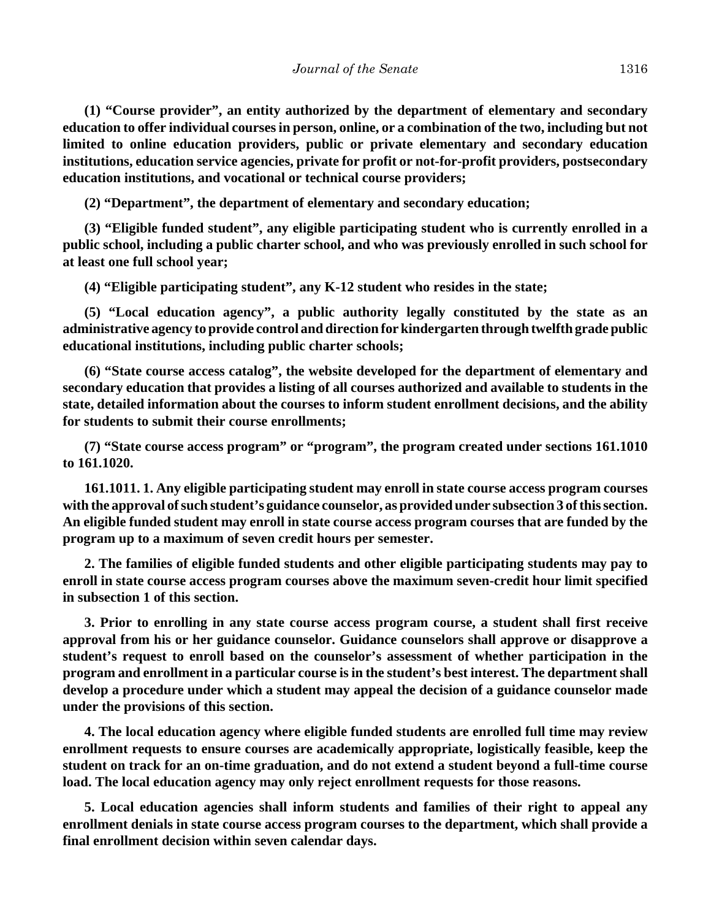**(1) "Course provider", an entity authorized by the department of elementary and secondary education to offer individual courses in person, online, or a combination of the two, including but not limited to online education providers, public or private elementary and secondary education institutions, education service agencies, private for profit or not-for-profit providers, postsecondary education institutions, and vocational or technical course providers;**

**(2) "Department", the department of elementary and secondary education;**

**(3) "Eligible funded student", any eligible participating student who is currently enrolled in a public school, including a public charter school, and who was previously enrolled in such school for at least one full school year;**

**(4) "Eligible participating student", any K-12 student who resides in the state;**

**(5) "Local education agency", a public authority legally constituted by the state as an administrative agency to provide control and direction for kindergarten through twelfth grade public educational institutions, including public charter schools;**

**(6) "State course access catalog", the website developed for the department of elementary and secondary education that provides a listing of all courses authorized and available to students in the state, detailed information about the courses to inform student enrollment decisions, and the ability for students to submit their course enrollments;**

**(7) "State course access program" or "program", the program created under sections 161.1010 to 161.1020.**

**161.1011. 1. Any eligible participating student may enroll in state course access program courses with the approval of such student's guidance counselor, as provided under subsection 3 of this section. An eligible funded student may enroll in state course access program courses that are funded by the program up to a maximum of seven credit hours per semester.**

**2. The families of eligible funded students and other eligible participating students may pay to enroll in state course access program courses above the maximum seven-credit hour limit specified in subsection 1 of this section.**

**3. Prior to enrolling in any state course access program course, a student shall first receive approval from his or her guidance counselor. Guidance counselors shall approve or disapprove a student's request to enroll based on the counselor's assessment of whether participation in the program and enrollment in a particular course is in the student's best interest. The department shall develop a procedure under which a student may appeal the decision of a guidance counselor made under the provisions of this section.**

**4. The local education agency where eligible funded students are enrolled full time may review enrollment requests to ensure courses are academically appropriate, logistically feasible, keep the student on track for an on-time graduation, and do not extend a student beyond a full-time course load. The local education agency may only reject enrollment requests for those reasons.**

**5. Local education agencies shall inform students and families of their right to appeal any enrollment denials in state course access program courses to the department, which shall provide a final enrollment decision within seven calendar days.**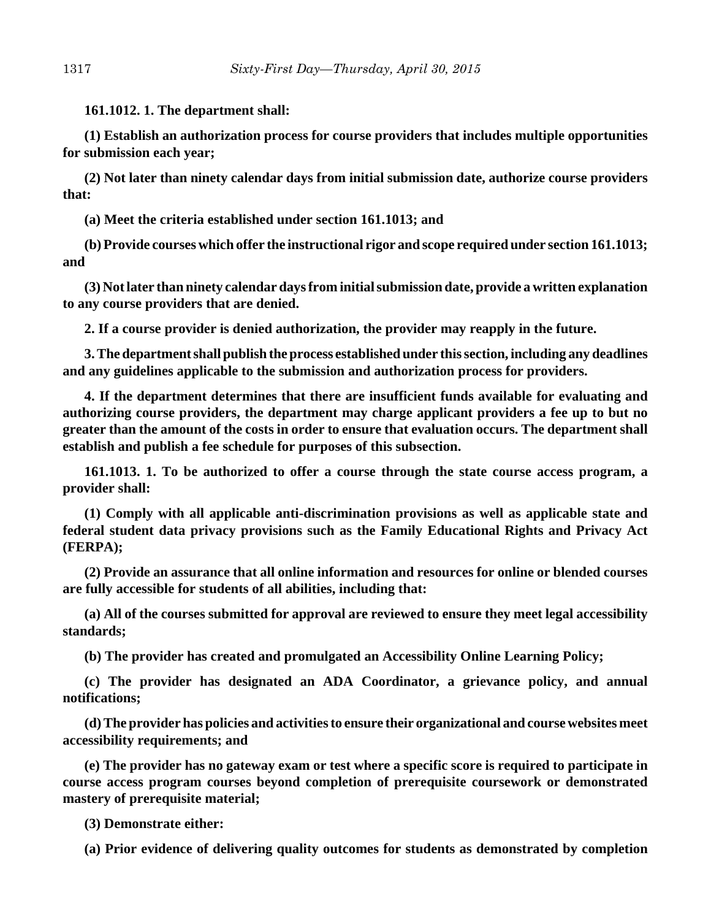**161.1012. 1. The department shall:**

**(1) Establish an authorization process for course providers that includes multiple opportunities for submission each year;**

**(2) Not later than ninety calendar days from initial submission date, authorize course providers that:**

**(a) Meet the criteria established under section 161.1013; and**

**(b) Provide courses which offer the instructional rigor and scope required under section 161.1013; and**

**(3) Not later than ninety calendar days from initial submission date, provide a written explanation to any course providers that are denied.**

**2. If a course provider is denied authorization, the provider may reapply in the future.**

**3. The department shall publish the process established under this section, including any deadlines and any guidelines applicable to the submission and authorization process for providers.**

**4. If the department determines that there are insufficient funds available for evaluating and authorizing course providers, the department may charge applicant providers a fee up to but no greater than the amount of the costs in order to ensure that evaluation occurs. The department shall establish and publish a fee schedule for purposes of this subsection.**

**161.1013. 1. To be authorized to offer a course through the state course access program, a provider shall:**

**(1) Comply with all applicable anti-discrimination provisions as well as applicable state and federal student data privacy provisions such as the Family Educational Rights and Privacy Act (FERPA);**

**(2) Provide an assurance that all online information and resources for online or blended courses are fully accessible for students of all abilities, including that:**

**(a) All of the courses submitted for approval are reviewed to ensure they meet legal accessibility standards;**

**(b) The provider has created and promulgated an Accessibility Online Learning Policy;**

**(c) The provider has designated an ADA Coordinator, a grievance policy, and annual notifications;**

**(d) The provider has policies and activities to ensure their organizational and course websites meet accessibility requirements; and**

**(e) The provider has no gateway exam or test where a specific score is required to participate in course access program courses beyond completion of prerequisite coursework or demonstrated mastery of prerequisite material;**

**(3) Demonstrate either:**

**(a) Prior evidence of delivering quality outcomes for students as demonstrated by completion**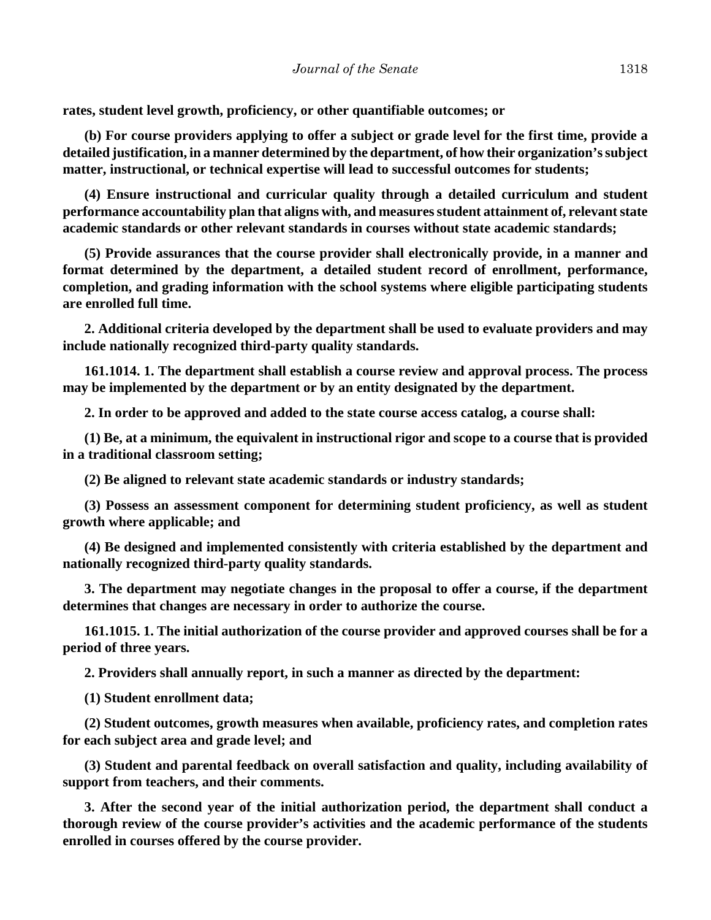**rates, student level growth, proficiency, or other quantifiable outcomes; or**

**(b) For course providers applying to offer a subject or grade level for the first time, provide a detailed justification, in a manner determined by the department, of how their organization's subject matter, instructional, or technical expertise will lead to successful outcomes for students;**

**(4) Ensure instructional and curricular quality through a detailed curriculum and student performance accountability plan that aligns with, and measures student attainment of, relevant state academic standards or other relevant standards in courses without state academic standards;**

**(5) Provide assurances that the course provider shall electronically provide, in a manner and format determined by the department, a detailed student record of enrollment, performance, completion, and grading information with the school systems where eligible participating students are enrolled full time.**

**2. Additional criteria developed by the department shall be used to evaluate providers and may include nationally recognized third-party quality standards.**

**161.1014. 1. The department shall establish a course review and approval process. The process may be implemented by the department or by an entity designated by the department.**

**2. In order to be approved and added to the state course access catalog, a course shall:**

**(1) Be, at a minimum, the equivalent in instructional rigor and scope to a course that is provided in a traditional classroom setting;**

**(2) Be aligned to relevant state academic standards or industry standards;**

**(3) Possess an assessment component for determining student proficiency, as well as student growth where applicable; and**

**(4) Be designed and implemented consistently with criteria established by the department and nationally recognized third-party quality standards.**

**3. The department may negotiate changes in the proposal to offer a course, if the department determines that changes are necessary in order to authorize the course.**

**161.1015. 1. The initial authorization of the course provider and approved courses shall be for a period of three years.**

**2. Providers shall annually report, in such a manner as directed by the department:**

**(1) Student enrollment data;**

**(2) Student outcomes, growth measures when available, proficiency rates, and completion rates for each subject area and grade level; and**

**(3) Student and parental feedback on overall satisfaction and quality, including availability of support from teachers, and their comments.**

**3. After the second year of the initial authorization period, the department shall conduct a thorough review of the course provider's activities and the academic performance of the students enrolled in courses offered by the course provider.**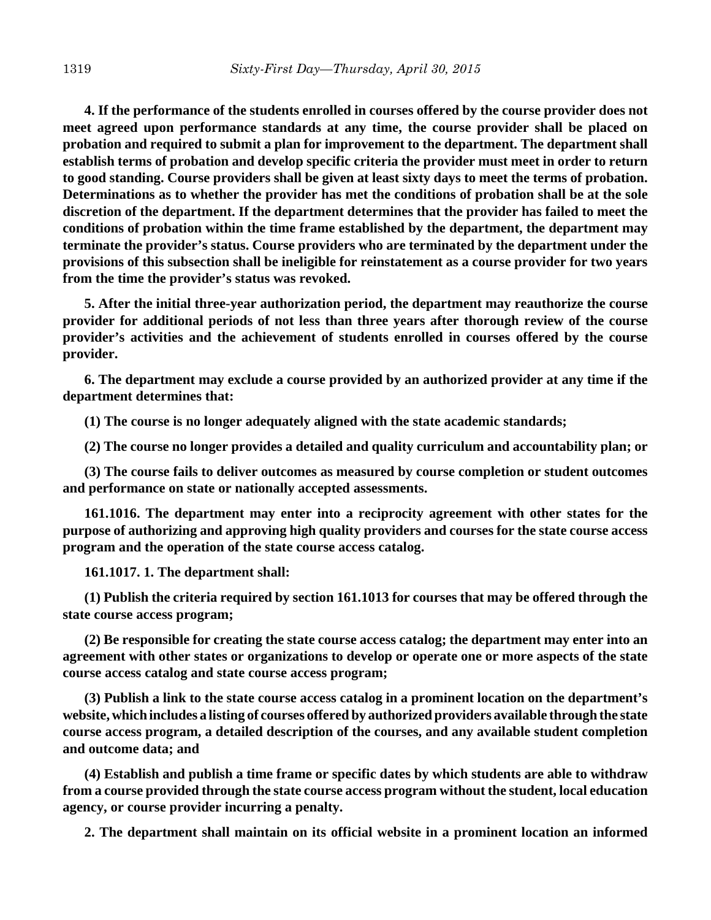**4. If the performance of the students enrolled in courses offered by the course provider does not meet agreed upon performance standards at any time, the course provider shall be placed on probation and required to submit a plan for improvement to the department. The department shall establish terms of probation and develop specific criteria the provider must meet in order to return to good standing. Course providers shall be given at least sixty days to meet the terms of probation. Determinations as to whether the provider has met the conditions of probation shall be at the sole discretion of the department. If the department determines that the provider has failed to meet the conditions of probation within the time frame established by the department, the department may terminate the provider's status. Course providers who are terminated by the department under the provisions of this subsection shall be ineligible for reinstatement as a course provider for two years from the time the provider's status was revoked.**

**5. After the initial three-year authorization period, the department may reauthorize the course provider for additional periods of not less than three years after thorough review of the course provider's activities and the achievement of students enrolled in courses offered by the course provider.**

**6. The department may exclude a course provided by an authorized provider at any time if the department determines that:**

**(1) The course is no longer adequately aligned with the state academic standards;**

**(2) The course no longer provides a detailed and quality curriculum and accountability plan; or**

**(3) The course fails to deliver outcomes as measured by course completion or student outcomes and performance on state or nationally accepted assessments.**

**161.1016. The department may enter into a reciprocity agreement with other states for the purpose of authorizing and approving high quality providers and courses for the state course access program and the operation of the state course access catalog.**

**161.1017. 1. The department shall:**

**(1) Publish the criteria required by section 161.1013 for courses that may be offered through the state course access program;**

**(2) Be responsible for creating the state course access catalog; the department may enter into an agreement with other states or organizations to develop or operate one or more aspects of the state course access catalog and state course access program;**

**(3) Publish a link to the state course access catalog in a prominent location on the department's website, which includes a listing of courses offered by authorized providers available through the state course access program, a detailed description of the courses, and any available student completion and outcome data; and**

**(4) Establish and publish a time frame or specific dates by which students are able to withdraw from a course provided through the state course access program without the student, local education agency, or course provider incurring a penalty.**

**2. The department shall maintain on its official website in a prominent location an informed**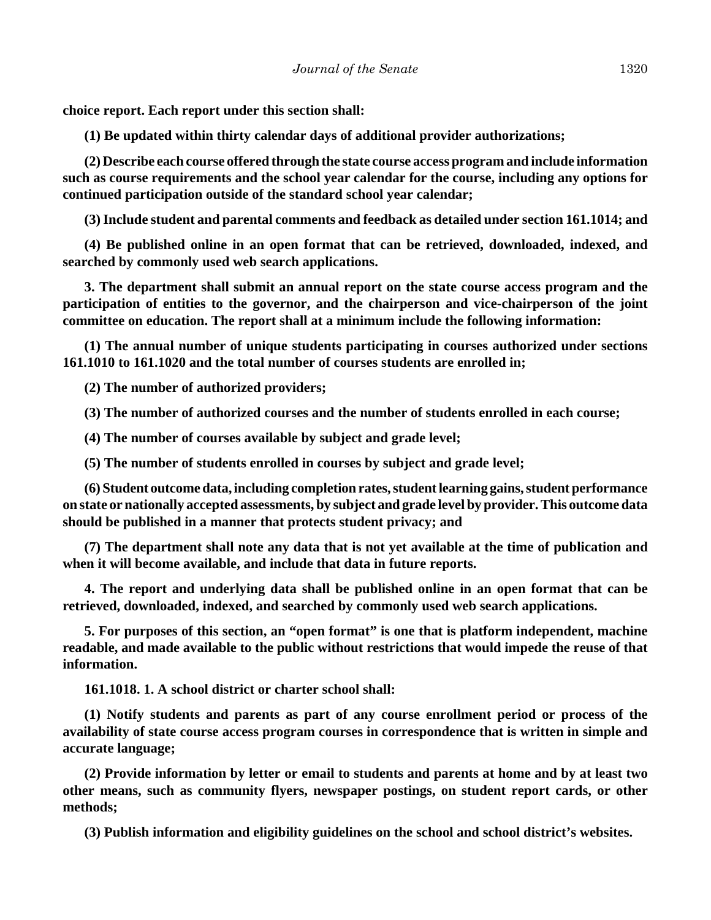**choice report. Each report under this section shall:**

**(1) Be updated within thirty calendar days of additional provider authorizations;**

**(2) Describe each course offered through the state course access program and include information such as course requirements and the school year calendar for the course, including any options for continued participation outside of the standard school year calendar;**

**(3) Include student and parental comments and feedback as detailed under section 161.1014; and**

**(4) Be published online in an open format that can be retrieved, downloaded, indexed, and searched by commonly used web search applications.**

**3. The department shall submit an annual report on the state course access program and the participation of entities to the governor, and the chairperson and vice-chairperson of the joint committee on education. The report shall at a minimum include the following information:**

**(1) The annual number of unique students participating in courses authorized under sections 161.1010 to 161.1020 and the total number of courses students are enrolled in;**

**(2) The number of authorized providers;**

**(3) The number of authorized courses and the number of students enrolled in each course;**

**(4) The number of courses available by subject and grade level;**

**(5) The number of students enrolled in courses by subject and grade level;**

**(6) Student outcome data, including completion rates, student learning gains, student performance on state or nationally accepted assessments, by subject and grade level by provider. This outcome data should be published in a manner that protects student privacy; and**

**(7) The department shall note any data that is not yet available at the time of publication and when it will become available, and include that data in future reports.**

**4. The report and underlying data shall be published online in an open format that can be retrieved, downloaded, indexed, and searched by commonly used web search applications.**

**5. For purposes of this section, an "open format" is one that is platform independent, machine readable, and made available to the public without restrictions that would impede the reuse of that information.**

**161.1018. 1. A school district or charter school shall:**

**(1) Notify students and parents as part of any course enrollment period or process of the availability of state course access program courses in correspondence that is written in simple and accurate language;**

**(2) Provide information by letter or email to students and parents at home and by at least two other means, such as community flyers, newspaper postings, on student report cards, or other methods;**

**(3) Publish information and eligibility guidelines on the school and school district's websites.**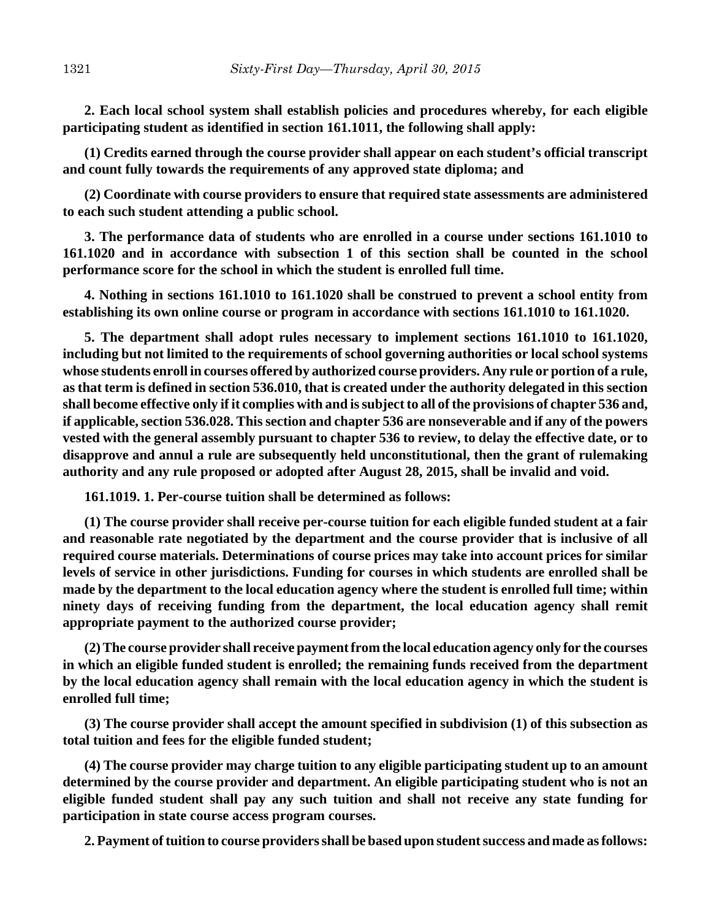**2. Each local school system shall establish policies and procedures whereby, for each eligible participating student as identified in section 161.1011, the following shall apply:**

**(1) Credits earned through the course provider shall appear on each student's official transcript and count fully towards the requirements of any approved state diploma; and**

**(2) Coordinate with course providers to ensure that required state assessments are administered to each such student attending a public school.**

**3. The performance data of students who are enrolled in a course under sections 161.1010 to 161.1020 and in accordance with subsection 1 of this section shall be counted in the school performance score for the school in which the student is enrolled full time.**

**4. Nothing in sections 161.1010 to 161.1020 shall be construed to prevent a school entity from establishing its own online course or program in accordance with sections 161.1010 to 161.1020.**

**5. The department shall adopt rules necessary to implement sections 161.1010 to 161.1020, including but not limited to the requirements of school governing authorities or local school systems whose students enroll in courses offered by authorized course providers. Any rule or portion of a rule, as that term is defined in section 536.010, that is created under the authority delegated in this section shall become effective only if it complies with and is subject to all of the provisions of chapter 536 and, if applicable, section 536.028. This section and chapter 536 are nonseverable and if any of the powers vested with the general assembly pursuant to chapter 536 to review, to delay the effective date, or to disapprove and annul a rule are subsequently held unconstitutional, then the grant of rulemaking authority and any rule proposed or adopted after August 28, 2015, shall be invalid and void.**

**161.1019. 1. Per-course tuition shall be determined as follows:**

**(1) The course provider shall receive per-course tuition for each eligible funded student at a fair and reasonable rate negotiated by the department and the course provider that is inclusive of all required course materials. Determinations of course prices may take into account prices for similar levels of service in other jurisdictions. Funding for courses in which students are enrolled shall be made by the department to the local education agency where the student is enrolled full time; within ninety days of receiving funding from the department, the local education agency shall remit appropriate payment to the authorized course provider;**

**(2) The course provider shall receive payment from the local education agency only for the courses in which an eligible funded student is enrolled; the remaining funds received from the department by the local education agency shall remain with the local education agency in which the student is enrolled full time;**

**(3) The course provider shall accept the amount specified in subdivision (1) of this subsection as total tuition and fees for the eligible funded student;**

**(4) The course provider may charge tuition to any eligible participating student up to an amount determined by the course provider and department. An eligible participating student who is not an eligible funded student shall pay any such tuition and shall not receive any state funding for participation in state course access program courses.**

**2. Payment of tuition to course providers shall be based upon student success and made as follows:**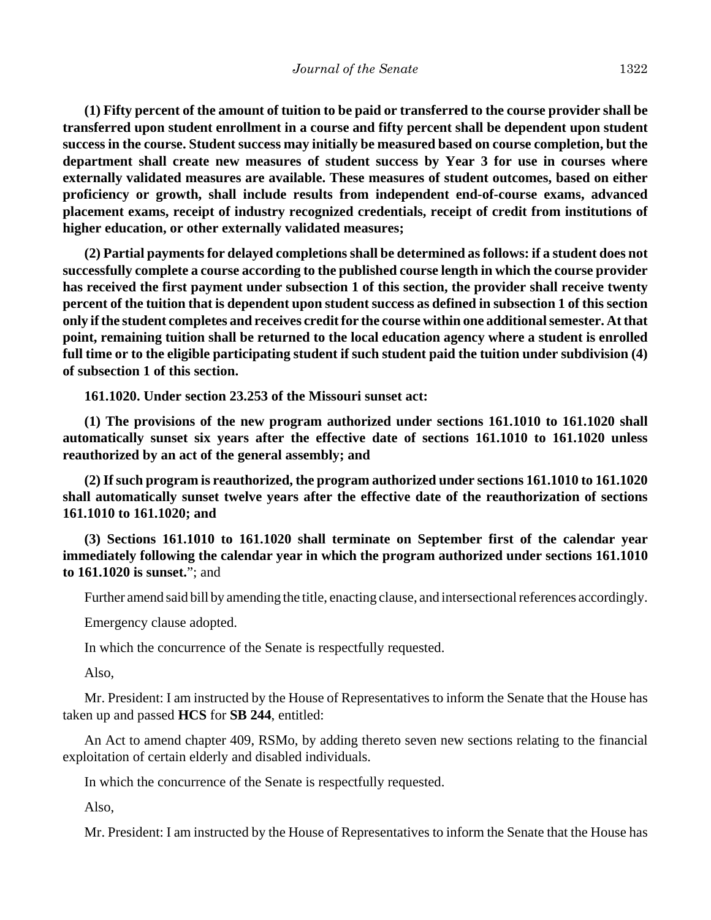**(1) Fifty percent of the amount of tuition to be paid or transferred to the course provider shall be transferred upon student enrollment in a course and fifty percent shall be dependent upon student success in the course. Student success may initially be measured based on course completion, but the department shall create new measures of student success by Year 3 for use in courses where externally validated measures are available. These measures of student outcomes, based on either proficiency or growth, shall include results from independent end-of-course exams, advanced placement exams, receipt of industry recognized credentials, receipt of credit from institutions of higher education, or other externally validated measures;**

**(2) Partial payments for delayed completions shall be determined as follows: if a student does not successfully complete a course according to the published course length in which the course provider has received the first payment under subsection 1 of this section, the provider shall receive twenty percent of the tuition that is dependent upon student success as defined in subsection 1 of this section only if the student completes and receives credit for the course within one additional semester. At that point, remaining tuition shall be returned to the local education agency where a student is enrolled full time or to the eligible participating student if such student paid the tuition under subdivision (4) of subsection 1 of this section.**

**161.1020. Under section 23.253 of the Missouri sunset act:**

**(1) The provisions of the new program authorized under sections 161.1010 to 161.1020 shall automatically sunset six years after the effective date of sections 161.1010 to 161.1020 unless reauthorized by an act of the general assembly; and**

**(2) If such program is reauthorized, the program authorized under sections 161.1010 to 161.1020 shall automatically sunset twelve years after the effective date of the reauthorization of sections 161.1010 to 161.1020; and**

**(3) Sections 161.1010 to 161.1020 shall terminate on September first of the calendar year immediately following the calendar year in which the program authorized under sections 161.1010 to 161.1020 is sunset.**"; and

Further amend said bill by amending the title, enacting clause, and intersectional references accordingly.

Emergency clause adopted.

In which the concurrence of the Senate is respectfully requested.

Also,

Mr. President: I am instructed by the House of Representatives to inform the Senate that the House has taken up and passed **HCS** for **SB 244**, entitled:

An Act to amend chapter 409, RSMo, by adding thereto seven new sections relating to the financial exploitation of certain elderly and disabled individuals.

In which the concurrence of the Senate is respectfully requested.

Also,

Mr. President: I am instructed by the House of Representatives to inform the Senate that the House has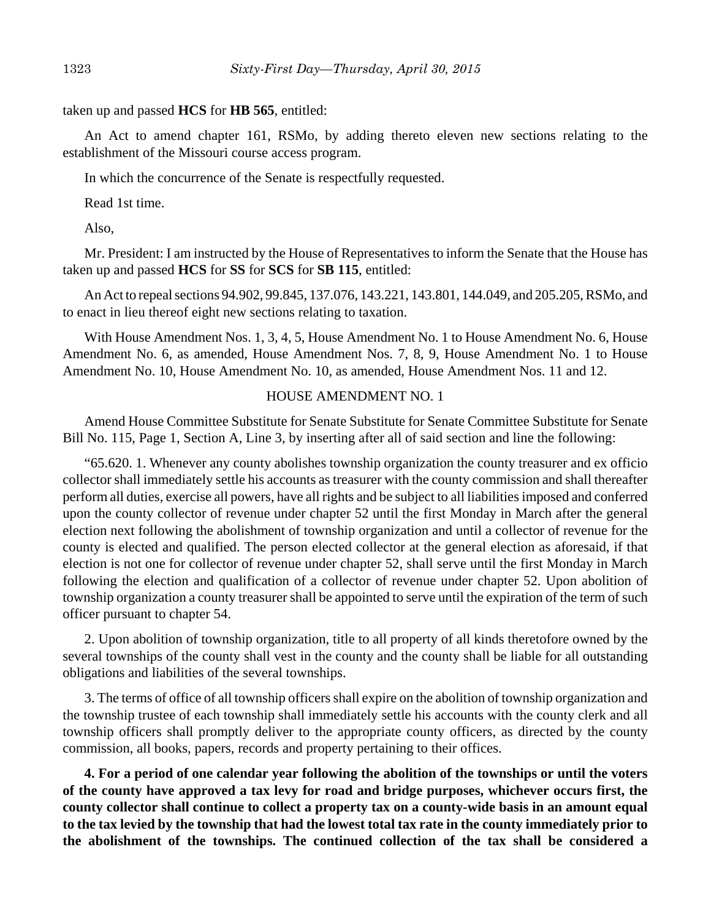taken up and passed **HCS** for **HB 565**, entitled:

An Act to amend chapter 161, RSMo, by adding thereto eleven new sections relating to the establishment of the Missouri course access program.

In which the concurrence of the Senate is respectfully requested.

Read 1st time.

Also,

Mr. President: I am instructed by the House of Representatives to inform the Senate that the House has taken up and passed **HCS** for **SS** for **SCS** for **SB 115**, entitled:

An Act to repeal sections 94.902, 99.845, 137.076, 143.221, 143.801, 144.049, and 205.205, RSMo, and to enact in lieu thereof eight new sections relating to taxation.

With House Amendment Nos. 1, 3, 4, 5, House Amendment No. 1 to House Amendment No. 6, House Amendment No. 6, as amended, House Amendment Nos. 7, 8, 9, House Amendment No. 1 to House Amendment No. 10, House Amendment No. 10, as amended, House Amendment Nos. 11 and 12.

#### HOUSE AMENDMENT NO. 1

Amend House Committee Substitute for Senate Substitute for Senate Committee Substitute for Senate Bill No. 115, Page 1, Section A, Line 3, by inserting after all of said section and line the following:

"65.620. 1. Whenever any county abolishes township organization the county treasurer and ex officio collector shall immediately settle his accounts as treasurer with the county commission and shall thereafter perform all duties, exercise all powers, have all rights and be subject to all liabilities imposed and conferred upon the county collector of revenue under chapter 52 until the first Monday in March after the general election next following the abolishment of township organization and until a collector of revenue for the county is elected and qualified. The person elected collector at the general election as aforesaid, if that election is not one for collector of revenue under chapter 52, shall serve until the first Monday in March following the election and qualification of a collector of revenue under chapter 52. Upon abolition of township organization a county treasurer shall be appointed to serve until the expiration of the term of such officer pursuant to chapter 54.

2. Upon abolition of township organization, title to all property of all kinds theretofore owned by the several townships of the county shall vest in the county and the county shall be liable for all outstanding obligations and liabilities of the several townships.

3. The terms of office of all township officers shall expire on the abolition of township organization and the township trustee of each township shall immediately settle his accounts with the county clerk and all township officers shall promptly deliver to the appropriate county officers, as directed by the county commission, all books, papers, records and property pertaining to their offices.

**4. For a period of one calendar year following the abolition of the townships or until the voters of the county have approved a tax levy for road and bridge purposes, whichever occurs first, the county collector shall continue to collect a property tax on a county-wide basis in an amount equal to the tax levied by the township that had the lowest total tax rate in the county immediately prior to the abolishment of the townships. The continued collection of the tax shall be considered a**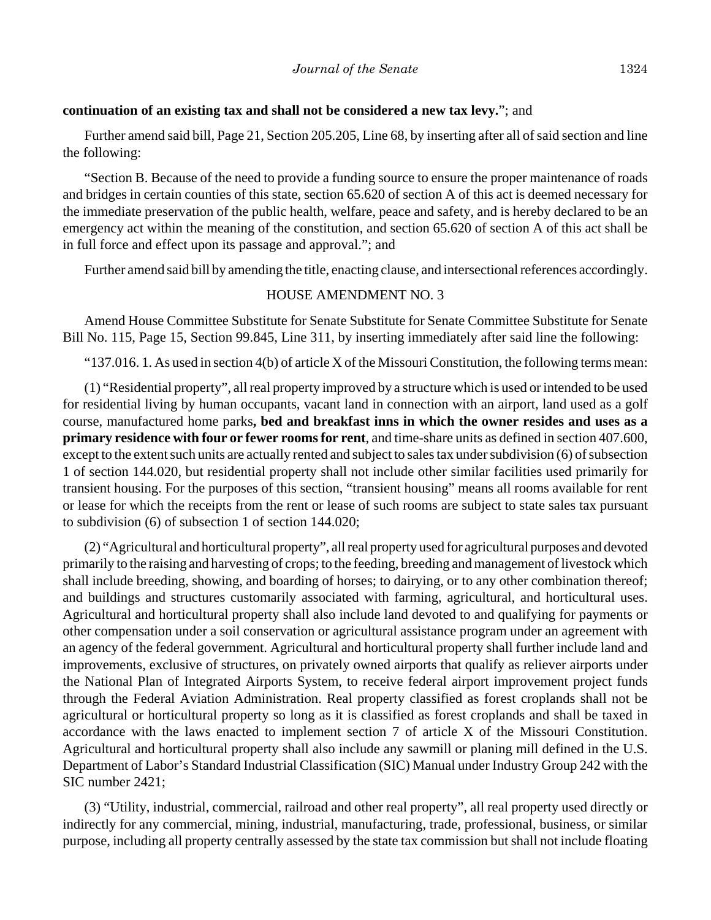#### **continuation of an existing tax and shall not be considered a new tax levy.**"; and

Further amend said bill, Page 21, Section 205.205, Line 68, by inserting after all of said section and line the following:

"Section B. Because of the need to provide a funding source to ensure the proper maintenance of roads and bridges in certain counties of this state, section 65.620 of section A of this act is deemed necessary for the immediate preservation of the public health, welfare, peace and safety, and is hereby declared to be an emergency act within the meaning of the constitution, and section 65.620 of section A of this act shall be in full force and effect upon its passage and approval."; and

Further amend said bill by amending the title, enacting clause, and intersectional references accordingly.

## HOUSE AMENDMENT NO. 3

Amend House Committee Substitute for Senate Substitute for Senate Committee Substitute for Senate Bill No. 115, Page 15, Section 99.845, Line 311, by inserting immediately after said line the following:

"137.016. 1. As used in section  $4(b)$  of article X of the Missouri Constitution, the following terms mean:

(1) "Residential property", all real property improved by a structure which is used or intended to be used for residential living by human occupants, vacant land in connection with an airport, land used as a golf course, manufactured home parks**, bed and breakfast inns in which the owner resides and uses as a primary residence with four or fewer rooms for rent**, and time-share units as defined in section 407.600, except to the extent such units are actually rented and subject to sales tax under subdivision (6) of subsection 1 of section 144.020, but residential property shall not include other similar facilities used primarily for transient housing. For the purposes of this section, "transient housing" means all rooms available for rent or lease for which the receipts from the rent or lease of such rooms are subject to state sales tax pursuant to subdivision (6) of subsection 1 of section 144.020;

(2) "Agricultural and horticultural property", all real property used for agricultural purposes and devoted primarily to the raising and harvesting of crops; to the feeding, breeding and management of livestock which shall include breeding, showing, and boarding of horses; to dairying, or to any other combination thereof; and buildings and structures customarily associated with farming, agricultural, and horticultural uses. Agricultural and horticultural property shall also include land devoted to and qualifying for payments or other compensation under a soil conservation or agricultural assistance program under an agreement with an agency of the federal government. Agricultural and horticultural property shall further include land and improvements, exclusive of structures, on privately owned airports that qualify as reliever airports under the National Plan of Integrated Airports System, to receive federal airport improvement project funds through the Federal Aviation Administration. Real property classified as forest croplands shall not be agricultural or horticultural property so long as it is classified as forest croplands and shall be taxed in accordance with the laws enacted to implement section 7 of article X of the Missouri Constitution. Agricultural and horticultural property shall also include any sawmill or planing mill defined in the U.S. Department of Labor's Standard Industrial Classification (SIC) Manual under Industry Group 242 with the SIC number 2421;

(3) "Utility, industrial, commercial, railroad and other real property", all real property used directly or indirectly for any commercial, mining, industrial, manufacturing, trade, professional, business, or similar purpose, including all property centrally assessed by the state tax commission but shall not include floating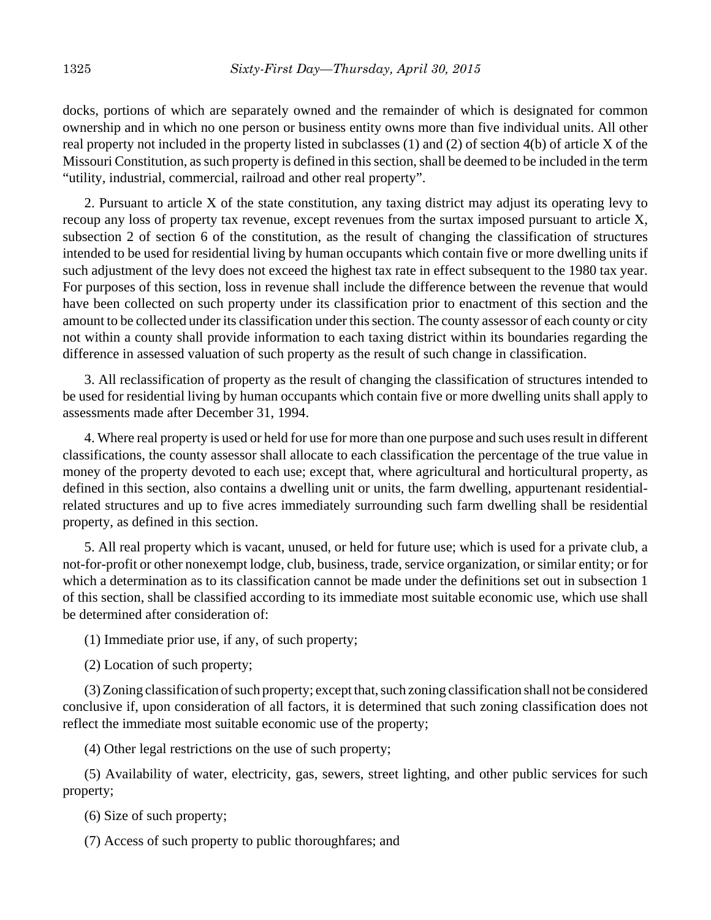docks, portions of which are separately owned and the remainder of which is designated for common ownership and in which no one person or business entity owns more than five individual units. All other real property not included in the property listed in subclasses (1) and (2) of section 4(b) of article X of the Missouri Constitution, as such property is defined in this section, shall be deemed to be included in the term "utility, industrial, commercial, railroad and other real property".

2. Pursuant to article X of the state constitution, any taxing district may adjust its operating levy to recoup any loss of property tax revenue, except revenues from the surtax imposed pursuant to article X, subsection 2 of section 6 of the constitution, as the result of changing the classification of structures intended to be used for residential living by human occupants which contain five or more dwelling units if such adjustment of the levy does not exceed the highest tax rate in effect subsequent to the 1980 tax year. For purposes of this section, loss in revenue shall include the difference between the revenue that would have been collected on such property under its classification prior to enactment of this section and the amount to be collected under its classification under this section. The county assessor of each county or city not within a county shall provide information to each taxing district within its boundaries regarding the difference in assessed valuation of such property as the result of such change in classification.

3. All reclassification of property as the result of changing the classification of structures intended to be used for residential living by human occupants which contain five or more dwelling units shall apply to assessments made after December 31, 1994.

4. Where real property is used or held for use for more than one purpose and such uses result in different classifications, the county assessor shall allocate to each classification the percentage of the true value in money of the property devoted to each use; except that, where agricultural and horticultural property, as defined in this section, also contains a dwelling unit or units, the farm dwelling, appurtenant residentialrelated structures and up to five acres immediately surrounding such farm dwelling shall be residential property, as defined in this section.

5. All real property which is vacant, unused, or held for future use; which is used for a private club, a not-for-profit or other nonexempt lodge, club, business, trade, service organization, or similar entity; or for which a determination as to its classification cannot be made under the definitions set out in subsection 1 of this section, shall be classified according to its immediate most suitable economic use, which use shall be determined after consideration of:

(1) Immediate prior use, if any, of such property;

(2) Location of such property;

(3) Zoning classification of such property; except that, such zoning classification shall not be considered conclusive if, upon consideration of all factors, it is determined that such zoning classification does not reflect the immediate most suitable economic use of the property;

(4) Other legal restrictions on the use of such property;

(5) Availability of water, electricity, gas, sewers, street lighting, and other public services for such property;

(6) Size of such property;

(7) Access of such property to public thoroughfares; and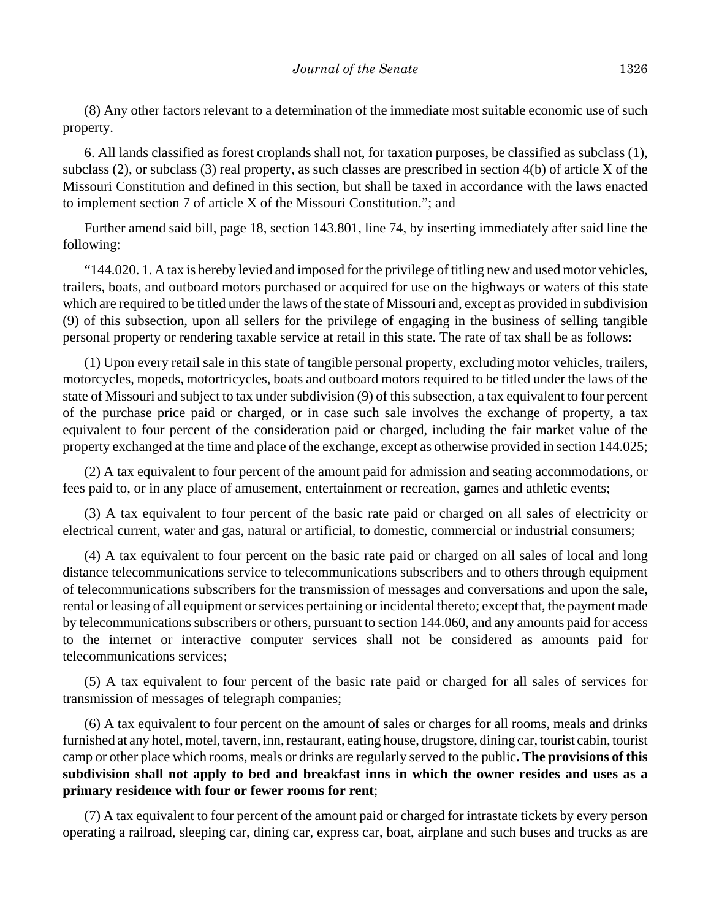(8) Any other factors relevant to a determination of the immediate most suitable economic use of such property.

6. All lands classified as forest croplands shall not, for taxation purposes, be classified as subclass (1), subclass (2), or subclass (3) real property, as such classes are prescribed in section 4(b) of article X of the Missouri Constitution and defined in this section, but shall be taxed in accordance with the laws enacted to implement section 7 of article X of the Missouri Constitution."; and

Further amend said bill, page 18, section 143.801, line 74, by inserting immediately after said line the following:

"144.020. 1. A tax is hereby levied and imposed for the privilege of titling new and used motor vehicles, trailers, boats, and outboard motors purchased or acquired for use on the highways or waters of this state which are required to be titled under the laws of the state of Missouri and, except as provided in subdivision (9) of this subsection, upon all sellers for the privilege of engaging in the business of selling tangible personal property or rendering taxable service at retail in this state. The rate of tax shall be as follows:

(1) Upon every retail sale in this state of tangible personal property, excluding motor vehicles, trailers, motorcycles, mopeds, motortricycles, boats and outboard motors required to be titled under the laws of the state of Missouri and subject to tax under subdivision (9) of this subsection, a tax equivalent to four percent of the purchase price paid or charged, or in case such sale involves the exchange of property, a tax equivalent to four percent of the consideration paid or charged, including the fair market value of the property exchanged at the time and place of the exchange, except as otherwise provided in section 144.025;

(2) A tax equivalent to four percent of the amount paid for admission and seating accommodations, or fees paid to, or in any place of amusement, entertainment or recreation, games and athletic events;

(3) A tax equivalent to four percent of the basic rate paid or charged on all sales of electricity or electrical current, water and gas, natural or artificial, to domestic, commercial or industrial consumers;

(4) A tax equivalent to four percent on the basic rate paid or charged on all sales of local and long distance telecommunications service to telecommunications subscribers and to others through equipment of telecommunications subscribers for the transmission of messages and conversations and upon the sale, rental or leasing of all equipment or services pertaining or incidental thereto; except that, the payment made by telecommunications subscribers or others, pursuant to section 144.060, and any amounts paid for access to the internet or interactive computer services shall not be considered as amounts paid for telecommunications services;

(5) A tax equivalent to four percent of the basic rate paid or charged for all sales of services for transmission of messages of telegraph companies;

(6) A tax equivalent to four percent on the amount of sales or charges for all rooms, meals and drinks furnished at any hotel, motel, tavern, inn, restaurant, eating house, drugstore, dining car, tourist cabin, tourist camp or other place which rooms, meals or drinks are regularly served to the public**. The provisions of this subdivision shall not apply to bed and breakfast inns in which the owner resides and uses as a primary residence with four or fewer rooms for rent**;

(7) A tax equivalent to four percent of the amount paid or charged for intrastate tickets by every person operating a railroad, sleeping car, dining car, express car, boat, airplane and such buses and trucks as are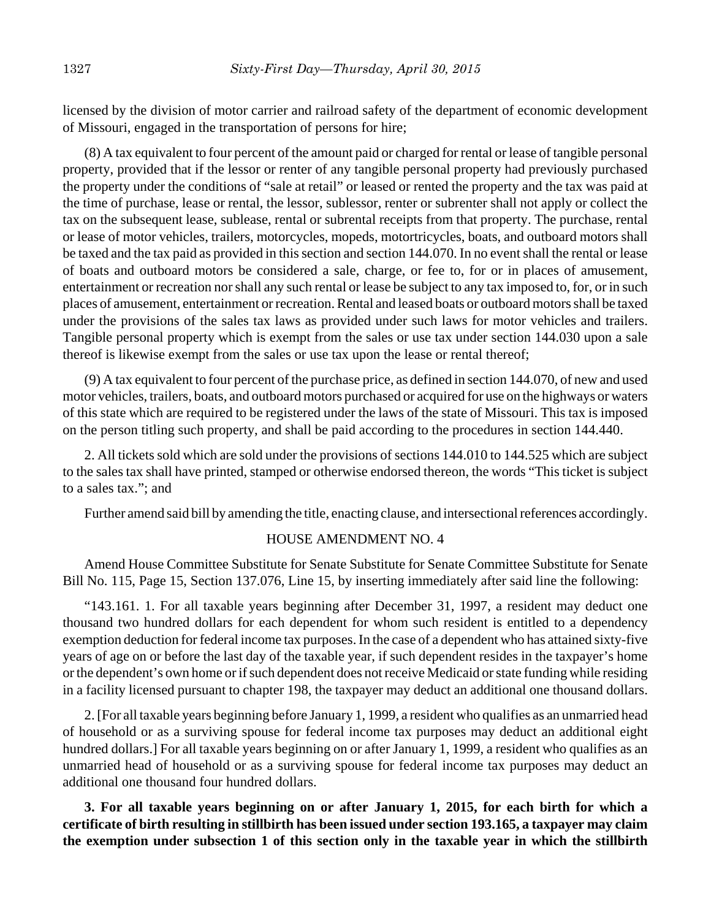licensed by the division of motor carrier and railroad safety of the department of economic development of Missouri, engaged in the transportation of persons for hire;

(8) A tax equivalent to four percent of the amount paid or charged for rental or lease of tangible personal property, provided that if the lessor or renter of any tangible personal property had previously purchased the property under the conditions of "sale at retail" or leased or rented the property and the tax was paid at the time of purchase, lease or rental, the lessor, sublessor, renter or subrenter shall not apply or collect the tax on the subsequent lease, sublease, rental or subrental receipts from that property. The purchase, rental or lease of motor vehicles, trailers, motorcycles, mopeds, motortricycles, boats, and outboard motors shall be taxed and the tax paid as provided in this section and section 144.070. In no event shall the rental or lease of boats and outboard motors be considered a sale, charge, or fee to, for or in places of amusement, entertainment or recreation nor shall any such rental or lease be subject to any tax imposed to, for, or in such places of amusement, entertainment or recreation. Rental and leased boats or outboard motors shall be taxed under the provisions of the sales tax laws as provided under such laws for motor vehicles and trailers. Tangible personal property which is exempt from the sales or use tax under section 144.030 upon a sale thereof is likewise exempt from the sales or use tax upon the lease or rental thereof;

(9) A tax equivalent to four percent of the purchase price, as defined in section 144.070, of new and used motor vehicles, trailers, boats, and outboard motors purchased or acquired for use on the highways or waters of this state which are required to be registered under the laws of the state of Missouri. This tax is imposed on the person titling such property, and shall be paid according to the procedures in section 144.440.

2. All tickets sold which are sold under the provisions of sections 144.010 to 144.525 which are subject to the sales tax shall have printed, stamped or otherwise endorsed thereon, the words "This ticket is subject to a sales tax."; and

Further amend said bill by amending the title, enacting clause, and intersectional references accordingly.

## HOUSE AMENDMENT NO. 4

Amend House Committee Substitute for Senate Substitute for Senate Committee Substitute for Senate Bill No. 115, Page 15, Section 137.076, Line 15, by inserting immediately after said line the following:

"143.161. 1. For all taxable years beginning after December 31, 1997, a resident may deduct one thousand two hundred dollars for each dependent for whom such resident is entitled to a dependency exemption deduction for federal income tax purposes. In the case of a dependent who has attained sixty-five years of age on or before the last day of the taxable year, if such dependent resides in the taxpayer's home or the dependent's own home or if such dependent does not receive Medicaid or state funding while residing in a facility licensed pursuant to chapter 198, the taxpayer may deduct an additional one thousand dollars.

2. [For all taxable years beginning before January 1, 1999, a resident who qualifies as an unmarried head of household or as a surviving spouse for federal income tax purposes may deduct an additional eight hundred dollars.] For all taxable years beginning on or after January 1, 1999, a resident who qualifies as an unmarried head of household or as a surviving spouse for federal income tax purposes may deduct an additional one thousand four hundred dollars.

**3. For all taxable years beginning on or after January 1, 2015, for each birth for which a certificate of birth resulting in stillbirth has been issued under section 193.165, a taxpayer may claim the exemption under subsection 1 of this section only in the taxable year in which the stillbirth**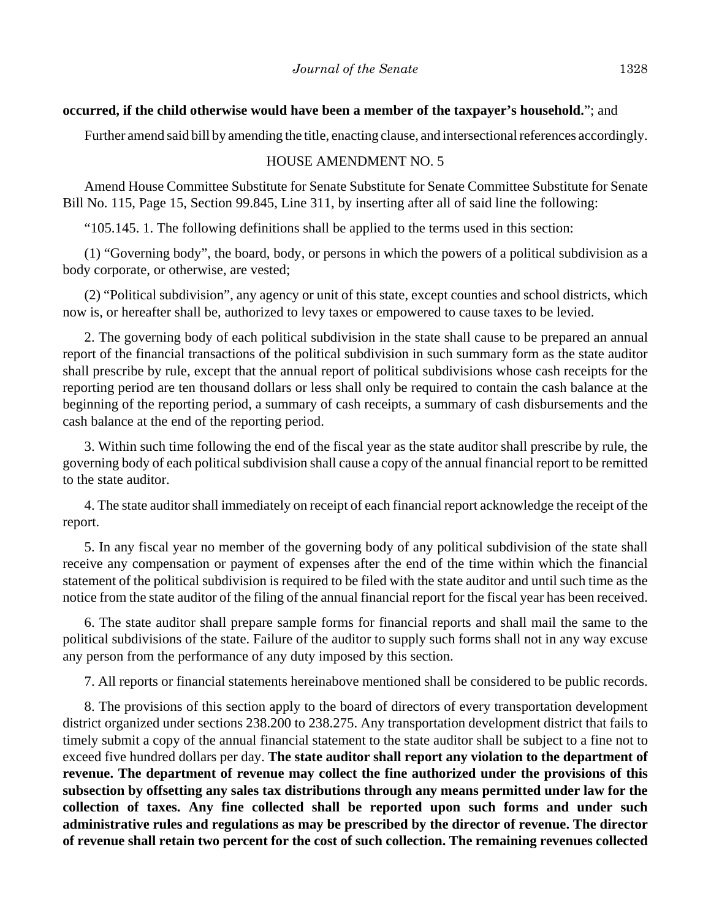#### **occurred, if the child otherwise would have been a member of the taxpayer's household.**"; and

Further amend said bill by amending the title, enacting clause, and intersectional references accordingly.

#### HOUSE AMENDMENT NO. 5

Amend House Committee Substitute for Senate Substitute for Senate Committee Substitute for Senate Bill No. 115, Page 15, Section 99.845, Line 311, by inserting after all of said line the following:

"105.145. 1. The following definitions shall be applied to the terms used in this section:

(1) "Governing body", the board, body, or persons in which the powers of a political subdivision as a body corporate, or otherwise, are vested;

(2) "Political subdivision", any agency or unit of this state, except counties and school districts, which now is, or hereafter shall be, authorized to levy taxes or empowered to cause taxes to be levied.

2. The governing body of each political subdivision in the state shall cause to be prepared an annual report of the financial transactions of the political subdivision in such summary form as the state auditor shall prescribe by rule, except that the annual report of political subdivisions whose cash receipts for the reporting period are ten thousand dollars or less shall only be required to contain the cash balance at the beginning of the reporting period, a summary of cash receipts, a summary of cash disbursements and the cash balance at the end of the reporting period.

3. Within such time following the end of the fiscal year as the state auditor shall prescribe by rule, the governing body of each political subdivision shall cause a copy of the annual financial report to be remitted to the state auditor.

4. The state auditor shall immediately on receipt of each financial report acknowledge the receipt of the report.

5. In any fiscal year no member of the governing body of any political subdivision of the state shall receive any compensation or payment of expenses after the end of the time within which the financial statement of the political subdivision is required to be filed with the state auditor and until such time as the notice from the state auditor of the filing of the annual financial report for the fiscal year has been received.

6. The state auditor shall prepare sample forms for financial reports and shall mail the same to the political subdivisions of the state. Failure of the auditor to supply such forms shall not in any way excuse any person from the performance of any duty imposed by this section.

7. All reports or financial statements hereinabove mentioned shall be considered to be public records.

8. The provisions of this section apply to the board of directors of every transportation development district organized under sections 238.200 to 238.275. Any transportation development district that fails to timely submit a copy of the annual financial statement to the state auditor shall be subject to a fine not to exceed five hundred dollars per day. **The state auditor shall report any violation to the department of revenue. The department of revenue may collect the fine authorized under the provisions of this subsection by offsetting any sales tax distributions through any means permitted under law for the collection of taxes. Any fine collected shall be reported upon such forms and under such administrative rules and regulations as may be prescribed by the director of revenue. The director of revenue shall retain two percent for the cost of such collection. The remaining revenues collected**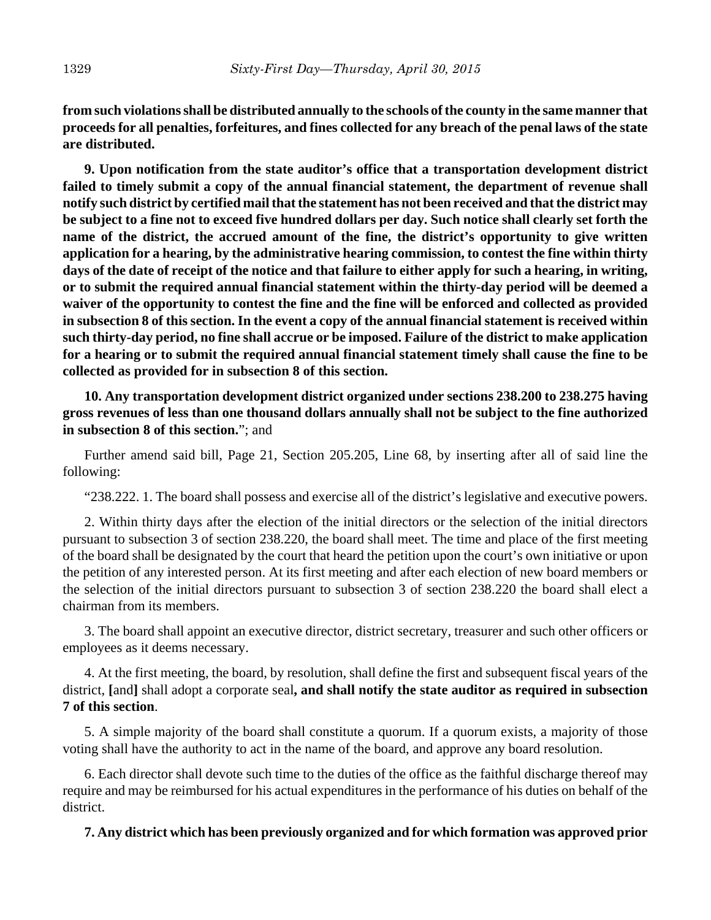**from such violations shall be distributed annually to the schools of the county in the same manner that proceeds for all penalties, forfeitures, and fines collected for any breach of the penal laws of the state are distributed.**

**9. Upon notification from the state auditor's office that a transportation development district failed to timely submit a copy of the annual financial statement, the department of revenue shall notify such district by certified mail that the statement has not been received and that the district may be subject to a fine not to exceed five hundred dollars per day. Such notice shall clearly set forth the name of the district, the accrued amount of the fine, the district's opportunity to give written application for a hearing, by the administrative hearing commission, to contest the fine within thirty days of the date of receipt of the notice and that failure to either apply for such a hearing, in writing, or to submit the required annual financial statement within the thirty-day period will be deemed a waiver of the opportunity to contest the fine and the fine will be enforced and collected as provided in subsection 8 of this section. In the event a copy of the annual financial statement is received within such thirty-day period, no fine shall accrue or be imposed. Failure of the district to make application for a hearing or to submit the required annual financial statement timely shall cause the fine to be collected as provided for in subsection 8 of this section.**

**10. Any transportation development district organized under sections 238.200 to 238.275 having gross revenues of less than one thousand dollars annually shall not be subject to the fine authorized in subsection 8 of this section.**"; and

Further amend said bill, Page 21, Section 205.205, Line 68, by inserting after all of said line the following:

"238.222. 1. The board shall possess and exercise all of the district's legislative and executive powers.

2. Within thirty days after the election of the initial directors or the selection of the initial directors pursuant to subsection 3 of section 238.220, the board shall meet. The time and place of the first meeting of the board shall be designated by the court that heard the petition upon the court's own initiative or upon the petition of any interested person. At its first meeting and after each election of new board members or the selection of the initial directors pursuant to subsection 3 of section 238.220 the board shall elect a chairman from its members.

3. The board shall appoint an executive director, district secretary, treasurer and such other officers or employees as it deems necessary.

4. At the first meeting, the board, by resolution, shall define the first and subsequent fiscal years of the district, **[**and**]** shall adopt a corporate seal**, and shall notify the state auditor as required in subsection 7 of this section**.

5. A simple majority of the board shall constitute a quorum. If a quorum exists, a majority of those voting shall have the authority to act in the name of the board, and approve any board resolution.

6. Each director shall devote such time to the duties of the office as the faithful discharge thereof may require and may be reimbursed for his actual expenditures in the performance of his duties on behalf of the district.

**7. Any district which has been previously organized and for which formation was approved prior**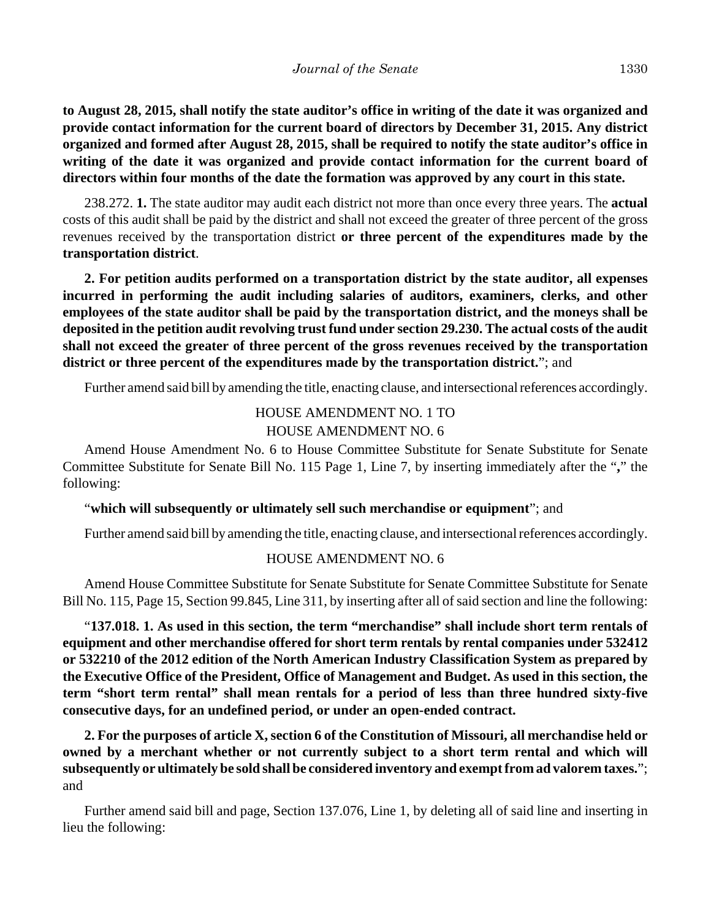**to August 28, 2015, shall notify the state auditor's office in writing of the date it was organized and provide contact information for the current board of directors by December 31, 2015. Any district organized and formed after August 28, 2015, shall be required to notify the state auditor's office in writing of the date it was organized and provide contact information for the current board of directors within four months of the date the formation was approved by any court in this state.**

238.272. **1.** The state auditor may audit each district not more than once every three years. The **actual** costs of this audit shall be paid by the district and shall not exceed the greater of three percent of the gross revenues received by the transportation district **or three percent of the expenditures made by the transportation district**.

**2. For petition audits performed on a transportation district by the state auditor, all expenses incurred in performing the audit including salaries of auditors, examiners, clerks, and other employees of the state auditor shall be paid by the transportation district, and the moneys shall be deposited in the petition audit revolving trust fund under section 29.230. The actual costs of the audit shall not exceed the greater of three percent of the gross revenues received by the transportation district or three percent of the expenditures made by the transportation district.**"; and

Further amend said bill by amending the title, enacting clause, and intersectional references accordingly.

## HOUSE AMENDMENT NO. 1 TO HOUSE AMENDMENT NO. 6

Amend House Amendment No. 6 to House Committee Substitute for Senate Substitute for Senate Committee Substitute for Senate Bill No. 115 Page 1, Line 7, by inserting immediately after the "**,**" the following:

#### "**which will subsequently or ultimately sell such merchandise or equipment**"; and

Further amend said bill by amending the title, enacting clause, and intersectional references accordingly.

#### HOUSE AMENDMENT NO. 6

Amend House Committee Substitute for Senate Substitute for Senate Committee Substitute for Senate Bill No. 115, Page 15, Section 99.845, Line 311, by inserting after all of said section and line the following:

"**137.018. 1. As used in this section, the term "merchandise" shall include short term rentals of equipment and other merchandise offered for short term rentals by rental companies under 532412 or 532210 of the 2012 edition of the North American Industry Classification System as prepared by the Executive Office of the President, Office of Management and Budget. As used in this section, the term "short term rental" shall mean rentals for a period of less than three hundred sixty-five consecutive days, for an undefined period, or under an open-ended contract.**

**2. For the purposes of article X, section 6 of the Constitution of Missouri, all merchandise held or owned by a merchant whether or not currently subject to a short term rental and which will subsequently or ultimately be sold shall be considered inventory and exempt from ad valorem taxes.**"; and

Further amend said bill and page, Section 137.076, Line 1, by deleting all of said line and inserting in lieu the following: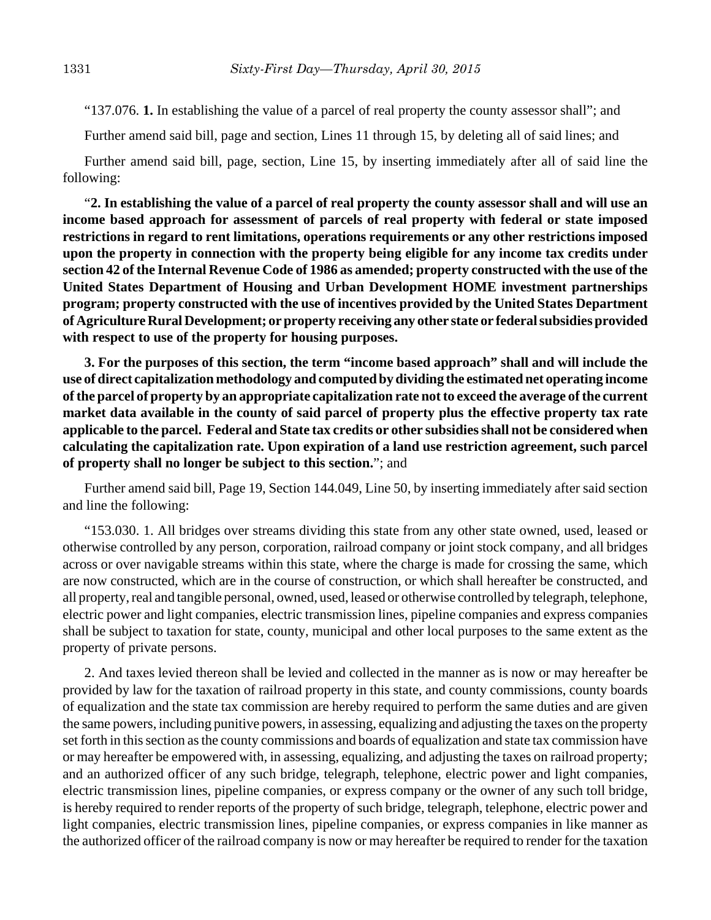"137.076. **1.** In establishing the value of a parcel of real property the county assessor shall"; and

Further amend said bill, page and section, Lines 11 through 15, by deleting all of said lines; and

Further amend said bill, page, section, Line 15, by inserting immediately after all of said line the following:

"**2. In establishing the value of a parcel of real property the county assessor shall and will use an income based approach for assessment of parcels of real property with federal or state imposed restrictions in regard to rent limitations, operations requirements or any other restrictions imposed upon the property in connection with the property being eligible for any income tax credits under section 42 of the Internal Revenue Code of 1986 as amended; property constructed with the use of the United States Department of Housing and Urban Development HOME investment partnerships program; property constructed with the use of incentives provided by the United States Department of Agriculture Rural Development; or property receiving any other state or federal subsidies provided with respect to use of the property for housing purposes.** 

**3. For the purposes of this section, the term "income based approach" shall and will include the use of direct capitalization methodology and computed by dividing the estimated net operating income of the parcel of property by an appropriate capitalization rate not to exceed the average of the current market data available in the county of said parcel of property plus the effective property tax rate applicable to the parcel. Federal and State tax credits or other subsidies shall not be considered when calculating the capitalization rate. Upon expiration of a land use restriction agreement, such parcel of property shall no longer be subject to this section.**"; and

Further amend said bill, Page 19, Section 144.049, Line 50, by inserting immediately after said section and line the following:

"153.030. 1. All bridges over streams dividing this state from any other state owned, used, leased or otherwise controlled by any person, corporation, railroad company or joint stock company, and all bridges across or over navigable streams within this state, where the charge is made for crossing the same, which are now constructed, which are in the course of construction, or which shall hereafter be constructed, and all property, real and tangible personal, owned, used, leased or otherwise controlled by telegraph, telephone, electric power and light companies, electric transmission lines, pipeline companies and express companies shall be subject to taxation for state, county, municipal and other local purposes to the same extent as the property of private persons.

2. And taxes levied thereon shall be levied and collected in the manner as is now or may hereafter be provided by law for the taxation of railroad property in this state, and county commissions, county boards of equalization and the state tax commission are hereby required to perform the same duties and are given the same powers, including punitive powers, in assessing, equalizing and adjusting the taxes on the property set forth in this section as the county commissions and boards of equalization and state tax commission have or may hereafter be empowered with, in assessing, equalizing, and adjusting the taxes on railroad property; and an authorized officer of any such bridge, telegraph, telephone, electric power and light companies, electric transmission lines, pipeline companies, or express company or the owner of any such toll bridge, is hereby required to render reports of the property of such bridge, telegraph, telephone, electric power and light companies, electric transmission lines, pipeline companies, or express companies in like manner as the authorized officer of the railroad company is now or may hereafter be required to render for the taxation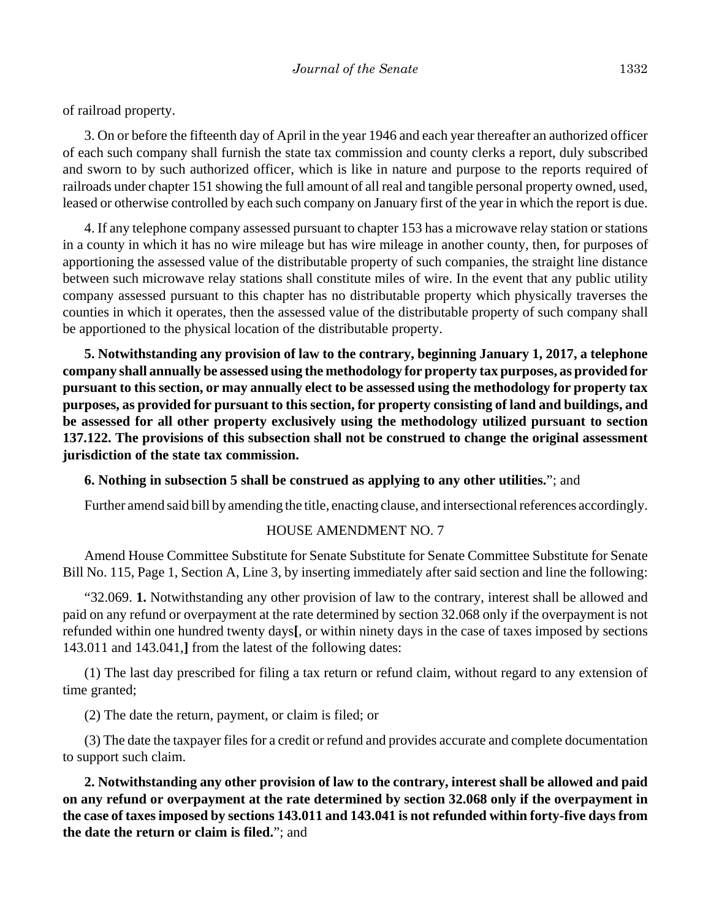of railroad property.

3. On or before the fifteenth day of April in the year 1946 and each year thereafter an authorized officer of each such company shall furnish the state tax commission and county clerks a report, duly subscribed and sworn to by such authorized officer, which is like in nature and purpose to the reports required of railroads under chapter 151 showing the full amount of all real and tangible personal property owned, used, leased or otherwise controlled by each such company on January first of the year in which the report is due.

4. If any telephone company assessed pursuant to chapter 153 has a microwave relay station or stations in a county in which it has no wire mileage but has wire mileage in another county, then, for purposes of apportioning the assessed value of the distributable property of such companies, the straight line distance between such microwave relay stations shall constitute miles of wire. In the event that any public utility company assessed pursuant to this chapter has no distributable property which physically traverses the counties in which it operates, then the assessed value of the distributable property of such company shall be apportioned to the physical location of the distributable property.

**5. Notwithstanding any provision of law to the contrary, beginning January 1, 2017, a telephone company shall annually be assessed using the methodology for property tax purposes, as provided for pursuant to this section, or may annually elect to be assessed using the methodology for property tax purposes, as provided for pursuant to this section, for property consisting of land and buildings, and be assessed for all other property exclusively using the methodology utilized pursuant to section 137.122. The provisions of this subsection shall not be construed to change the original assessment jurisdiction of the state tax commission.**

### **6. Nothing in subsection 5 shall be construed as applying to any other utilities.**"; and

Further amend said bill by amending the title, enacting clause, and intersectional references accordingly.

### HOUSE AMENDMENT NO. 7

Amend House Committee Substitute for Senate Substitute for Senate Committee Substitute for Senate Bill No. 115, Page 1, Section A, Line 3, by inserting immediately after said section and line the following:

"32.069. **1.** Notwithstanding any other provision of law to the contrary, interest shall be allowed and paid on any refund or overpayment at the rate determined by section 32.068 only if the overpayment is not refunded within one hundred twenty days**[**, or within ninety days in the case of taxes imposed by sections 143.011 and 143.041,**]** from the latest of the following dates:

(1) The last day prescribed for filing a tax return or refund claim, without regard to any extension of time granted;

(2) The date the return, payment, or claim is filed; or

(3) The date the taxpayer files for a credit or refund and provides accurate and complete documentation to support such claim.

**2. Notwithstanding any other provision of law to the contrary, interest shall be allowed and paid on any refund or overpayment at the rate determined by section 32.068 only if the overpayment in the case of taxes imposed by sections 143.011 and 143.041 is not refunded within forty-five days from the date the return or claim is filed.**"; and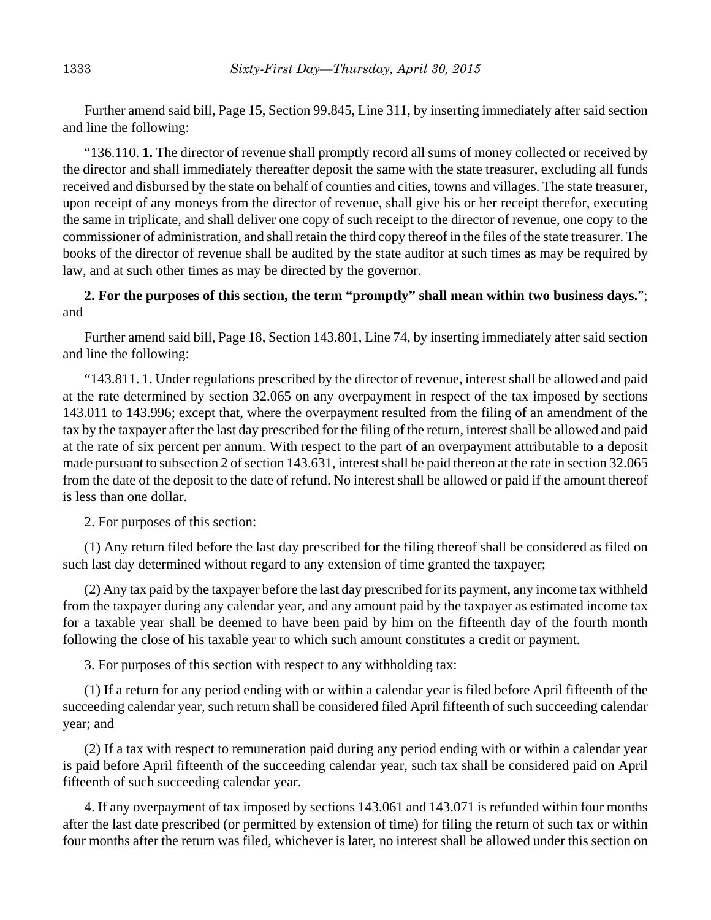Further amend said bill, Page 15, Section 99.845, Line 311, by inserting immediately after said section and line the following:

"136.110. **1.** The director of revenue shall promptly record all sums of money collected or received by the director and shall immediately thereafter deposit the same with the state treasurer, excluding all funds received and disbursed by the state on behalf of counties and cities, towns and villages. The state treasurer, upon receipt of any moneys from the director of revenue, shall give his or her receipt therefor, executing the same in triplicate, and shall deliver one copy of such receipt to the director of revenue, one copy to the commissioner of administration, and shall retain the third copy thereof in the files of the state treasurer. The books of the director of revenue shall be audited by the state auditor at such times as may be required by law, and at such other times as may be directed by the governor.

## **2. For the purposes of this section, the term "promptly" shall mean within two business days.**"; and

Further amend said bill, Page 18, Section 143.801, Line 74, by inserting immediately after said section and line the following:

"143.811. 1. Under regulations prescribed by the director of revenue, interest shall be allowed and paid at the rate determined by section 32.065 on any overpayment in respect of the tax imposed by sections 143.011 to 143.996; except that, where the overpayment resulted from the filing of an amendment of the tax by the taxpayer after the last day prescribed for the filing of the return, interest shall be allowed and paid at the rate of six percent per annum. With respect to the part of an overpayment attributable to a deposit made pursuant to subsection 2 of section 143.631, interest shall be paid thereon at the rate in section 32.065 from the date of the deposit to the date of refund. No interest shall be allowed or paid if the amount thereof is less than one dollar.

2. For purposes of this section:

(1) Any return filed before the last day prescribed for the filing thereof shall be considered as filed on such last day determined without regard to any extension of time granted the taxpayer;

(2) Any tax paid by the taxpayer before the last day prescribed for its payment, any income tax withheld from the taxpayer during any calendar year, and any amount paid by the taxpayer as estimated income tax for a taxable year shall be deemed to have been paid by him on the fifteenth day of the fourth month following the close of his taxable year to which such amount constitutes a credit or payment.

3. For purposes of this section with respect to any withholding tax:

(1) If a return for any period ending with or within a calendar year is filed before April fifteenth of the succeeding calendar year, such return shall be considered filed April fifteenth of such succeeding calendar year; and

(2) If a tax with respect to remuneration paid during any period ending with or within a calendar year is paid before April fifteenth of the succeeding calendar year, such tax shall be considered paid on April fifteenth of such succeeding calendar year.

4. If any overpayment of tax imposed by sections 143.061 and 143.071 is refunded within four months after the last date prescribed (or permitted by extension of time) for filing the return of such tax or within four months after the return was filed, whichever is later, no interest shall be allowed under this section on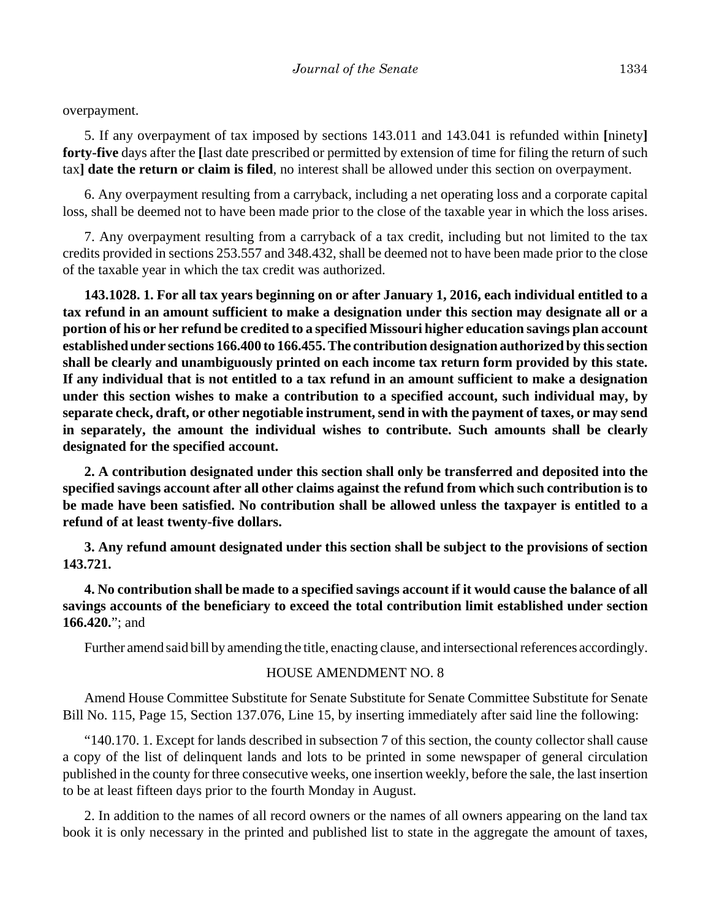overpayment.

5. If any overpayment of tax imposed by sections 143.011 and 143.041 is refunded within **[**ninety**] forty-five** days after the **[**last date prescribed or permitted by extension of time for filing the return of such tax**] date the return or claim is filed**, no interest shall be allowed under this section on overpayment.

6. Any overpayment resulting from a carryback, including a net operating loss and a corporate capital loss, shall be deemed not to have been made prior to the close of the taxable year in which the loss arises.

7. Any overpayment resulting from a carryback of a tax credit, including but not limited to the tax credits provided in sections 253.557 and 348.432, shall be deemed not to have been made prior to the close of the taxable year in which the tax credit was authorized.

**143.1028. 1. For all tax years beginning on or after January 1, 2016, each individual entitled to a tax refund in an amount sufficient to make a designation under this section may designate all or a portion of his or her refund be credited to a specified Missouri higher education savings plan account established under sections 166.400 to 166.455. The contribution designation authorized by this section shall be clearly and unambiguously printed on each income tax return form provided by this state. If any individual that is not entitled to a tax refund in an amount sufficient to make a designation under this section wishes to make a contribution to a specified account, such individual may, by separate check, draft, or other negotiable instrument, send in with the payment of taxes, or may send in separately, the amount the individual wishes to contribute. Such amounts shall be clearly designated for the specified account.**

**2. A contribution designated under this section shall only be transferred and deposited into the specified savings account after all other claims against the refund from which such contribution is to be made have been satisfied. No contribution shall be allowed unless the taxpayer is entitled to a refund of at least twenty-five dollars.**

**3. Any refund amount designated under this section shall be subject to the provisions of section 143.721.**

**4. No contribution shall be made to a specified savings account if it would cause the balance of all savings accounts of the beneficiary to exceed the total contribution limit established under section 166.420.**"; and

Further amend said bill by amending the title, enacting clause, and intersectional references accordingly.

## HOUSE AMENDMENT NO. 8

Amend House Committee Substitute for Senate Substitute for Senate Committee Substitute for Senate Bill No. 115, Page 15, Section 137.076, Line 15, by inserting immediately after said line the following:

"140.170. 1. Except for lands described in subsection 7 of this section, the county collector shall cause a copy of the list of delinquent lands and lots to be printed in some newspaper of general circulation published in the county for three consecutive weeks, one insertion weekly, before the sale, the last insertion to be at least fifteen days prior to the fourth Monday in August.

2. In addition to the names of all record owners or the names of all owners appearing on the land tax book it is only necessary in the printed and published list to state in the aggregate the amount of taxes,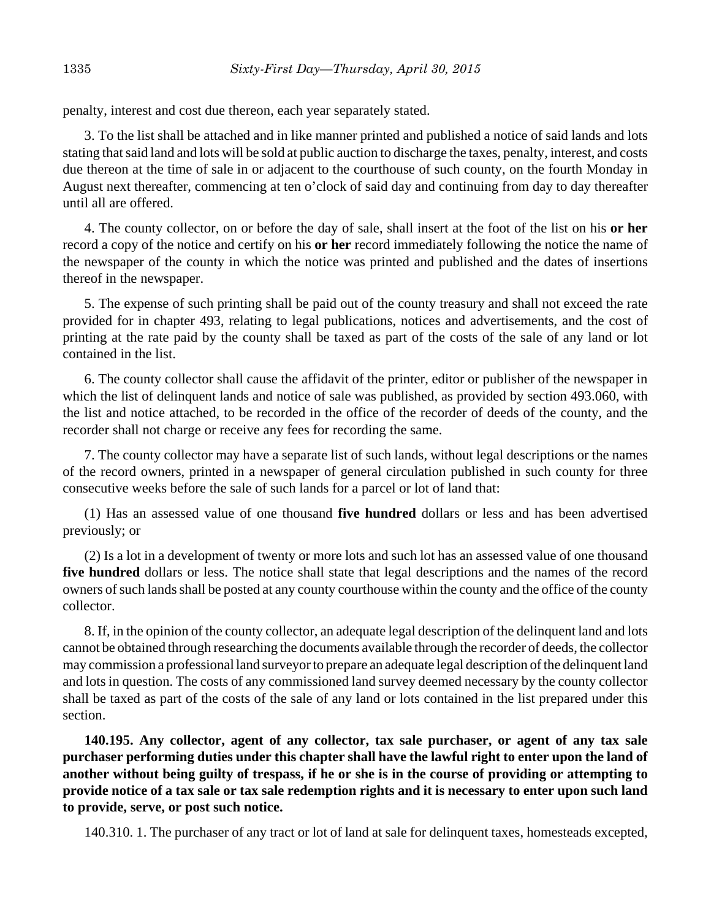penalty, interest and cost due thereon, each year separately stated.

3. To the list shall be attached and in like manner printed and published a notice of said lands and lots stating that said land and lots will be sold at public auction to discharge the taxes, penalty, interest, and costs due thereon at the time of sale in or adjacent to the courthouse of such county, on the fourth Monday in August next thereafter, commencing at ten o'clock of said day and continuing from day to day thereafter until all are offered.

4. The county collector, on or before the day of sale, shall insert at the foot of the list on his **or her** record a copy of the notice and certify on his **or her** record immediately following the notice the name of the newspaper of the county in which the notice was printed and published and the dates of insertions thereof in the newspaper.

5. The expense of such printing shall be paid out of the county treasury and shall not exceed the rate provided for in chapter 493, relating to legal publications, notices and advertisements, and the cost of printing at the rate paid by the county shall be taxed as part of the costs of the sale of any land or lot contained in the list.

6. The county collector shall cause the affidavit of the printer, editor or publisher of the newspaper in which the list of delinquent lands and notice of sale was published, as provided by section 493.060, with the list and notice attached, to be recorded in the office of the recorder of deeds of the county, and the recorder shall not charge or receive any fees for recording the same.

7. The county collector may have a separate list of such lands, without legal descriptions or the names of the record owners, printed in a newspaper of general circulation published in such county for three consecutive weeks before the sale of such lands for a parcel or lot of land that:

(1) Has an assessed value of one thousand **five hundred** dollars or less and has been advertised previously; or

(2) Is a lot in a development of twenty or more lots and such lot has an assessed value of one thousand **five hundred** dollars or less. The notice shall state that legal descriptions and the names of the record owners of such lands shall be posted at any county courthouse within the county and the office of the county collector.

8. If, in the opinion of the county collector, an adequate legal description of the delinquent land and lots cannot be obtained through researching the documents available through the recorder of deeds, the collector may commission a professional land surveyor to prepare an adequate legal description of the delinquent land and lots in question. The costs of any commissioned land survey deemed necessary by the county collector shall be taxed as part of the costs of the sale of any land or lots contained in the list prepared under this section.

**140.195. Any collector, agent of any collector, tax sale purchaser, or agent of any tax sale purchaser performing duties under this chapter shall have the lawful right to enter upon the land of another without being guilty of trespass, if he or she is in the course of providing or attempting to provide notice of a tax sale or tax sale redemption rights and it is necessary to enter upon such land to provide, serve, or post such notice.**

140.310. 1. The purchaser of any tract or lot of land at sale for delinquent taxes, homesteads excepted,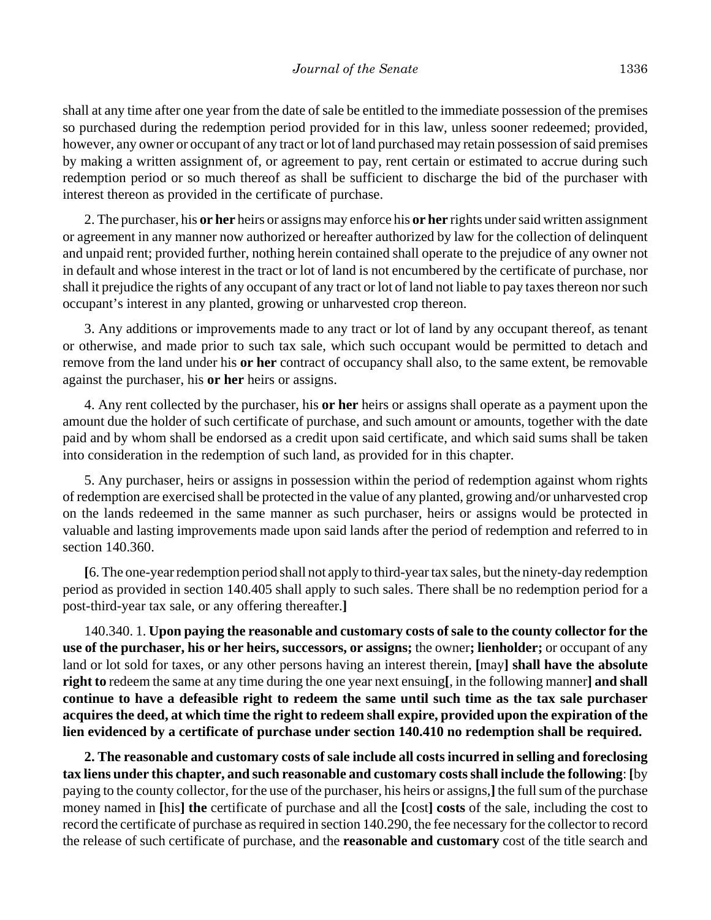shall at any time after one year from the date of sale be entitled to the immediate possession of the premises so purchased during the redemption period provided for in this law, unless sooner redeemed; provided, however, any owner or occupant of any tract or lot of land purchased may retain possession of said premises by making a written assignment of, or agreement to pay, rent certain or estimated to accrue during such redemption period or so much thereof as shall be sufficient to discharge the bid of the purchaser with interest thereon as provided in the certificate of purchase.

2. The purchaser, his **or her** heirs or assigns may enforce his **or her** rights under said written assignment or agreement in any manner now authorized or hereafter authorized by law for the collection of delinquent and unpaid rent; provided further, nothing herein contained shall operate to the prejudice of any owner not in default and whose interest in the tract or lot of land is not encumbered by the certificate of purchase, nor shall it prejudice the rights of any occupant of any tract or lot of land not liable to pay taxes thereon nor such occupant's interest in any planted, growing or unharvested crop thereon.

3. Any additions or improvements made to any tract or lot of land by any occupant thereof, as tenant or otherwise, and made prior to such tax sale, which such occupant would be permitted to detach and remove from the land under his **or her** contract of occupancy shall also, to the same extent, be removable against the purchaser, his **or her** heirs or assigns.

4. Any rent collected by the purchaser, his **or her** heirs or assigns shall operate as a payment upon the amount due the holder of such certificate of purchase, and such amount or amounts, together with the date paid and by whom shall be endorsed as a credit upon said certificate, and which said sums shall be taken into consideration in the redemption of such land, as provided for in this chapter.

5. Any purchaser, heirs or assigns in possession within the period of redemption against whom rights of redemption are exercised shall be protected in the value of any planted, growing and/or unharvested crop on the lands redeemed in the same manner as such purchaser, heirs or assigns would be protected in valuable and lasting improvements made upon said lands after the period of redemption and referred to in section 140.360.

**[**6. The one-year redemption period shall not apply to third-year tax sales, but the ninety-day redemption period as provided in section 140.405 shall apply to such sales. There shall be no redemption period for a post-third-year tax sale, or any offering thereafter.**]**

140.340. 1. **Upon paying the reasonable and customary costs of sale to the county collector for the use of the purchaser, his or her heirs, successors, or assigns;** the owner**; lienholder;** or occupant of any land or lot sold for taxes, or any other persons having an interest therein, **[**may**] shall have the absolute right to** redeem the same at any time during the one year next ensuing**[**, in the following manner**] and shall continue to have a defeasible right to redeem the same until such time as the tax sale purchaser acquires the deed, at which time the right to redeem shall expire, provided upon the expiration of the lien evidenced by a certificate of purchase under section 140.410 no redemption shall be required.**

**2. The reasonable and customary costs of sale include all costs incurred in selling and foreclosing tax liens under this chapter, and such reasonable and customary costs shall include the following**: **[**by paying to the county collector, for the use of the purchaser, his heirs or assigns,**]** the full sum of the purchase money named in **[**his**] the** certificate of purchase and all the **[**cost**] costs** of the sale, including the cost to record the certificate of purchase as required in section 140.290, the fee necessary for the collector to record the release of such certificate of purchase, and the **reasonable and customary** cost of the title search and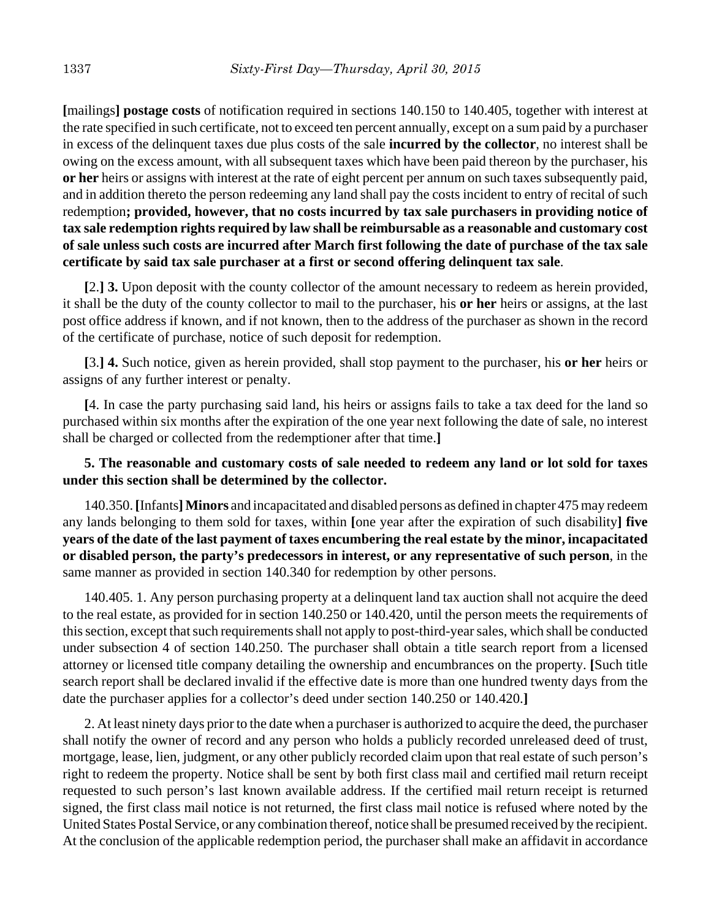**[**mailings**] postage costs** of notification required in sections 140.150 to 140.405, together with interest at the rate specified in such certificate, not to exceed ten percent annually, except on a sum paid by a purchaser in excess of the delinquent taxes due plus costs of the sale **incurred by the collector**, no interest shall be owing on the excess amount, with all subsequent taxes which have been paid thereon by the purchaser, his **or her** heirs or assigns with interest at the rate of eight percent per annum on such taxes subsequently paid, and in addition thereto the person redeeming any land shall pay the costs incident to entry of recital of such redemption**; provided, however, that no costs incurred by tax sale purchasers in providing notice of tax sale redemption rights required by law shall be reimbursable as a reasonable and customary cost of sale unless such costs are incurred after March first following the date of purchase of the tax sale certificate by said tax sale purchaser at a first or second offering delinquent tax sale**.

**[**2.**] 3.** Upon deposit with the county collector of the amount necessary to redeem as herein provided, it shall be the duty of the county collector to mail to the purchaser, his **or her** heirs or assigns, at the last post office address if known, and if not known, then to the address of the purchaser as shown in the record of the certificate of purchase, notice of such deposit for redemption.

**[**3.**] 4.** Such notice, given as herein provided, shall stop payment to the purchaser, his **or her** heirs or assigns of any further interest or penalty.

**[**4. In case the party purchasing said land, his heirs or assigns fails to take a tax deed for the land so purchased within six months after the expiration of the one year next following the date of sale, no interest shall be charged or collected from the redemptioner after that time.**]**

## **5. The reasonable and customary costs of sale needed to redeem any land or lot sold for taxes under this section shall be determined by the collector.**

140.350. **[**Infants**]Minors** and incapacitated and disabled persons as defined in chapter 475 may redeem any lands belonging to them sold for taxes, within **[**one year after the expiration of such disability**] five years of the date of the last payment of taxes encumbering the real estate by the minor, incapacitated or disabled person, the party's predecessors in interest, or any representative of such person**, in the same manner as provided in section 140.340 for redemption by other persons.

140.405. 1. Any person purchasing property at a delinquent land tax auction shall not acquire the deed to the real estate, as provided for in section 140.250 or 140.420, until the person meets the requirements of this section, except that such requirements shall not apply to post-third-year sales, which shall be conducted under subsection 4 of section 140.250. The purchaser shall obtain a title search report from a licensed attorney or licensed title company detailing the ownership and encumbrances on the property. **[**Such title search report shall be declared invalid if the effective date is more than one hundred twenty days from the date the purchaser applies for a collector's deed under section 140.250 or 140.420.**]**

2. At least ninety days prior to the date when a purchaser is authorized to acquire the deed, the purchaser shall notify the owner of record and any person who holds a publicly recorded unreleased deed of trust, mortgage, lease, lien, judgment, or any other publicly recorded claim upon that real estate of such person's right to redeem the property. Notice shall be sent by both first class mail and certified mail return receipt requested to such person's last known available address. If the certified mail return receipt is returned signed, the first class mail notice is not returned, the first class mail notice is refused where noted by the United States Postal Service, or any combination thereof, notice shall be presumed received by the recipient. At the conclusion of the applicable redemption period, the purchaser shall make an affidavit in accordance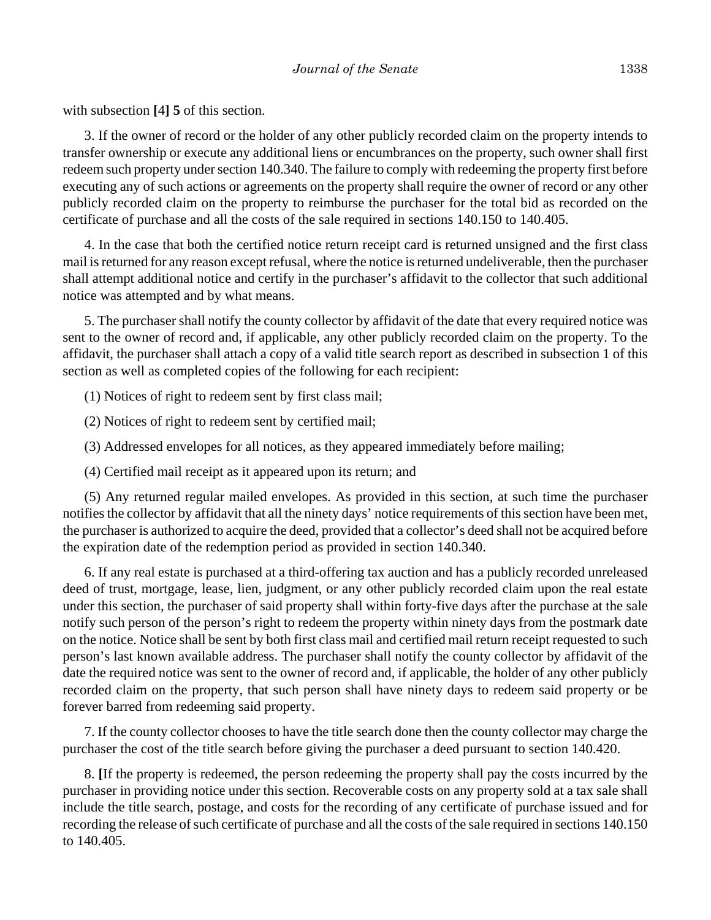with subsection **[**4**] 5** of this section.

3. If the owner of record or the holder of any other publicly recorded claim on the property intends to transfer ownership or execute any additional liens or encumbrances on the property, such owner shall first redeem such property under section 140.340. The failure to comply with redeeming the property first before executing any of such actions or agreements on the property shall require the owner of record or any other publicly recorded claim on the property to reimburse the purchaser for the total bid as recorded on the certificate of purchase and all the costs of the sale required in sections 140.150 to 140.405.

4. In the case that both the certified notice return receipt card is returned unsigned and the first class mail is returned for any reason except refusal, where the notice is returned undeliverable, then the purchaser shall attempt additional notice and certify in the purchaser's affidavit to the collector that such additional notice was attempted and by what means.

5. The purchaser shall notify the county collector by affidavit of the date that every required notice was sent to the owner of record and, if applicable, any other publicly recorded claim on the property. To the affidavit, the purchaser shall attach a copy of a valid title search report as described in subsection 1 of this section as well as completed copies of the following for each recipient:

(1) Notices of right to redeem sent by first class mail;

(2) Notices of right to redeem sent by certified mail;

(3) Addressed envelopes for all notices, as they appeared immediately before mailing;

(4) Certified mail receipt as it appeared upon its return; and

(5) Any returned regular mailed envelopes. As provided in this section, at such time the purchaser notifies the collector by affidavit that all the ninety days' notice requirements of this section have been met, the purchaser is authorized to acquire the deed, provided that a collector's deed shall not be acquired before the expiration date of the redemption period as provided in section 140.340.

6. If any real estate is purchased at a third-offering tax auction and has a publicly recorded unreleased deed of trust, mortgage, lease, lien, judgment, or any other publicly recorded claim upon the real estate under this section, the purchaser of said property shall within forty-five days after the purchase at the sale notify such person of the person's right to redeem the property within ninety days from the postmark date on the notice. Notice shall be sent by both first class mail and certified mail return receipt requested to such person's last known available address. The purchaser shall notify the county collector by affidavit of the date the required notice was sent to the owner of record and, if applicable, the holder of any other publicly recorded claim on the property, that such person shall have ninety days to redeem said property or be forever barred from redeeming said property.

7. If the county collector chooses to have the title search done then the county collector may charge the purchaser the cost of the title search before giving the purchaser a deed pursuant to section 140.420.

8. **[**If the property is redeemed, the person redeeming the property shall pay the costs incurred by the purchaser in providing notice under this section. Recoverable costs on any property sold at a tax sale shall include the title search, postage, and costs for the recording of any certificate of purchase issued and for recording the release of such certificate of purchase and all the costs of the sale required in sections 140.150 to 140.405.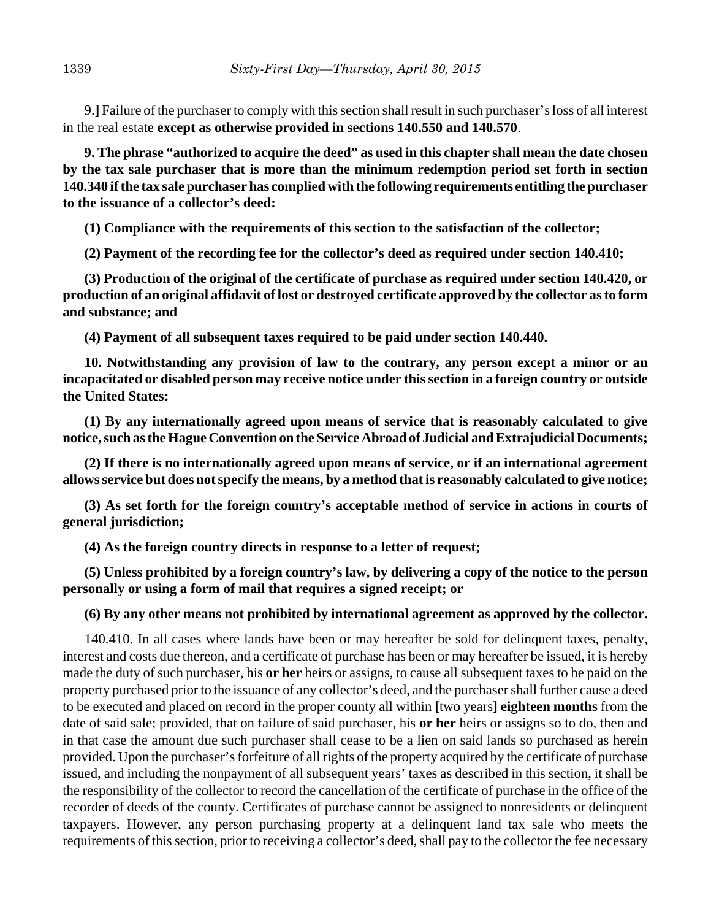9.**]** Failure of the purchaser to comply with this section shall result in such purchaser's loss of all interest in the real estate **except as otherwise provided in sections 140.550 and 140.570**.

**9. The phrase "authorized to acquire the deed" as used in this chapter shall mean the date chosen by the tax sale purchaser that is more than the minimum redemption period set forth in section 140.340 if the tax sale purchaser has complied with the following requirements entitling the purchaser to the issuance of a collector's deed:**

**(1) Compliance with the requirements of this section to the satisfaction of the collector;**

**(2) Payment of the recording fee for the collector's deed as required under section 140.410;**

**(3) Production of the original of the certificate of purchase as required under section 140.420, or production of an original affidavit of lost or destroyed certificate approved by the collector as to form and substance; and**

**(4) Payment of all subsequent taxes required to be paid under section 140.440.**

**10. Notwithstanding any provision of law to the contrary, any person except a minor or an incapacitated or disabled person may receive notice under this section in a foreign country or outside the United States:**

**(1) By any internationally agreed upon means of service that is reasonably calculated to give notice, such as the Hague Convention on the Service Abroad of Judicial and Extrajudicial Documents;**

**(2) If there is no internationally agreed upon means of service, or if an international agreement allows service but does not specify the means, by a method that is reasonably calculated to give notice;**

**(3) As set forth for the foreign country's acceptable method of service in actions in courts of general jurisdiction;**

**(4) As the foreign country directs in response to a letter of request;**

**(5) Unless prohibited by a foreign country's law, by delivering a copy of the notice to the person personally or using a form of mail that requires a signed receipt; or**

**(6) By any other means not prohibited by international agreement as approved by the collector.**

140.410. In all cases where lands have been or may hereafter be sold for delinquent taxes, penalty, interest and costs due thereon, and a certificate of purchase has been or may hereafter be issued, it is hereby made the duty of such purchaser, his **or her** heirs or assigns, to cause all subsequent taxes to be paid on the property purchased prior to the issuance of any collector's deed, and the purchaser shall further cause a deed to be executed and placed on record in the proper county all within **[**two years**] eighteen months** from the date of said sale; provided, that on failure of said purchaser, his **or her** heirs or assigns so to do, then and in that case the amount due such purchaser shall cease to be a lien on said lands so purchased as herein provided. Upon the purchaser's forfeiture of all rights of the property acquired by the certificate of purchase issued, and including the nonpayment of all subsequent years' taxes as described in this section, it shall be the responsibility of the collector to record the cancellation of the certificate of purchase in the office of the recorder of deeds of the county. Certificates of purchase cannot be assigned to nonresidents or delinquent taxpayers. However, any person purchasing property at a delinquent land tax sale who meets the requirements of this section, prior to receiving a collector's deed, shall pay to the collector the fee necessary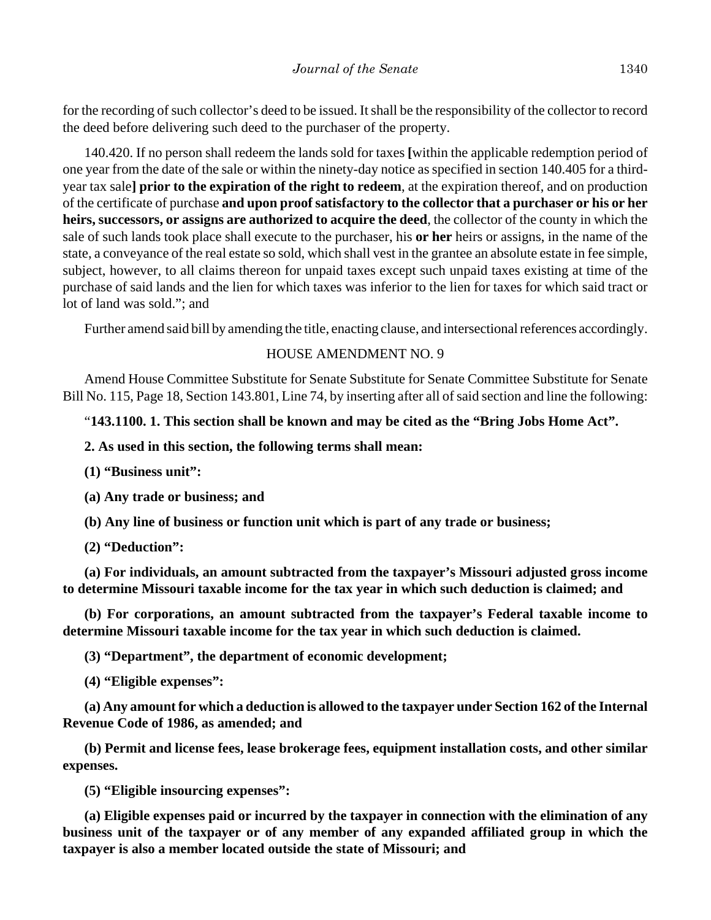for the recording of such collector's deed to be issued. It shall be the responsibility of the collector to record the deed before delivering such deed to the purchaser of the property.

140.420. If no person shall redeem the lands sold for taxes **[**within the applicable redemption period of one year from the date of the sale or within the ninety-day notice as specified in section 140.405 for a thirdyear tax sale**] prior to the expiration of the right to redeem**, at the expiration thereof, and on production of the certificate of purchase **and upon proof satisfactory to the collector that a purchaser or his or her heirs, successors, or assigns are authorized to acquire the deed**, the collector of the county in which the sale of such lands took place shall execute to the purchaser, his **or her** heirs or assigns, in the name of the state, a conveyance of the real estate so sold, which shall vest in the grantee an absolute estate in fee simple, subject, however, to all claims thereon for unpaid taxes except such unpaid taxes existing at time of the purchase of said lands and the lien for which taxes was inferior to the lien for taxes for which said tract or lot of land was sold."; and

Further amend said bill by amending the title, enacting clause, and intersectional references accordingly.

## HOUSE AMENDMENT NO. 9

Amend House Committee Substitute for Senate Substitute for Senate Committee Substitute for Senate Bill No. 115, Page 18, Section 143.801, Line 74, by inserting after all of said section and line the following:

### "**143.1100. 1. This section shall be known and may be cited as the "Bring Jobs Home Act".**

#### **2. As used in this section, the following terms shall mean:**

**(1) "Business unit":**

**(a) Any trade or business; and**

**(b) Any line of business or function unit which is part of any trade or business;**

**(2) "Deduction":**

**(a) For individuals, an amount subtracted from the taxpayer's Missouri adjusted gross income to determine Missouri taxable income for the tax year in which such deduction is claimed; and**

**(b) For corporations, an amount subtracted from the taxpayer's Federal taxable income to determine Missouri taxable income for the tax year in which such deduction is claimed.**

**(3) "Department", the department of economic development;**

**(4) "Eligible expenses":**

**(a) Any amount for which a deduction is allowed to the taxpayer under Section 162 of the Internal Revenue Code of 1986, as amended; and**

**(b) Permit and license fees, lease brokerage fees, equipment installation costs, and other similar expenses.**

**(5) "Eligible insourcing expenses":**

**(a) Eligible expenses paid or incurred by the taxpayer in connection with the elimination of any business unit of the taxpayer or of any member of any expanded affiliated group in which the taxpayer is also a member located outside the state of Missouri; and**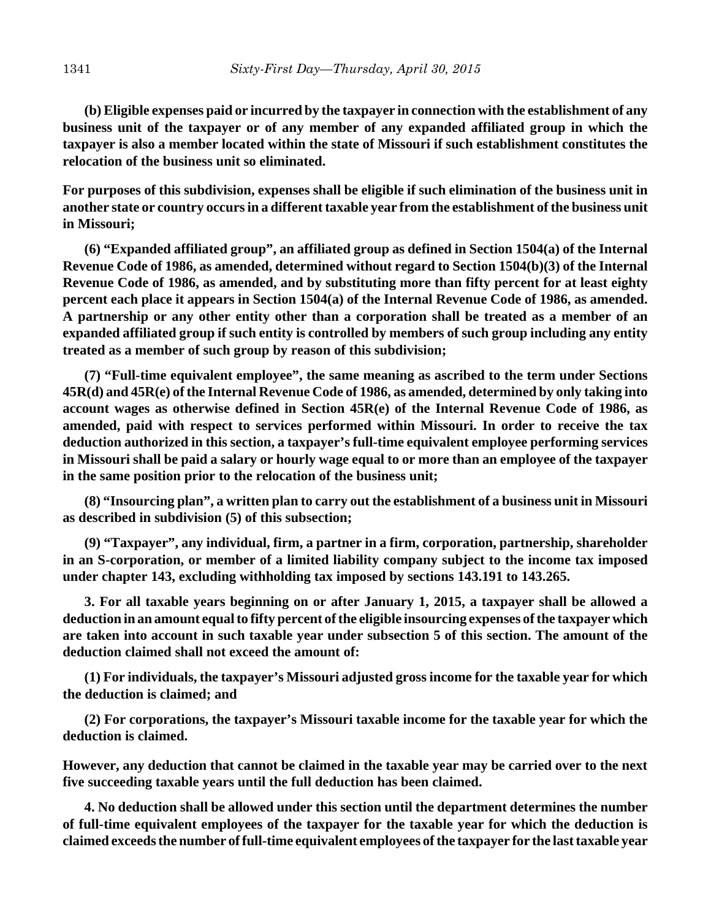**(b) Eligible expenses paid or incurred by the taxpayer in connection with the establishment of any business unit of the taxpayer or of any member of any expanded affiliated group in which the taxpayer is also a member located within the state of Missouri if such establishment constitutes the relocation of the business unit so eliminated.**

**For purposes of this subdivision, expenses shall be eligible if such elimination of the business unit in another state or country occurs in a different taxable year from the establishment of the business unit in Missouri;**

**(6) "Expanded affiliated group", an affiliated group as defined in Section 1504(a) of the Internal Revenue Code of 1986, as amended, determined without regard to Section 1504(b)(3) of the Internal Revenue Code of 1986, as amended, and by substituting more than fifty percent for at least eighty percent each place it appears in Section 1504(a) of the Internal Revenue Code of 1986, as amended. A partnership or any other entity other than a corporation shall be treated as a member of an expanded affiliated group if such entity is controlled by members of such group including any entity treated as a member of such group by reason of this subdivision;**

**(7) "Full-time equivalent employee", the same meaning as ascribed to the term under Sections 45R(d) and 45R(e) of the Internal Revenue Code of 1986, as amended, determined by only taking into account wages as otherwise defined in Section 45R(e) of the Internal Revenue Code of 1986, as amended, paid with respect to services performed within Missouri. In order to receive the tax deduction authorized in this section, a taxpayer's full-time equivalent employee performing services in Missouri shall be paid a salary or hourly wage equal to or more than an employee of the taxpayer in the same position prior to the relocation of the business unit;**

**(8) "Insourcing plan", a written plan to carry out the establishment of a business unit in Missouri as described in subdivision (5) of this subsection;**

**(9) "Taxpayer", any individual, firm, a partner in a firm, corporation, partnership, shareholder in an S-corporation, or member of a limited liability company subject to the income tax imposed under chapter 143, excluding withholding tax imposed by sections 143.191 to 143.265.**

**3. For all taxable years beginning on or after January 1, 2015, a taxpayer shall be allowed a deduction in an amount equal to fifty percent of the eligible insourcing expenses of the taxpayer which are taken into account in such taxable year under subsection 5 of this section. The amount of the deduction claimed shall not exceed the amount of:**

**(1) For individuals, the taxpayer's Missouri adjusted gross income for the taxable year for which the deduction is claimed; and**

**(2) For corporations, the taxpayer's Missouri taxable income for the taxable year for which the deduction is claimed.**

**However, any deduction that cannot be claimed in the taxable year may be carried over to the next five succeeding taxable years until the full deduction has been claimed.**

**4. No deduction shall be allowed under this section until the department determines the number of full-time equivalent employees of the taxpayer for the taxable year for which the deduction is claimed exceeds the number of full-time equivalent employees of the taxpayer for the last taxable year**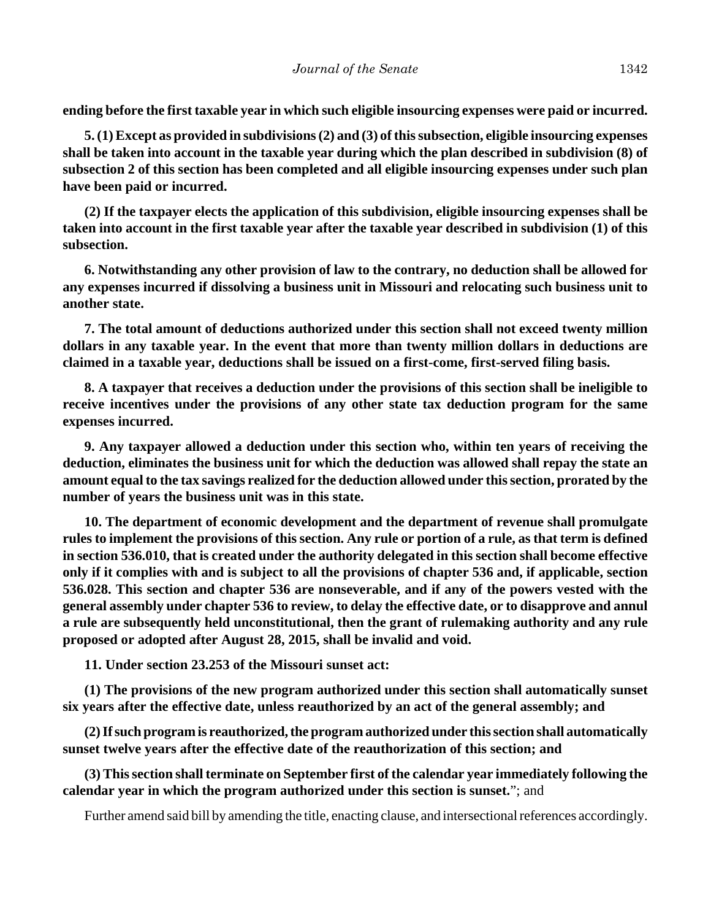**ending before the first taxable year in which such eligible insourcing expenses were paid or incurred.**

**5. (1) Except as provided in subdivisions (2) and (3) of this subsection, eligible insourcing expenses shall be taken into account in the taxable year during which the plan described in subdivision (8) of subsection 2 of this section has been completed and all eligible insourcing expenses under such plan have been paid or incurred.**

**(2) If the taxpayer elects the application of this subdivision, eligible insourcing expenses shall be taken into account in the first taxable year after the taxable year described in subdivision (1) of this subsection.**

**6. Notwithstanding any other provision of law to the contrary, no deduction shall be allowed for any expenses incurred if dissolving a business unit in Missouri and relocating such business unit to another state.**

**7. The total amount of deductions authorized under this section shall not exceed twenty million dollars in any taxable year. In the event that more than twenty million dollars in deductions are claimed in a taxable year, deductions shall be issued on a first-come, first-served filing basis.**

**8. A taxpayer that receives a deduction under the provisions of this section shall be ineligible to receive incentives under the provisions of any other state tax deduction program for the same expenses incurred.**

**9. Any taxpayer allowed a deduction under this section who, within ten years of receiving the deduction, eliminates the business unit for which the deduction was allowed shall repay the state an amount equal to the tax savings realized for the deduction allowed under this section, prorated by the number of years the business unit was in this state.**

**10. The department of economic development and the department of revenue shall promulgate rules to implement the provisions of this section. Any rule or portion of a rule, as that term is defined in section 536.010, that is created under the authority delegated in this section shall become effective only if it complies with and is subject to all the provisions of chapter 536 and, if applicable, section 536.028. This section and chapter 536 are nonseverable, and if any of the powers vested with the general assembly under chapter 536 to review, to delay the effective date, or to disapprove and annul a rule are subsequently held unconstitutional, then the grant of rulemaking authority and any rule proposed or adopted after August 28, 2015, shall be invalid and void.**

**11. Under section 23.253 of the Missouri sunset act:**

**(1) The provisions of the new program authorized under this section shall automatically sunset six years after the effective date, unless reauthorized by an act of the general assembly; and**

**(2) If such program is reauthorized, the program authorized under this section shall automatically sunset twelve years after the effective date of the reauthorization of this section; and**

**(3) This section shall terminate on September first of the calendar year immediately following the calendar year in which the program authorized under this section is sunset.**"; and

Further amend said bill by amending the title, enacting clause, and intersectional references accordingly.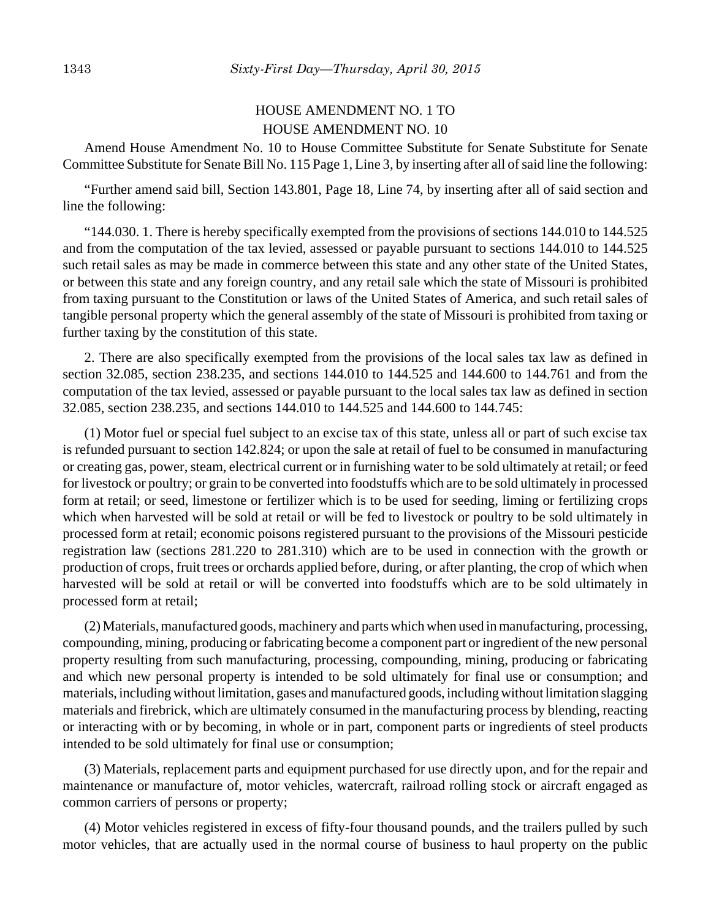# HOUSE AMENDMENT NO. 1 TO HOUSE AMENDMENT NO. 10

Amend House Amendment No. 10 to House Committee Substitute for Senate Substitute for Senate Committee Substitute for Senate Bill No. 115 Page 1, Line 3, by inserting after all of said line the following:

"Further amend said bill, Section 143.801, Page 18, Line 74, by inserting after all of said section and line the following:

"144.030. 1. There is hereby specifically exempted from the provisions of sections 144.010 to 144.525 and from the computation of the tax levied, assessed or payable pursuant to sections 144.010 to 144.525 such retail sales as may be made in commerce between this state and any other state of the United States, or between this state and any foreign country, and any retail sale which the state of Missouri is prohibited from taxing pursuant to the Constitution or laws of the United States of America, and such retail sales of tangible personal property which the general assembly of the state of Missouri is prohibited from taxing or further taxing by the constitution of this state.

2. There are also specifically exempted from the provisions of the local sales tax law as defined in section 32.085, section 238.235, and sections 144.010 to 144.525 and 144.600 to 144.761 and from the computation of the tax levied, assessed or payable pursuant to the local sales tax law as defined in section 32.085, section 238.235, and sections 144.010 to 144.525 and 144.600 to 144.745:

(1) Motor fuel or special fuel subject to an excise tax of this state, unless all or part of such excise tax is refunded pursuant to section 142.824; or upon the sale at retail of fuel to be consumed in manufacturing or creating gas, power, steam, electrical current or in furnishing water to be sold ultimately at retail; or feed for livestock or poultry; or grain to be converted into foodstuffs which are to be sold ultimately in processed form at retail; or seed, limestone or fertilizer which is to be used for seeding, liming or fertilizing crops which when harvested will be sold at retail or will be fed to livestock or poultry to be sold ultimately in processed form at retail; economic poisons registered pursuant to the provisions of the Missouri pesticide registration law (sections 281.220 to 281.310) which are to be used in connection with the growth or production of crops, fruit trees or orchards applied before, during, or after planting, the crop of which when harvested will be sold at retail or will be converted into foodstuffs which are to be sold ultimately in processed form at retail;

(2) Materials, manufactured goods, machinery and parts which when used in manufacturing, processing, compounding, mining, producing or fabricating become a component part or ingredient of the new personal property resulting from such manufacturing, processing, compounding, mining, producing or fabricating and which new personal property is intended to be sold ultimately for final use or consumption; and materials, including without limitation, gases and manufactured goods, including without limitation slagging materials and firebrick, which are ultimately consumed in the manufacturing process by blending, reacting or interacting with or by becoming, in whole or in part, component parts or ingredients of steel products intended to be sold ultimately for final use or consumption;

(3) Materials, replacement parts and equipment purchased for use directly upon, and for the repair and maintenance or manufacture of, motor vehicles, watercraft, railroad rolling stock or aircraft engaged as common carriers of persons or property;

(4) Motor vehicles registered in excess of fifty-four thousand pounds, and the trailers pulled by such motor vehicles, that are actually used in the normal course of business to haul property on the public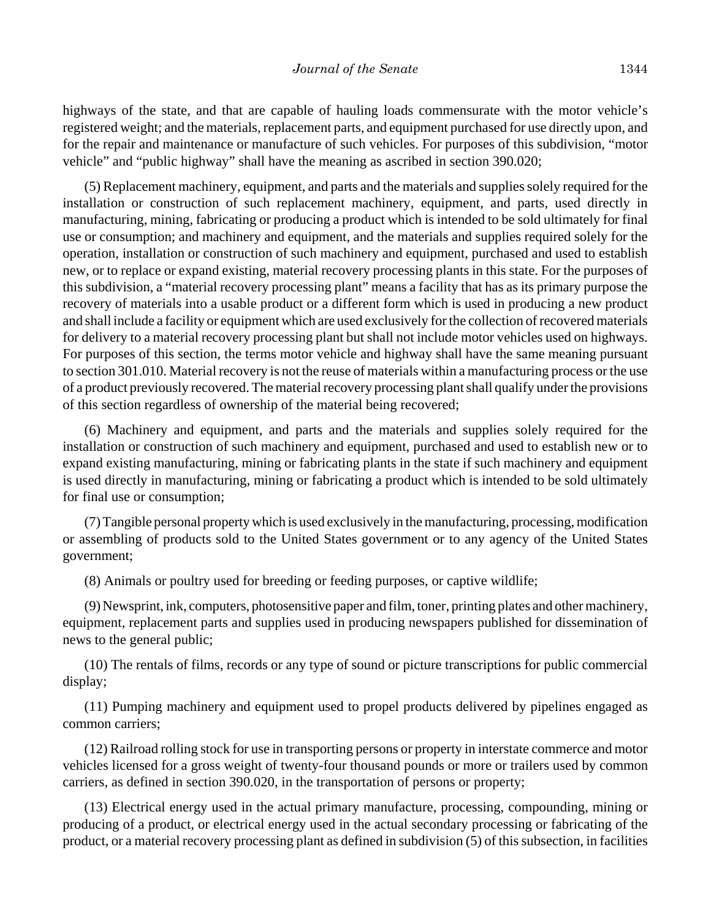highways of the state, and that are capable of hauling loads commensurate with the motor vehicle's registered weight; and the materials, replacement parts, and equipment purchased for use directly upon, and for the repair and maintenance or manufacture of such vehicles. For purposes of this subdivision, "motor vehicle" and "public highway" shall have the meaning as ascribed in section 390.020;

(5) Replacement machinery, equipment, and parts and the materials and supplies solely required for the installation or construction of such replacement machinery, equipment, and parts, used directly in manufacturing, mining, fabricating or producing a product which is intended to be sold ultimately for final use or consumption; and machinery and equipment, and the materials and supplies required solely for the operation, installation or construction of such machinery and equipment, purchased and used to establish new, or to replace or expand existing, material recovery processing plants in this state. For the purposes of this subdivision, a "material recovery processing plant" means a facility that has as its primary purpose the recovery of materials into a usable product or a different form which is used in producing a new product and shall include a facility or equipment which are used exclusively for the collection of recovered materials for delivery to a material recovery processing plant but shall not include motor vehicles used on highways. For purposes of this section, the terms motor vehicle and highway shall have the same meaning pursuant to section 301.010. Material recovery is not the reuse of materials within a manufacturing process or the use of a product previously recovered. The material recovery processing plant shall qualify under the provisions of this section regardless of ownership of the material being recovered;

(6) Machinery and equipment, and parts and the materials and supplies solely required for the installation or construction of such machinery and equipment, purchased and used to establish new or to expand existing manufacturing, mining or fabricating plants in the state if such machinery and equipment is used directly in manufacturing, mining or fabricating a product which is intended to be sold ultimately for final use or consumption;

(7) Tangible personal property which is used exclusively in the manufacturing, processing, modification or assembling of products sold to the United States government or to any agency of the United States government;

(8) Animals or poultry used for breeding or feeding purposes, or captive wildlife;

(9) Newsprint, ink, computers, photosensitive paper and film, toner, printing plates and other machinery, equipment, replacement parts and supplies used in producing newspapers published for dissemination of news to the general public;

(10) The rentals of films, records or any type of sound or picture transcriptions for public commercial display;

(11) Pumping machinery and equipment used to propel products delivered by pipelines engaged as common carriers;

(12) Railroad rolling stock for use in transporting persons or property in interstate commerce and motor vehicles licensed for a gross weight of twenty-four thousand pounds or more or trailers used by common carriers, as defined in section 390.020, in the transportation of persons or property;

(13) Electrical energy used in the actual primary manufacture, processing, compounding, mining or producing of a product, or electrical energy used in the actual secondary processing or fabricating of the product, or a material recovery processing plant as defined in subdivision (5) of this subsection, in facilities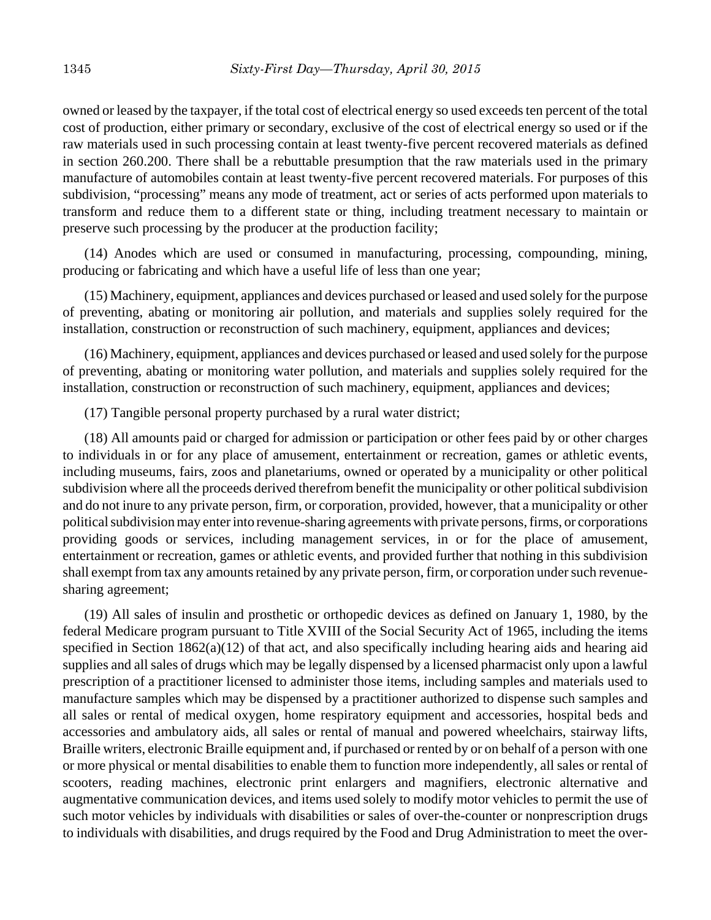owned or leased by the taxpayer, if the total cost of electrical energy so used exceeds ten percent of the total cost of production, either primary or secondary, exclusive of the cost of electrical energy so used or if the raw materials used in such processing contain at least twenty-five percent recovered materials as defined in section 260.200. There shall be a rebuttable presumption that the raw materials used in the primary manufacture of automobiles contain at least twenty-five percent recovered materials. For purposes of this subdivision, "processing" means any mode of treatment, act or series of acts performed upon materials to transform and reduce them to a different state or thing, including treatment necessary to maintain or preserve such processing by the producer at the production facility;

(14) Anodes which are used or consumed in manufacturing, processing, compounding, mining, producing or fabricating and which have a useful life of less than one year;

(15) Machinery, equipment, appliances and devices purchased or leased and used solely for the purpose of preventing, abating or monitoring air pollution, and materials and supplies solely required for the installation, construction or reconstruction of such machinery, equipment, appliances and devices;

(16) Machinery, equipment, appliances and devices purchased or leased and used solely for the purpose of preventing, abating or monitoring water pollution, and materials and supplies solely required for the installation, construction or reconstruction of such machinery, equipment, appliances and devices;

(17) Tangible personal property purchased by a rural water district;

(18) All amounts paid or charged for admission or participation or other fees paid by or other charges to individuals in or for any place of amusement, entertainment or recreation, games or athletic events, including museums, fairs, zoos and planetariums, owned or operated by a municipality or other political subdivision where all the proceeds derived therefrom benefit the municipality or other political subdivision and do not inure to any private person, firm, or corporation, provided, however, that a municipality or other political subdivision may enter into revenue-sharing agreements with private persons, firms, or corporations providing goods or services, including management services, in or for the place of amusement, entertainment or recreation, games or athletic events, and provided further that nothing in this subdivision shall exempt from tax any amounts retained by any private person, firm, or corporation under such revenuesharing agreement;

(19) All sales of insulin and prosthetic or orthopedic devices as defined on January 1, 1980, by the federal Medicare program pursuant to Title XVIII of the Social Security Act of 1965, including the items specified in Section 1862(a)(12) of that act, and also specifically including hearing aids and hearing aid supplies and all sales of drugs which may be legally dispensed by a licensed pharmacist only upon a lawful prescription of a practitioner licensed to administer those items, including samples and materials used to manufacture samples which may be dispensed by a practitioner authorized to dispense such samples and all sales or rental of medical oxygen, home respiratory equipment and accessories, hospital beds and accessories and ambulatory aids, all sales or rental of manual and powered wheelchairs, stairway lifts, Braille writers, electronic Braille equipment and, if purchased or rented by or on behalf of a person with one or more physical or mental disabilities to enable them to function more independently, all sales or rental of scooters, reading machines, electronic print enlargers and magnifiers, electronic alternative and augmentative communication devices, and items used solely to modify motor vehicles to permit the use of such motor vehicles by individuals with disabilities or sales of over-the-counter or nonprescription drugs to individuals with disabilities, and drugs required by the Food and Drug Administration to meet the over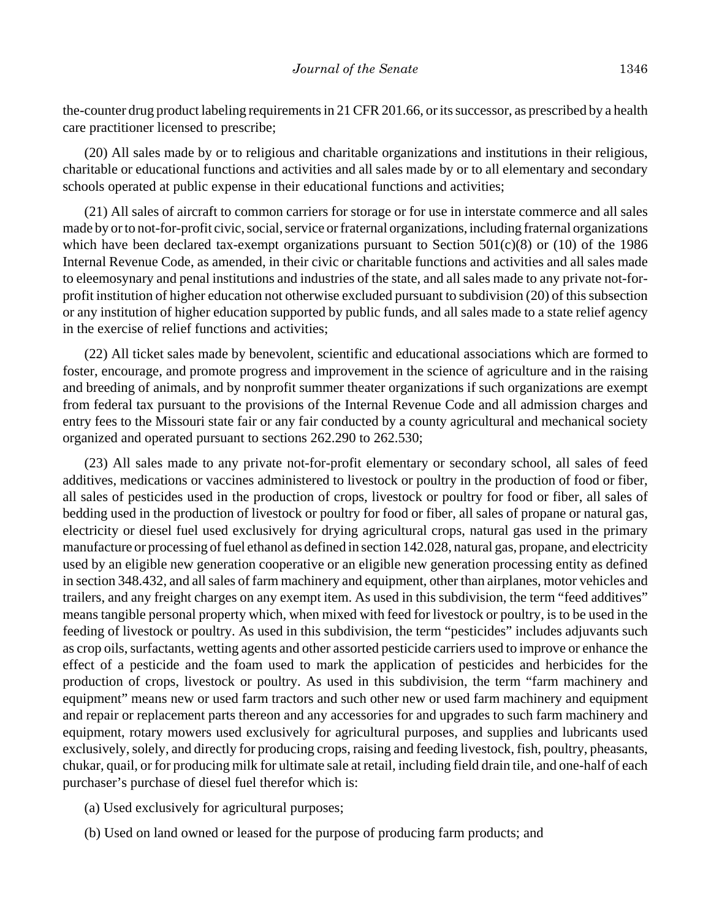the-counter drug product labeling requirements in 21 CFR 201.66, or its successor, as prescribed by a health care practitioner licensed to prescribe;

(20) All sales made by or to religious and charitable organizations and institutions in their religious, charitable or educational functions and activities and all sales made by or to all elementary and secondary schools operated at public expense in their educational functions and activities;

(21) All sales of aircraft to common carriers for storage or for use in interstate commerce and all sales made by or to not-for-profit civic, social, service or fraternal organizations, including fraternal organizations which have been declared tax-exempt organizations pursuant to Section 501(c)(8) or (10) of the 1986 Internal Revenue Code, as amended, in their civic or charitable functions and activities and all sales made to eleemosynary and penal institutions and industries of the state, and all sales made to any private not-forprofit institution of higher education not otherwise excluded pursuant to subdivision (20) of this subsection or any institution of higher education supported by public funds, and all sales made to a state relief agency in the exercise of relief functions and activities;

(22) All ticket sales made by benevolent, scientific and educational associations which are formed to foster, encourage, and promote progress and improvement in the science of agriculture and in the raising and breeding of animals, and by nonprofit summer theater organizations if such organizations are exempt from federal tax pursuant to the provisions of the Internal Revenue Code and all admission charges and entry fees to the Missouri state fair or any fair conducted by a county agricultural and mechanical society organized and operated pursuant to sections 262.290 to 262.530;

(23) All sales made to any private not-for-profit elementary or secondary school, all sales of feed additives, medications or vaccines administered to livestock or poultry in the production of food or fiber, all sales of pesticides used in the production of crops, livestock or poultry for food or fiber, all sales of bedding used in the production of livestock or poultry for food or fiber, all sales of propane or natural gas, electricity or diesel fuel used exclusively for drying agricultural crops, natural gas used in the primary manufacture or processing of fuel ethanol as defined in section 142.028, natural gas, propane, and electricity used by an eligible new generation cooperative or an eligible new generation processing entity as defined in section 348.432, and all sales of farm machinery and equipment, other than airplanes, motor vehicles and trailers, and any freight charges on any exempt item. As used in this subdivision, the term "feed additives" means tangible personal property which, when mixed with feed for livestock or poultry, is to be used in the feeding of livestock or poultry. As used in this subdivision, the term "pesticides" includes adjuvants such as crop oils, surfactants, wetting agents and other assorted pesticide carriers used to improve or enhance the effect of a pesticide and the foam used to mark the application of pesticides and herbicides for the production of crops, livestock or poultry. As used in this subdivision, the term "farm machinery and equipment" means new or used farm tractors and such other new or used farm machinery and equipment and repair or replacement parts thereon and any accessories for and upgrades to such farm machinery and equipment, rotary mowers used exclusively for agricultural purposes, and supplies and lubricants used exclusively, solely, and directly for producing crops, raising and feeding livestock, fish, poultry, pheasants, chukar, quail, or for producing milk for ultimate sale at retail, including field drain tile, and one-half of each purchaser's purchase of diesel fuel therefor which is:

- (a) Used exclusively for agricultural purposes;
- (b) Used on land owned or leased for the purpose of producing farm products; and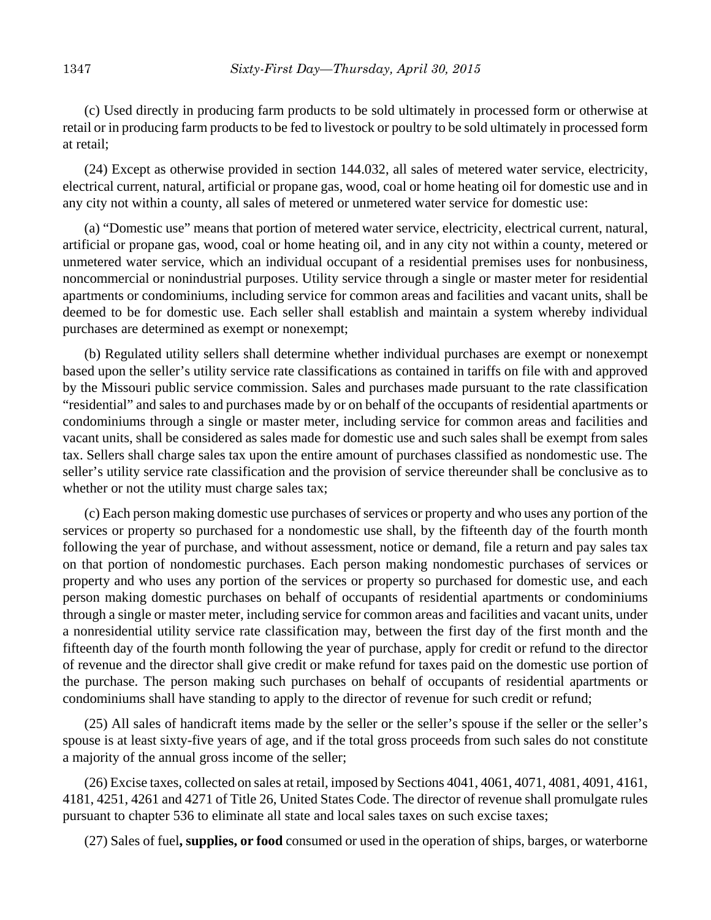(c) Used directly in producing farm products to be sold ultimately in processed form or otherwise at retail or in producing farm products to be fed to livestock or poultry to be sold ultimately in processed form at retail;

(24) Except as otherwise provided in section 144.032, all sales of metered water service, electricity, electrical current, natural, artificial or propane gas, wood, coal or home heating oil for domestic use and in any city not within a county, all sales of metered or unmetered water service for domestic use:

(a) "Domestic use" means that portion of metered water service, electricity, electrical current, natural, artificial or propane gas, wood, coal or home heating oil, and in any city not within a county, metered or unmetered water service, which an individual occupant of a residential premises uses for nonbusiness, noncommercial or nonindustrial purposes. Utility service through a single or master meter for residential apartments or condominiums, including service for common areas and facilities and vacant units, shall be deemed to be for domestic use. Each seller shall establish and maintain a system whereby individual purchases are determined as exempt or nonexempt;

(b) Regulated utility sellers shall determine whether individual purchases are exempt or nonexempt based upon the seller's utility service rate classifications as contained in tariffs on file with and approved by the Missouri public service commission. Sales and purchases made pursuant to the rate classification "residential" and sales to and purchases made by or on behalf of the occupants of residential apartments or condominiums through a single or master meter, including service for common areas and facilities and vacant units, shall be considered as sales made for domestic use and such sales shall be exempt from sales tax. Sellers shall charge sales tax upon the entire amount of purchases classified as nondomestic use. The seller's utility service rate classification and the provision of service thereunder shall be conclusive as to whether or not the utility must charge sales tax;

(c) Each person making domestic use purchases of services or property and who uses any portion of the services or property so purchased for a nondomestic use shall, by the fifteenth day of the fourth month following the year of purchase, and without assessment, notice or demand, file a return and pay sales tax on that portion of nondomestic purchases. Each person making nondomestic purchases of services or property and who uses any portion of the services or property so purchased for domestic use, and each person making domestic purchases on behalf of occupants of residential apartments or condominiums through a single or master meter, including service for common areas and facilities and vacant units, under a nonresidential utility service rate classification may, between the first day of the first month and the fifteenth day of the fourth month following the year of purchase, apply for credit or refund to the director of revenue and the director shall give credit or make refund for taxes paid on the domestic use portion of the purchase. The person making such purchases on behalf of occupants of residential apartments or condominiums shall have standing to apply to the director of revenue for such credit or refund;

(25) All sales of handicraft items made by the seller or the seller's spouse if the seller or the seller's spouse is at least sixty-five years of age, and if the total gross proceeds from such sales do not constitute a majority of the annual gross income of the seller;

(26) Excise taxes, collected on sales at retail, imposed by Sections 4041, 4061, 4071, 4081, 4091, 4161, 4181, 4251, 4261 and 4271 of Title 26, United States Code. The director of revenue shall promulgate rules pursuant to chapter 536 to eliminate all state and local sales taxes on such excise taxes;

(27) Sales of fuel**, supplies, or food** consumed or used in the operation of ships, barges, or waterborne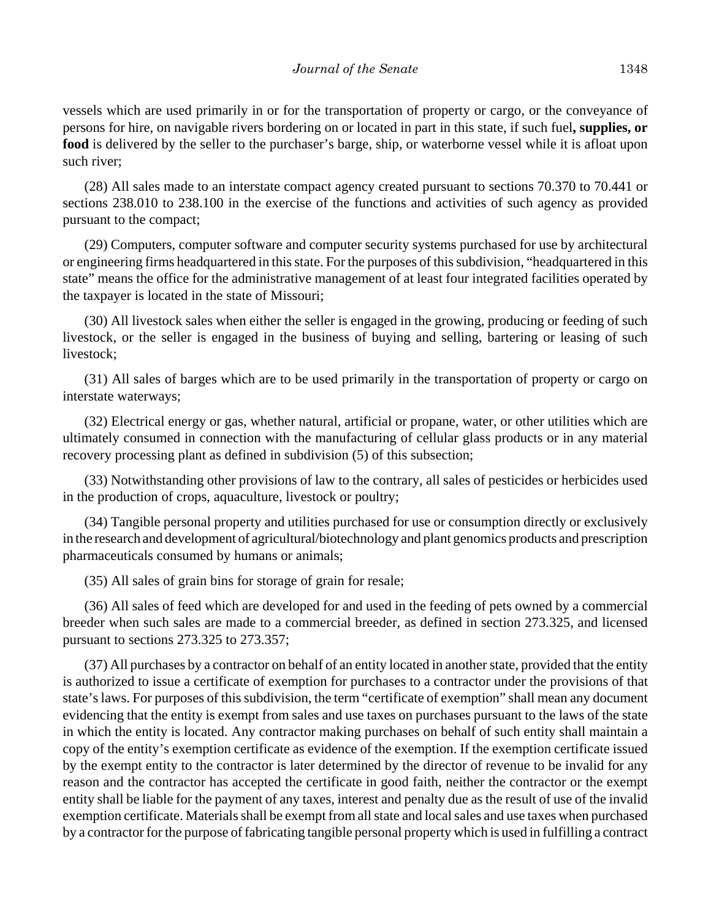vessels which are used primarily in or for the transportation of property or cargo, or the conveyance of persons for hire, on navigable rivers bordering on or located in part in this state, if such fuel**, supplies, or food** is delivered by the seller to the purchaser's barge, ship, or waterborne vessel while it is afloat upon such river;

(28) All sales made to an interstate compact agency created pursuant to sections 70.370 to 70.441 or sections 238.010 to 238.100 in the exercise of the functions and activities of such agency as provided pursuant to the compact;

(29) Computers, computer software and computer security systems purchased for use by architectural or engineering firms headquartered in this state. For the purposes of this subdivision, "headquartered in this state" means the office for the administrative management of at least four integrated facilities operated by the taxpayer is located in the state of Missouri;

(30) All livestock sales when either the seller is engaged in the growing, producing or feeding of such livestock, or the seller is engaged in the business of buying and selling, bartering or leasing of such livestock;

(31) All sales of barges which are to be used primarily in the transportation of property or cargo on interstate waterways;

(32) Electrical energy or gas, whether natural, artificial or propane, water, or other utilities which are ultimately consumed in connection with the manufacturing of cellular glass products or in any material recovery processing plant as defined in subdivision (5) of this subsection;

(33) Notwithstanding other provisions of law to the contrary, all sales of pesticides or herbicides used in the production of crops, aquaculture, livestock or poultry;

(34) Tangible personal property and utilities purchased for use or consumption directly or exclusively in the research and development of agricultural/biotechnology and plant genomics products and prescription pharmaceuticals consumed by humans or animals;

(35) All sales of grain bins for storage of grain for resale;

(36) All sales of feed which are developed for and used in the feeding of pets owned by a commercial breeder when such sales are made to a commercial breeder, as defined in section 273.325, and licensed pursuant to sections 273.325 to 273.357;

(37) All purchases by a contractor on behalf of an entity located in another state, provided that the entity is authorized to issue a certificate of exemption for purchases to a contractor under the provisions of that state's laws. For purposes of this subdivision, the term "certificate of exemption" shall mean any document evidencing that the entity is exempt from sales and use taxes on purchases pursuant to the laws of the state in which the entity is located. Any contractor making purchases on behalf of such entity shall maintain a copy of the entity's exemption certificate as evidence of the exemption. If the exemption certificate issued by the exempt entity to the contractor is later determined by the director of revenue to be invalid for any reason and the contractor has accepted the certificate in good faith, neither the contractor or the exempt entity shall be liable for the payment of any taxes, interest and penalty due as the result of use of the invalid exemption certificate. Materials shall be exempt from all state and local sales and use taxes when purchased by a contractor for the purpose of fabricating tangible personal property which is used in fulfilling a contract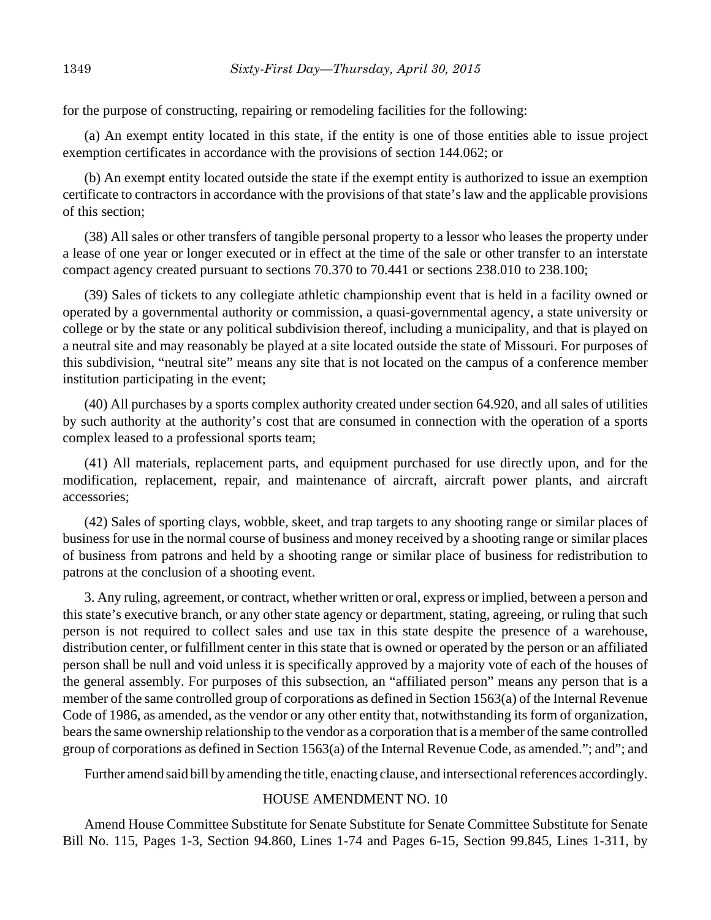for the purpose of constructing, repairing or remodeling facilities for the following:

(a) An exempt entity located in this state, if the entity is one of those entities able to issue project exemption certificates in accordance with the provisions of section 144.062; or

(b) An exempt entity located outside the state if the exempt entity is authorized to issue an exemption certificate to contractors in accordance with the provisions of that state's law and the applicable provisions of this section;

(38) All sales or other transfers of tangible personal property to a lessor who leases the property under a lease of one year or longer executed or in effect at the time of the sale or other transfer to an interstate compact agency created pursuant to sections 70.370 to 70.441 or sections 238.010 to 238.100;

(39) Sales of tickets to any collegiate athletic championship event that is held in a facility owned or operated by a governmental authority or commission, a quasi-governmental agency, a state university or college or by the state or any political subdivision thereof, including a municipality, and that is played on a neutral site and may reasonably be played at a site located outside the state of Missouri. For purposes of this subdivision, "neutral site" means any site that is not located on the campus of a conference member institution participating in the event;

(40) All purchases by a sports complex authority created under section 64.920, and all sales of utilities by such authority at the authority's cost that are consumed in connection with the operation of a sports complex leased to a professional sports team;

(41) All materials, replacement parts, and equipment purchased for use directly upon, and for the modification, replacement, repair, and maintenance of aircraft, aircraft power plants, and aircraft accessories;

(42) Sales of sporting clays, wobble, skeet, and trap targets to any shooting range or similar places of business for use in the normal course of business and money received by a shooting range or similar places of business from patrons and held by a shooting range or similar place of business for redistribution to patrons at the conclusion of a shooting event.

3. Any ruling, agreement, or contract, whether written or oral, express or implied, between a person and this state's executive branch, or any other state agency or department, stating, agreeing, or ruling that such person is not required to collect sales and use tax in this state despite the presence of a warehouse, distribution center, or fulfillment center in this state that is owned or operated by the person or an affiliated person shall be null and void unless it is specifically approved by a majority vote of each of the houses of the general assembly. For purposes of this subsection, an "affiliated person" means any person that is a member of the same controlled group of corporations as defined in Section 1563(a) of the Internal Revenue Code of 1986, as amended, as the vendor or any other entity that, notwithstanding its form of organization, bears the same ownership relationship to the vendor as a corporation that is a member of the same controlled group of corporations as defined in Section 1563(a) of the Internal Revenue Code, as amended."; and"; and

Further amend said bill by amending the title, enacting clause, and intersectional references accordingly.

## HOUSE AMENDMENT NO. 10

Amend House Committee Substitute for Senate Substitute for Senate Committee Substitute for Senate Bill No. 115, Pages 1-3, Section 94.860, Lines 1-74 and Pages 6-15, Section 99.845, Lines 1-311, by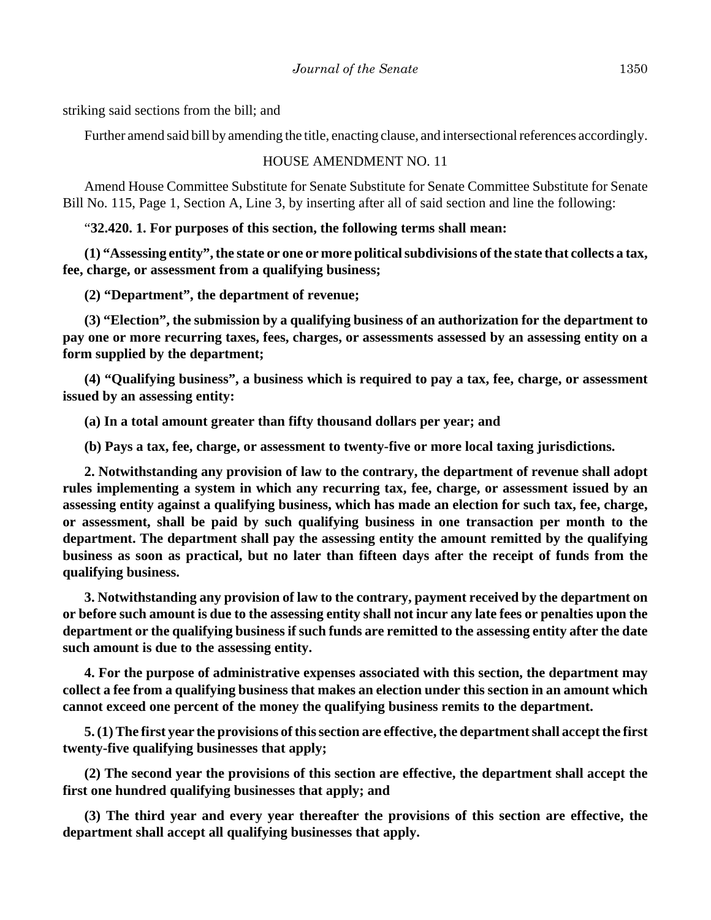striking said sections from the bill; and

Further amend said bill by amending the title, enacting clause, and intersectional references accordingly.

HOUSE AMENDMENT NO. 11

Amend House Committee Substitute for Senate Substitute for Senate Committee Substitute for Senate Bill No. 115, Page 1, Section A, Line 3, by inserting after all of said section and line the following:

"**32.420. 1. For purposes of this section, the following terms shall mean:**

**(1) "Assessing entity", the state or one or more political subdivisions of the state that collects a tax, fee, charge, or assessment from a qualifying business;**

**(2) "Department", the department of revenue;**

**(3) "Election", the submission by a qualifying business of an authorization for the department to pay one or more recurring taxes, fees, charges, or assessments assessed by an assessing entity on a form supplied by the department;**

**(4) "Qualifying business", a business which is required to pay a tax, fee, charge, or assessment issued by an assessing entity:**

**(a) In a total amount greater than fifty thousand dollars per year; and**

**(b) Pays a tax, fee, charge, or assessment to twenty-five or more local taxing jurisdictions.**

**2. Notwithstanding any provision of law to the contrary, the department of revenue shall adopt rules implementing a system in which any recurring tax, fee, charge, or assessment issued by an assessing entity against a qualifying business, which has made an election for such tax, fee, charge, or assessment, shall be paid by such qualifying business in one transaction per month to the department. The department shall pay the assessing entity the amount remitted by the qualifying business as soon as practical, but no later than fifteen days after the receipt of funds from the qualifying business.**

**3. Notwithstanding any provision of law to the contrary, payment received by the department on or before such amount is due to the assessing entity shall not incur any late fees or penalties upon the department or the qualifying business if such funds are remitted to the assessing entity after the date such amount is due to the assessing entity.**

**4. For the purpose of administrative expenses associated with this section, the department may collect a fee from a qualifying business that makes an election under this section in an amount which cannot exceed one percent of the money the qualifying business remits to the department.**

**5. (1) The first year the provisions of this section are effective, the department shall accept the first twenty-five qualifying businesses that apply;**

**(2) The second year the provisions of this section are effective, the department shall accept the first one hundred qualifying businesses that apply; and**

**(3) The third year and every year thereafter the provisions of this section are effective, the department shall accept all qualifying businesses that apply.**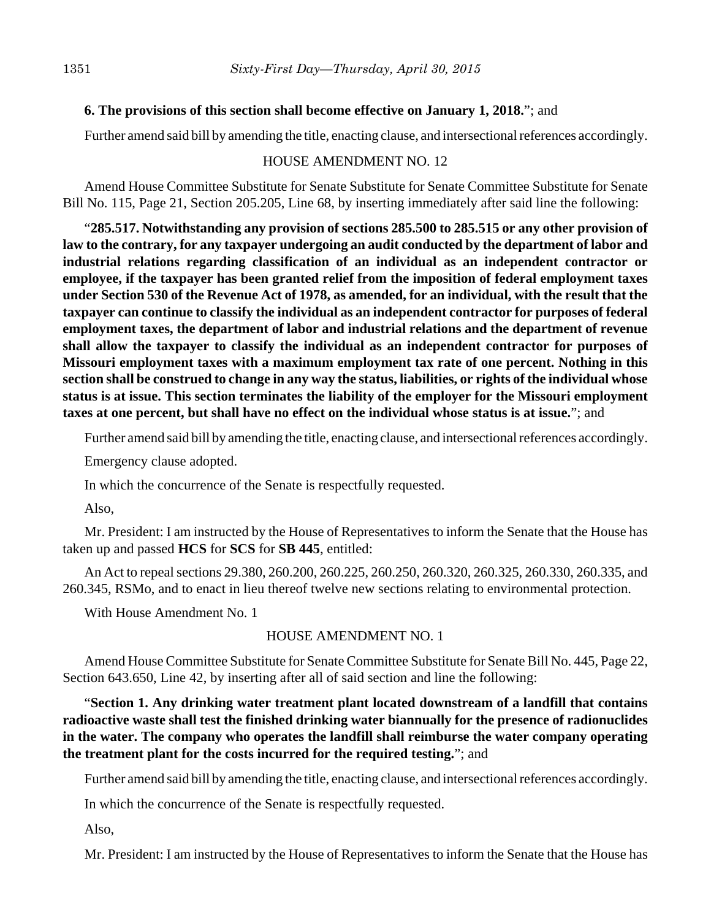## **6. The provisions of this section shall become effective on January 1, 2018.**"; and

Further amend said bill by amending the title, enacting clause, and intersectional references accordingly.

#### HOUSE AMENDMENT NO. 12

Amend House Committee Substitute for Senate Substitute for Senate Committee Substitute for Senate Bill No. 115, Page 21, Section 205.205, Line 68, by inserting immediately after said line the following:

"**285.517. Notwithstanding any provision of sections 285.500 to 285.515 or any other provision of law to the contrary, for any taxpayer undergoing an audit conducted by the department of labor and industrial relations regarding classification of an individual as an independent contractor or employee, if the taxpayer has been granted relief from the imposition of federal employment taxes under Section 530 of the Revenue Act of 1978, as amended, for an individual, with the result that the taxpayer can continue to classify the individual as an independent contractor for purposes of federal employment taxes, the department of labor and industrial relations and the department of revenue shall allow the taxpayer to classify the individual as an independent contractor for purposes of Missouri employment taxes with a maximum employment tax rate of one percent. Nothing in this section shall be construed to change in any way the status, liabilities, or rights of the individual whose status is at issue. This section terminates the liability of the employer for the Missouri employment taxes at one percent, but shall have no effect on the individual whose status is at issue.**"; and

Further amend said bill by amending the title, enacting clause, and intersectional references accordingly.

Emergency clause adopted.

In which the concurrence of the Senate is respectfully requested.

Also,

Mr. President: I am instructed by the House of Representatives to inform the Senate that the House has taken up and passed **HCS** for **SCS** for **SB 445**, entitled:

An Act to repeal sections 29.380, 260.200, 260.225, 260.250, 260.320, 260.325, 260.330, 260.335, and 260.345, RSMo, and to enact in lieu thereof twelve new sections relating to environmental protection.

With House Amendment No. 1

### HOUSE AMENDMENT NO. 1

Amend House Committee Substitute for Senate Committee Substitute for Senate Bill No. 445, Page 22, Section 643.650, Line 42, by inserting after all of said section and line the following:

"**Section 1. Any drinking water treatment plant located downstream of a landfill that contains radioactive waste shall test the finished drinking water biannually for the presence of radionuclides in the water. The company who operates the landfill shall reimburse the water company operating the treatment plant for the costs incurred for the required testing.**"; and

Further amend said bill by amending the title, enacting clause, and intersectional references accordingly.

In which the concurrence of the Senate is respectfully requested.

Also,

Mr. President: I am instructed by the House of Representatives to inform the Senate that the House has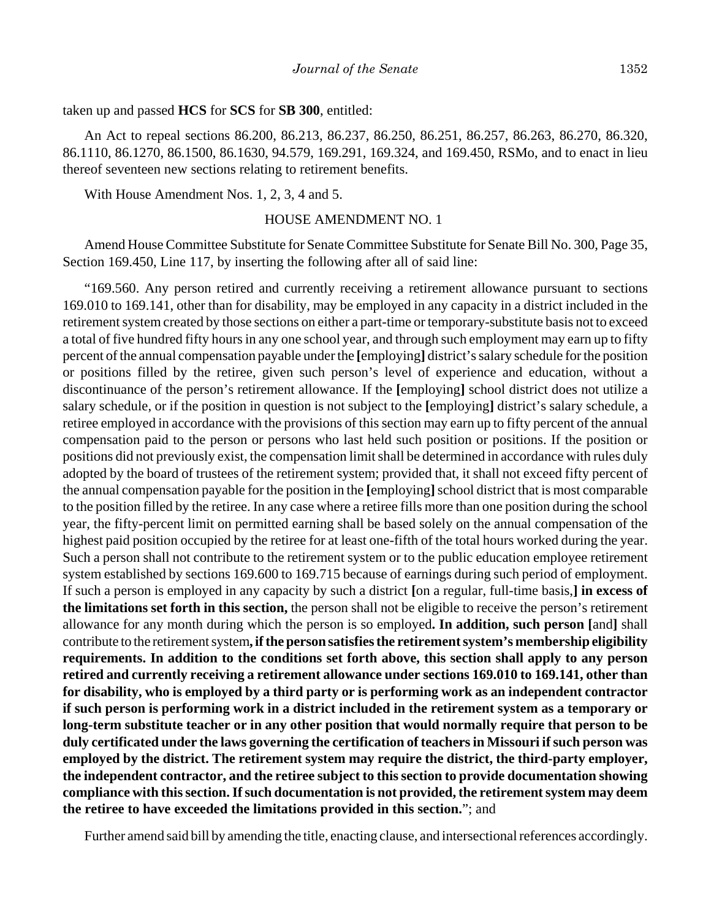taken up and passed **HCS** for **SCS** for **SB 300**, entitled:

An Act to repeal sections 86.200, 86.213, 86.237, 86.250, 86.251, 86.257, 86.263, 86.270, 86.320, 86.1110, 86.1270, 86.1500, 86.1630, 94.579, 169.291, 169.324, and 169.450, RSMo, and to enact in lieu thereof seventeen new sections relating to retirement benefits.

With House Amendment Nos. 1, 2, 3, 4 and 5.

#### HOUSE AMENDMENT NO. 1

Amend House Committee Substitute for Senate Committee Substitute for Senate Bill No. 300, Page 35, Section 169.450, Line 117, by inserting the following after all of said line:

"169.560. Any person retired and currently receiving a retirement allowance pursuant to sections 169.010 to 169.141, other than for disability, may be employed in any capacity in a district included in the retirement system created by those sections on either a part-time or temporary-substitute basis not to exceed a total of five hundred fifty hours in any one school year, and through such employment may earn up to fifty percent of the annual compensation payable under the **[**employing**]** district's salary schedule for the position or positions filled by the retiree, given such person's level of experience and education, without a discontinuance of the person's retirement allowance. If the **[**employing**]** school district does not utilize a salary schedule, or if the position in question is not subject to the **[**employing**]** district's salary schedule, a retiree employed in accordance with the provisions of this section may earn up to fifty percent of the annual compensation paid to the person or persons who last held such position or positions. If the position or positions did not previously exist, the compensation limit shall be determined in accordance with rules duly adopted by the board of trustees of the retirement system; provided that, it shall not exceed fifty percent of the annual compensation payable for the position in the **[**employing**]** school district that is most comparable to the position filled by the retiree. In any case where a retiree fills more than one position during the school year, the fifty-percent limit on permitted earning shall be based solely on the annual compensation of the highest paid position occupied by the retiree for at least one-fifth of the total hours worked during the year. Such a person shall not contribute to the retirement system or to the public education employee retirement system established by sections 169.600 to 169.715 because of earnings during such period of employment. If such a person is employed in any capacity by such a district **[**on a regular, full-time basis,**] in excess of the limitations set forth in this section,** the person shall not be eligible to receive the person's retirement allowance for any month during which the person is so employed**. In addition, such person [**and**]** shall contribute to the retirement system**, if the person satisfies the retirement system's membership eligibility requirements. In addition to the conditions set forth above, this section shall apply to any person retired and currently receiving a retirement allowance under sections 169.010 to 169.141, other than for disability, who is employed by a third party or is performing work as an independent contractor if such person is performing work in a district included in the retirement system as a temporary or long-term substitute teacher or in any other position that would normally require that person to be duly certificated under the laws governing the certification of teachers in Missouri if such person was employed by the district. The retirement system may require the district, the third-party employer, the independent contractor, and the retiree subject to this section to provide documentation showing compliance with this section. If such documentation is not provided, the retirement system may deem the retiree to have exceeded the limitations provided in this section.**"; and

Further amend said bill by amending the title, enacting clause, and intersectional references accordingly.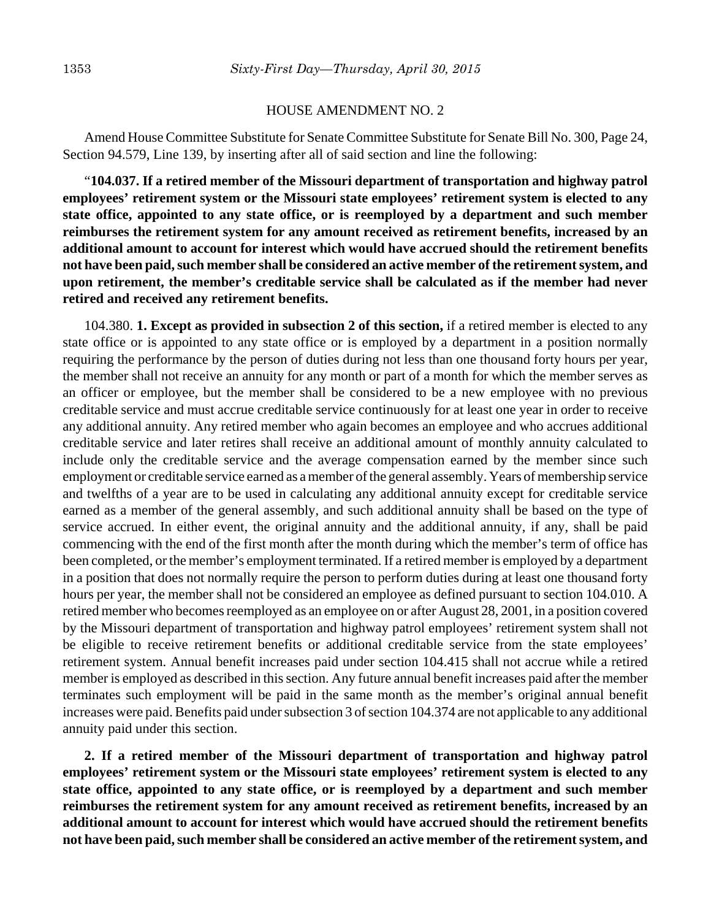#### HOUSE AMENDMENT NO. 2

Amend House Committee Substitute for Senate Committee Substitute for Senate Bill No. 300, Page 24, Section 94.579, Line 139, by inserting after all of said section and line the following:

"**104.037. If a retired member of the Missouri department of transportation and highway patrol employees' retirement system or the Missouri state employees' retirement system is elected to any state office, appointed to any state office, or is reemployed by a department and such member reimburses the retirement system for any amount received as retirement benefits, increased by an additional amount to account for interest which would have accrued should the retirement benefits not have been paid, such member shall be considered an active member of the retirement system, and upon retirement, the member's creditable service shall be calculated as if the member had never retired and received any retirement benefits.**

104.380. **1. Except as provided in subsection 2 of this section,** if a retired member is elected to any state office or is appointed to any state office or is employed by a department in a position normally requiring the performance by the person of duties during not less than one thousand forty hours per year, the member shall not receive an annuity for any month or part of a month for which the member serves as an officer or employee, but the member shall be considered to be a new employee with no previous creditable service and must accrue creditable service continuously for at least one year in order to receive any additional annuity. Any retired member who again becomes an employee and who accrues additional creditable service and later retires shall receive an additional amount of monthly annuity calculated to include only the creditable service and the average compensation earned by the member since such employment or creditable service earned as a member of the general assembly. Years of membership service and twelfths of a year are to be used in calculating any additional annuity except for creditable service earned as a member of the general assembly, and such additional annuity shall be based on the type of service accrued. In either event, the original annuity and the additional annuity, if any, shall be paid commencing with the end of the first month after the month during which the member's term of office has been completed, or the member's employment terminated. If a retired member is employed by a department in a position that does not normally require the person to perform duties during at least one thousand forty hours per year, the member shall not be considered an employee as defined pursuant to section 104.010. A retired member who becomes reemployed as an employee on or after August 28, 2001, in a position covered by the Missouri department of transportation and highway patrol employees' retirement system shall not be eligible to receive retirement benefits or additional creditable service from the state employees' retirement system. Annual benefit increases paid under section 104.415 shall not accrue while a retired member is employed as described in this section. Any future annual benefit increases paid after the member terminates such employment will be paid in the same month as the member's original annual benefit increases were paid. Benefits paid under subsection 3 of section 104.374 are not applicable to any additional annuity paid under this section.

**2. If a retired member of the Missouri department of transportation and highway patrol employees' retirement system or the Missouri state employees' retirement system is elected to any state office, appointed to any state office, or is reemployed by a department and such member reimburses the retirement system for any amount received as retirement benefits, increased by an additional amount to account for interest which would have accrued should the retirement benefits not have been paid, such member shall be considered an active member of the retirement system, and**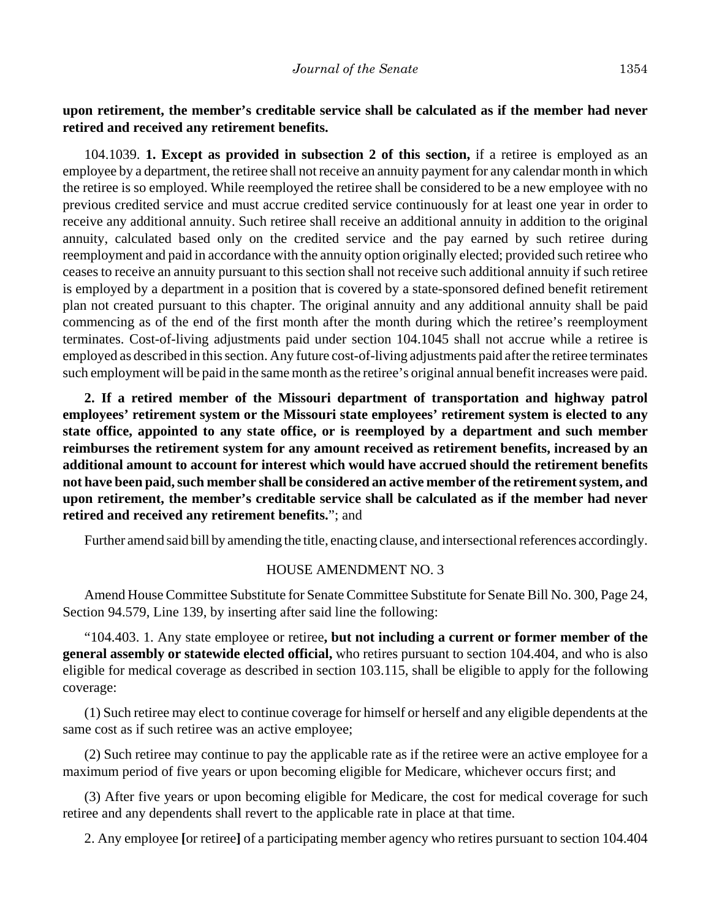## **upon retirement, the member's creditable service shall be calculated as if the member had never retired and received any retirement benefits.**

104.1039. **1. Except as provided in subsection 2 of this section,** if a retiree is employed as an employee by a department, the retiree shall not receive an annuity payment for any calendar month in which the retiree is so employed. While reemployed the retiree shall be considered to be a new employee with no previous credited service and must accrue credited service continuously for at least one year in order to receive any additional annuity. Such retiree shall receive an additional annuity in addition to the original annuity, calculated based only on the credited service and the pay earned by such retiree during reemployment and paid in accordance with the annuity option originally elected; provided such retiree who ceases to receive an annuity pursuant to this section shall not receive such additional annuity if such retiree is employed by a department in a position that is covered by a state-sponsored defined benefit retirement plan not created pursuant to this chapter. The original annuity and any additional annuity shall be paid commencing as of the end of the first month after the month during which the retiree's reemployment terminates. Cost-of-living adjustments paid under section 104.1045 shall not accrue while a retiree is employed as described in this section. Any future cost-of-living adjustments paid after the retiree terminates such employment will be paid in the same month as the retiree's original annual benefit increases were paid.

**2. If a retired member of the Missouri department of transportation and highway patrol employees' retirement system or the Missouri state employees' retirement system is elected to any state office, appointed to any state office, or is reemployed by a department and such member reimburses the retirement system for any amount received as retirement benefits, increased by an additional amount to account for interest which would have accrued should the retirement benefits not have been paid, such member shall be considered an active member of the retirement system, and upon retirement, the member's creditable service shall be calculated as if the member had never retired and received any retirement benefits.**"; and

Further amend said bill by amending the title, enacting clause, and intersectional references accordingly.

#### HOUSE AMENDMENT NO. 3

Amend House Committee Substitute for Senate Committee Substitute for Senate Bill No. 300, Page 24, Section 94.579, Line 139, by inserting after said line the following:

"104.403. 1. Any state employee or retiree**, but not including a current or former member of the general assembly or statewide elected official,** who retires pursuant to section 104.404, and who is also eligible for medical coverage as described in section 103.115, shall be eligible to apply for the following coverage:

(1) Such retiree may elect to continue coverage for himself or herself and any eligible dependents at the same cost as if such retiree was an active employee;

(2) Such retiree may continue to pay the applicable rate as if the retiree were an active employee for a maximum period of five years or upon becoming eligible for Medicare, whichever occurs first; and

(3) After five years or upon becoming eligible for Medicare, the cost for medical coverage for such retiree and any dependents shall revert to the applicable rate in place at that time.

2. Any employee **[**or retiree**]** of a participating member agency who retires pursuant to section 104.404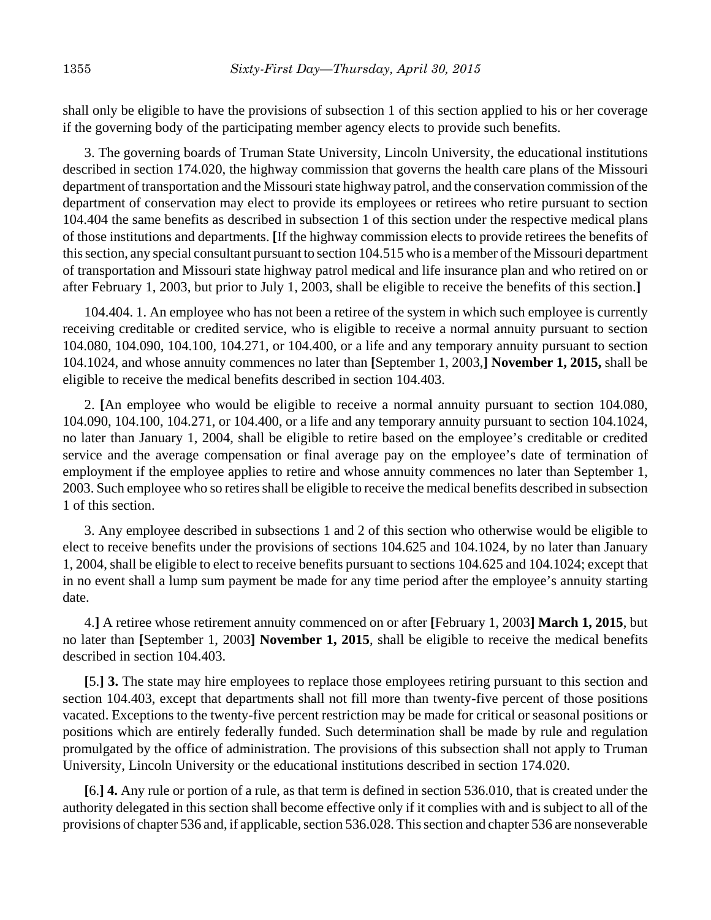shall only be eligible to have the provisions of subsection 1 of this section applied to his or her coverage if the governing body of the participating member agency elects to provide such benefits.

3. The governing boards of Truman State University, Lincoln University, the educational institutions described in section 174.020, the highway commission that governs the health care plans of the Missouri department of transportation and the Missouri state highway patrol, and the conservation commission of the department of conservation may elect to provide its employees or retirees who retire pursuant to section 104.404 the same benefits as described in subsection 1 of this section under the respective medical plans of those institutions and departments. **[**If the highway commission elects to provide retirees the benefits of this section, any special consultant pursuant to section 104.515 who is a member of the Missouri department of transportation and Missouri state highway patrol medical and life insurance plan and who retired on or after February 1, 2003, but prior to July 1, 2003, shall be eligible to receive the benefits of this section.**]**

104.404. 1. An employee who has not been a retiree of the system in which such employee is currently receiving creditable or credited service, who is eligible to receive a normal annuity pursuant to section 104.080, 104.090, 104.100, 104.271, or 104.400, or a life and any temporary annuity pursuant to section 104.1024, and whose annuity commences no later than **[**September 1, 2003,**] November 1, 2015,** shall be eligible to receive the medical benefits described in section 104.403.

2. **[**An employee who would be eligible to receive a normal annuity pursuant to section 104.080, 104.090, 104.100, 104.271, or 104.400, or a life and any temporary annuity pursuant to section 104.1024, no later than January 1, 2004, shall be eligible to retire based on the employee's creditable or credited service and the average compensation or final average pay on the employee's date of termination of employment if the employee applies to retire and whose annuity commences no later than September 1, 2003. Such employee who so retires shall be eligible to receive the medical benefits described in subsection 1 of this section.

3. Any employee described in subsections 1 and 2 of this section who otherwise would be eligible to elect to receive benefits under the provisions of sections 104.625 and 104.1024, by no later than January 1, 2004, shall be eligible to elect to receive benefits pursuant to sections 104.625 and 104.1024; except that in no event shall a lump sum payment be made for any time period after the employee's annuity starting date.

4.**]** A retiree whose retirement annuity commenced on or after **[**February 1, 2003**] March 1, 2015**, but no later than **[**September 1, 2003**] November 1, 2015**, shall be eligible to receive the medical benefits described in section 104.403.

**[**5.**] 3.** The state may hire employees to replace those employees retiring pursuant to this section and section 104.403, except that departments shall not fill more than twenty-five percent of those positions vacated. Exceptions to the twenty-five percent restriction may be made for critical or seasonal positions or positions which are entirely federally funded. Such determination shall be made by rule and regulation promulgated by the office of administration. The provisions of this subsection shall not apply to Truman University, Lincoln University or the educational institutions described in section 174.020.

**[**6.**] 4.** Any rule or portion of a rule, as that term is defined in section 536.010, that is created under the authority delegated in this section shall become effective only if it complies with and is subject to all of the provisions of chapter 536 and, if applicable, section 536.028. This section and chapter 536 are nonseverable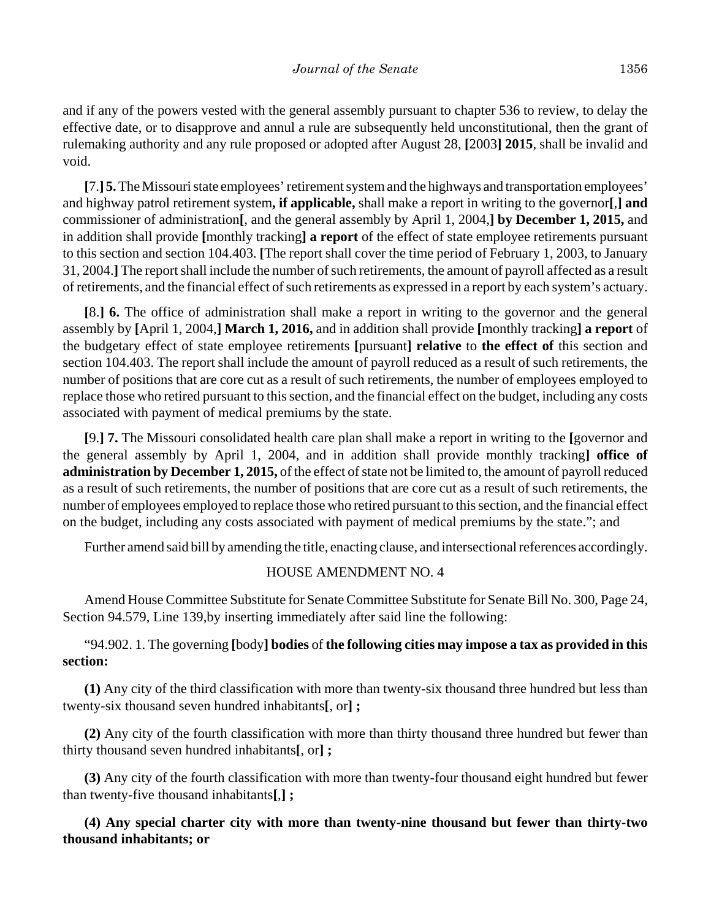and if any of the powers vested with the general assembly pursuant to chapter 536 to review, to delay the effective date, or to disapprove and annul a rule are subsequently held unconstitutional, then the grant of rulemaking authority and any rule proposed or adopted after August 28, **[**2003**] 2015**, shall be invalid and void.

**[**7.**] 5.** The Missouri state employees' retirement system and the highways and transportation employees' and highway patrol retirement system**, if applicable,** shall make a report in writing to the governor**[**,**] and** commissioner of administration**[**, and the general assembly by April 1, 2004,**] by December 1, 2015,** and in addition shall provide **[**monthly tracking**] a report** of the effect of state employee retirements pursuant to this section and section 104.403. **[**The report shall cover the time period of February 1, 2003, to January 31, 2004.**]** The report shall include the number of such retirements, the amount of payroll affected as a result of retirements, and the financial effect of such retirements as expressed in a report by each system's actuary.

**[**8.**] 6.** The office of administration shall make a report in writing to the governor and the general assembly by **[**April 1, 2004,**] March 1, 2016,** and in addition shall provide **[**monthly tracking**] a report** of the budgetary effect of state employee retirements **[**pursuant**] relative** to **the effect of** this section and section 104.403. The report shall include the amount of payroll reduced as a result of such retirements, the number of positions that are core cut as a result of such retirements, the number of employees employed to replace those who retired pursuant to this section, and the financial effect on the budget, including any costs associated with payment of medical premiums by the state.

**[**9.**] 7.** The Missouri consolidated health care plan shall make a report in writing to the **[**governor and the general assembly by April 1, 2004, and in addition shall provide monthly tracking**] office of administration by December 1, 2015,** of the effect of state not be limited to, the amount of payroll reduced as a result of such retirements, the number of positions that are core cut as a result of such retirements, the number of employees employed to replace those who retired pursuant to this section, and the financial effect on the budget, including any costs associated with payment of medical premiums by the state."; and

Further amend said bill by amending the title, enacting clause, and intersectional references accordingly.

#### HOUSE AMENDMENT NO. 4

Amend House Committee Substitute for Senate Committee Substitute for Senate Bill No. 300, Page 24, Section 94.579, Line 139,by inserting immediately after said line the following:

## "94.902. 1. The governing **[**body**] bodies** of **the following cities may impose a tax as provided in this section:**

**(1)** Any city of the third classification with more than twenty-six thousand three hundred but less than twenty-six thousand seven hundred inhabitants**[**, or**] ;**

**(2)** Any city of the fourth classification with more than thirty thousand three hundred but fewer than thirty thousand seven hundred inhabitants**[**, or**] ;**

**(3)** Any city of the fourth classification with more than twenty-four thousand eight hundred but fewer than twenty-five thousand inhabitants**[**,**] ;**

**(4) Any special charter city with more than twenty-nine thousand but fewer than thirty-two thousand inhabitants; or**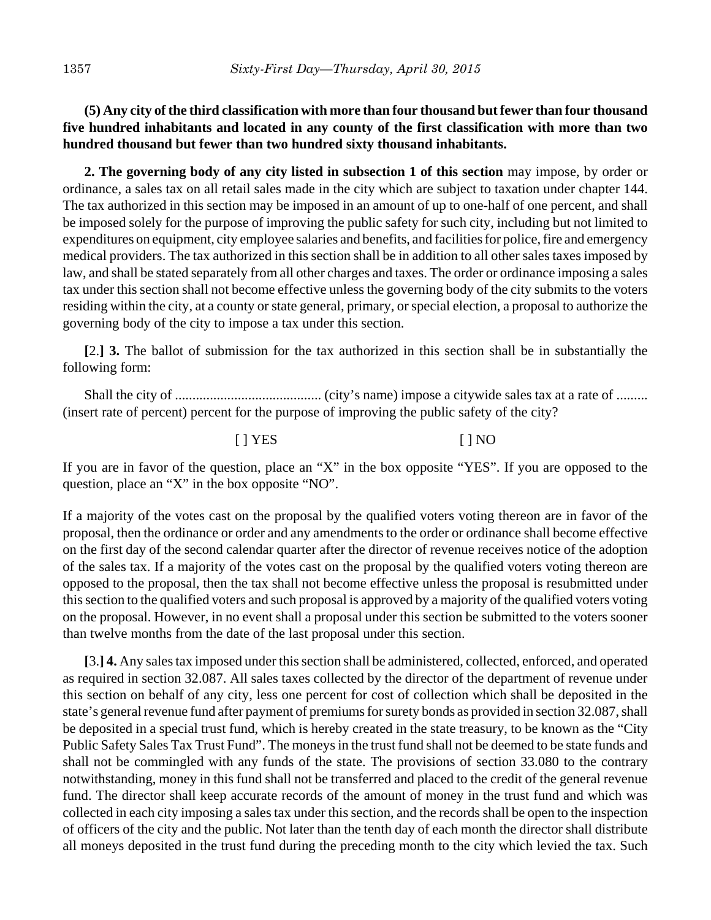# **(5) Any city of the third classification with more than four thousand but fewer than four thousand five hundred inhabitants and located in any county of the first classification with more than two hundred thousand but fewer than two hundred sixty thousand inhabitants.**

**2. The governing body of any city listed in subsection 1 of this section** may impose, by order or ordinance, a sales tax on all retail sales made in the city which are subject to taxation under chapter 144. The tax authorized in this section may be imposed in an amount of up to one-half of one percent, and shall be imposed solely for the purpose of improving the public safety for such city, including but not limited to expenditures on equipment, city employee salaries and benefits, and facilities for police, fire and emergency medical providers. The tax authorized in this section shall be in addition to all other sales taxes imposed by law, and shall be stated separately from all other charges and taxes. The order or ordinance imposing a sales tax under this section shall not become effective unless the governing body of the city submits to the voters residing within the city, at a county or state general, primary, or special election, a proposal to authorize the governing body of the city to impose a tax under this section.

**[**2.**] 3.** The ballot of submission for the tax authorized in this section shall be in substantially the following form:

Shall the city of .......................................... (city's name) impose a citywide sales tax at a rate of ......... (insert rate of percent) percent for the purpose of improving the public safety of the city?

### [ ] YES [ ] NO

If you are in favor of the question, place an "X" in the box opposite "YES". If you are opposed to the question, place an "X" in the box opposite "NO".

If a majority of the votes cast on the proposal by the qualified voters voting thereon are in favor of the proposal, then the ordinance or order and any amendments to the order or ordinance shall become effective on the first day of the second calendar quarter after the director of revenue receives notice of the adoption of the sales tax. If a majority of the votes cast on the proposal by the qualified voters voting thereon are opposed to the proposal, then the tax shall not become effective unless the proposal is resubmitted under this section to the qualified voters and such proposal is approved by a majority of the qualified voters voting on the proposal. However, in no event shall a proposal under this section be submitted to the voters sooner than twelve months from the date of the last proposal under this section.

**[**3.**] 4.** Any sales tax imposed under this section shall be administered, collected, enforced, and operated as required in section 32.087. All sales taxes collected by the director of the department of revenue under this section on behalf of any city, less one percent for cost of collection which shall be deposited in the state's general revenue fund after payment of premiums for surety bonds as provided in section 32.087, shall be deposited in a special trust fund, which is hereby created in the state treasury, to be known as the "City Public Safety Sales Tax Trust Fund". The moneys in the trust fund shall not be deemed to be state funds and shall not be commingled with any funds of the state. The provisions of section 33.080 to the contrary notwithstanding, money in this fund shall not be transferred and placed to the credit of the general revenue fund. The director shall keep accurate records of the amount of money in the trust fund and which was collected in each city imposing a sales tax under this section, and the records shall be open to the inspection of officers of the city and the public. Not later than the tenth day of each month the director shall distribute all moneys deposited in the trust fund during the preceding month to the city which levied the tax. Such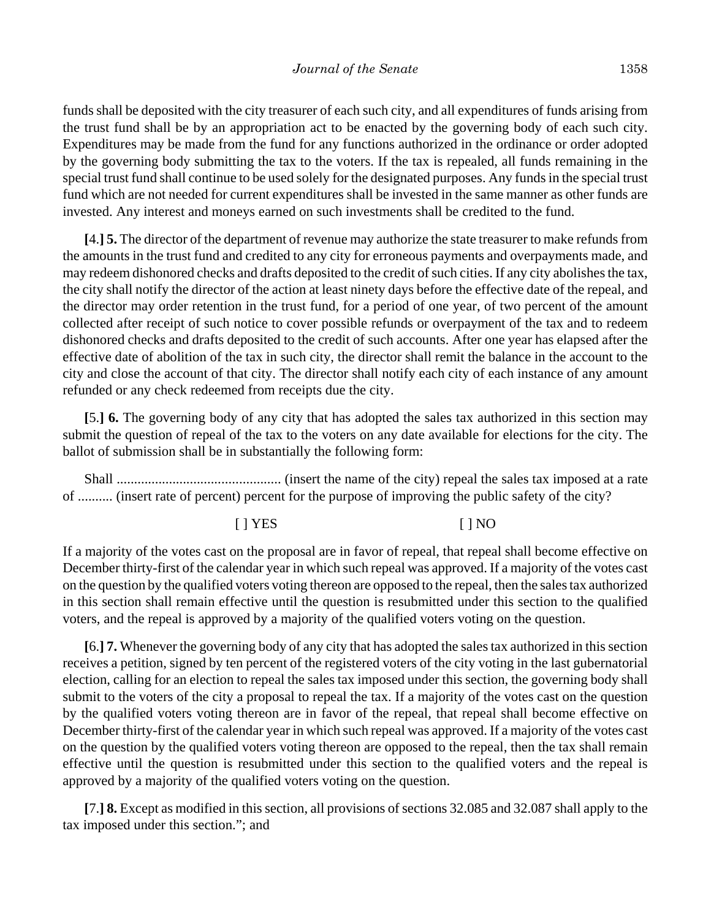funds shall be deposited with the city treasurer of each such city, and all expenditures of funds arising from the trust fund shall be by an appropriation act to be enacted by the governing body of each such city. Expenditures may be made from the fund for any functions authorized in the ordinance or order adopted by the governing body submitting the tax to the voters. If the tax is repealed, all funds remaining in the special trust fund shall continue to be used solely for the designated purposes. Any funds in the special trust fund which are not needed for current expenditures shall be invested in the same manner as other funds are invested. Any interest and moneys earned on such investments shall be credited to the fund.

**[**4.**] 5.** The director of the department of revenue may authorize the state treasurer to make refunds from the amounts in the trust fund and credited to any city for erroneous payments and overpayments made, and may redeem dishonored checks and drafts deposited to the credit of such cities. If any city abolishes the tax, the city shall notify the director of the action at least ninety days before the effective date of the repeal, and the director may order retention in the trust fund, for a period of one year, of two percent of the amount collected after receipt of such notice to cover possible refunds or overpayment of the tax and to redeem dishonored checks and drafts deposited to the credit of such accounts. After one year has elapsed after the effective date of abolition of the tax in such city, the director shall remit the balance in the account to the city and close the account of that city. The director shall notify each city of each instance of any amount refunded or any check redeemed from receipts due the city.

**[**5.**] 6.** The governing body of any city that has adopted the sales tax authorized in this section may submit the question of repeal of the tax to the voters on any date available for elections for the city. The ballot of submission shall be in substantially the following form:

Shall ............................................... (insert the name of the city) repeal the sales tax imposed at a rate of .......... (insert rate of percent) percent for the purpose of improving the public safety of the city?

[ ] YES [ ] NO

If a majority of the votes cast on the proposal are in favor of repeal, that repeal shall become effective on December thirty-first of the calendar year in which such repeal was approved. If a majority of the votes cast on the question by the qualified voters voting thereon are opposed to the repeal, then the sales tax authorized in this section shall remain effective until the question is resubmitted under this section to the qualified voters, and the repeal is approved by a majority of the qualified voters voting on the question.

**[**6.**] 7.** Whenever the governing body of any city that has adopted the sales tax authorized in this section receives a petition, signed by ten percent of the registered voters of the city voting in the last gubernatorial election, calling for an election to repeal the sales tax imposed under this section, the governing body shall submit to the voters of the city a proposal to repeal the tax. If a majority of the votes cast on the question by the qualified voters voting thereon are in favor of the repeal, that repeal shall become effective on December thirty-first of the calendar year in which such repeal was approved. If a majority of the votes cast on the question by the qualified voters voting thereon are opposed to the repeal, then the tax shall remain effective until the question is resubmitted under this section to the qualified voters and the repeal is approved by a majority of the qualified voters voting on the question.

**[**7.**] 8.** Except as modified in this section, all provisions of sections 32.085 and 32.087 shall apply to the tax imposed under this section."; and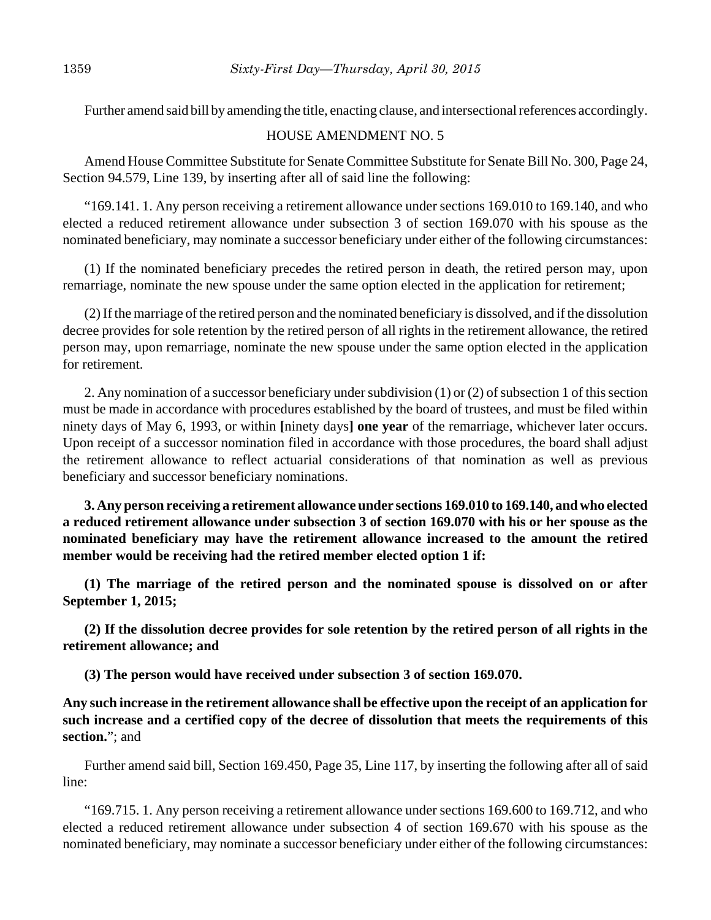Further amend said bill by amending the title, enacting clause, and intersectional references accordingly.

### HOUSE AMENDMENT NO. 5

Amend House Committee Substitute for Senate Committee Substitute for Senate Bill No. 300, Page 24, Section 94.579, Line 139, by inserting after all of said line the following:

"169.141. 1. Any person receiving a retirement allowance under sections 169.010 to 169.140, and who elected a reduced retirement allowance under subsection 3 of section 169.070 with his spouse as the nominated beneficiary, may nominate a successor beneficiary under either of the following circumstances:

(1) If the nominated beneficiary precedes the retired person in death, the retired person may, upon remarriage, nominate the new spouse under the same option elected in the application for retirement;

(2) If the marriage of the retired person and the nominated beneficiary is dissolved, and if the dissolution decree provides for sole retention by the retired person of all rights in the retirement allowance, the retired person may, upon remarriage, nominate the new spouse under the same option elected in the application for retirement.

2. Any nomination of a successor beneficiary under subdivision (1) or (2) of subsection 1 of this section must be made in accordance with procedures established by the board of trustees, and must be filed within ninety days of May 6, 1993, or within **[**ninety days**] one year** of the remarriage, whichever later occurs. Upon receipt of a successor nomination filed in accordance with those procedures, the board shall adjust the retirement allowance to reflect actuarial considerations of that nomination as well as previous beneficiary and successor beneficiary nominations.

**3. Any person receiving a retirement allowance under sections 169.010 to 169.140, and who elected a reduced retirement allowance under subsection 3 of section 169.070 with his or her spouse as the nominated beneficiary may have the retirement allowance increased to the amount the retired member would be receiving had the retired member elected option 1 if:**

**(1) The marriage of the retired person and the nominated spouse is dissolved on or after September 1, 2015;**

**(2) If the dissolution decree provides for sole retention by the retired person of all rights in the retirement allowance; and**

**(3) The person would have received under subsection 3 of section 169.070.**

**Any such increase in the retirement allowance shall be effective upon the receipt of an application for such increase and a certified copy of the decree of dissolution that meets the requirements of this section.**"; and

Further amend said bill, Section 169.450, Page 35, Line 117, by inserting the following after all of said line:

"169.715. 1. Any person receiving a retirement allowance under sections 169.600 to 169.712, and who elected a reduced retirement allowance under subsection 4 of section 169.670 with his spouse as the nominated beneficiary, may nominate a successor beneficiary under either of the following circumstances: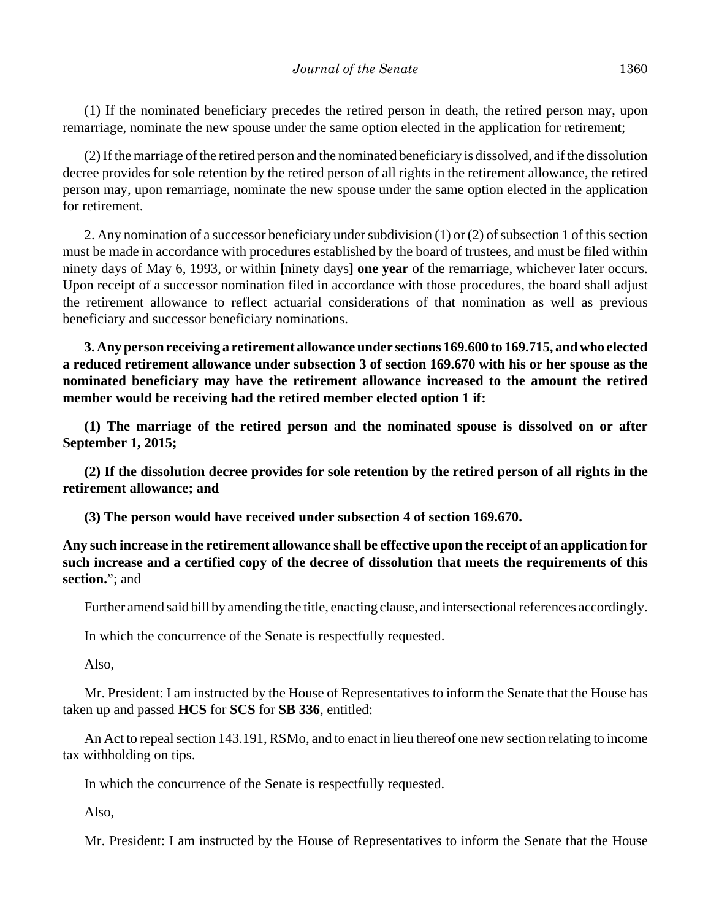(1) If the nominated beneficiary precedes the retired person in death, the retired person may, upon remarriage, nominate the new spouse under the same option elected in the application for retirement;

(2) If the marriage of the retired person and the nominated beneficiary is dissolved, and if the dissolution decree provides for sole retention by the retired person of all rights in the retirement allowance, the retired person may, upon remarriage, nominate the new spouse under the same option elected in the application for retirement.

2. Any nomination of a successor beneficiary under subdivision (1) or (2) of subsection 1 of this section must be made in accordance with procedures established by the board of trustees, and must be filed within ninety days of May 6, 1993, or within **[**ninety days**] one year** of the remarriage, whichever later occurs. Upon receipt of a successor nomination filed in accordance with those procedures, the board shall adjust the retirement allowance to reflect actuarial considerations of that nomination as well as previous beneficiary and successor beneficiary nominations.

**3. Any person receiving a retirement allowance under sections 169.600 to 169.715, and who elected a reduced retirement allowance under subsection 3 of section 169.670 with his or her spouse as the nominated beneficiary may have the retirement allowance increased to the amount the retired member would be receiving had the retired member elected option 1 if:**

**(1) The marriage of the retired person and the nominated spouse is dissolved on or after September 1, 2015;**

**(2) If the dissolution decree provides for sole retention by the retired person of all rights in the retirement allowance; and**

**(3) The person would have received under subsection 4 of section 169.670.**

**Any such increase in the retirement allowance shall be effective upon the receipt of an application for such increase and a certified copy of the decree of dissolution that meets the requirements of this section.**"; and

Further amend said bill by amending the title, enacting clause, and intersectional references accordingly.

In which the concurrence of the Senate is respectfully requested.

Also,

Mr. President: I am instructed by the House of Representatives to inform the Senate that the House has taken up and passed **HCS** for **SCS** for **SB 336**, entitled:

An Act to repeal section 143.191, RSMo, and to enact in lieu thereof one new section relating to income tax withholding on tips.

In which the concurrence of the Senate is respectfully requested.

Also,

Mr. President: I am instructed by the House of Representatives to inform the Senate that the House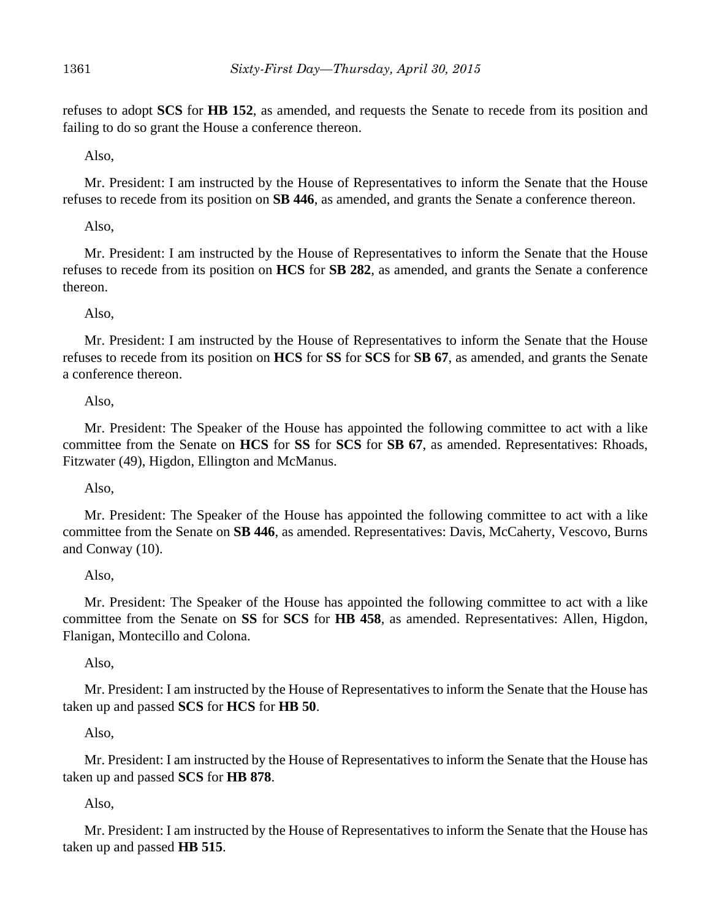refuses to adopt **SCS** for **HB 152**, as amended, and requests the Senate to recede from its position and failing to do so grant the House a conference thereon.

Also,

Mr. President: I am instructed by the House of Representatives to inform the Senate that the House refuses to recede from its position on **SB 446**, as amended, and grants the Senate a conference thereon.

Also,

Mr. President: I am instructed by the House of Representatives to inform the Senate that the House refuses to recede from its position on **HCS** for **SB 282**, as amended, and grants the Senate a conference thereon.

Also,

Mr. President: I am instructed by the House of Representatives to inform the Senate that the House refuses to recede from its position on **HCS** for **SS** for **SCS** for **SB 67**, as amended, and grants the Senate a conference thereon.

Also,

Mr. President: The Speaker of the House has appointed the following committee to act with a like committee from the Senate on **HCS** for **SS** for **SCS** for **SB 67**, as amended. Representatives: Rhoads, Fitzwater (49), Higdon, Ellington and McManus.

Also,

Mr. President: The Speaker of the House has appointed the following committee to act with a like committee from the Senate on **SB 446**, as amended. Representatives: Davis, McCaherty, Vescovo, Burns and Conway (10).

Also,

Mr. President: The Speaker of the House has appointed the following committee to act with a like committee from the Senate on **SS** for **SCS** for **HB 458**, as amended. Representatives: Allen, Higdon, Flanigan, Montecillo and Colona.

Also,

Mr. President: I am instructed by the House of Representatives to inform the Senate that the House has taken up and passed **SCS** for **HCS** for **HB 50**.

Also,

Mr. President: I am instructed by the House of Representatives to inform the Senate that the House has taken up and passed **SCS** for **HB 878**.

Also,

Mr. President: I am instructed by the House of Representatives to inform the Senate that the House has taken up and passed **HB 515**.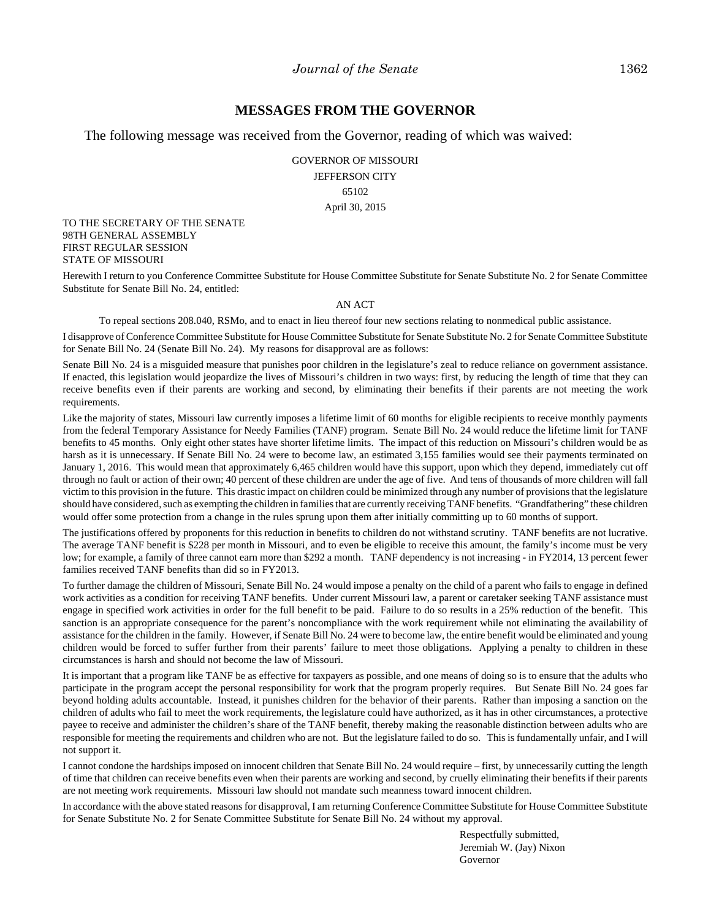#### **MESSAGES FROM THE GOVERNOR**

The following message was received from the Governor, reading of which was waived:

GOVERNOR OF MISSOURI JEFFERSON CITY 65102 April 30, 2015

TO THE SECRETARY OF THE SENATE 98TH GENERAL ASSEMBLY FIRST REGULAR SESSION STATE OF MISSOURI

Herewith I return to you Conference Committee Substitute for House Committee Substitute for Senate Substitute No. 2 for Senate Committee Substitute for Senate Bill No. 24, entitled:

#### AN ACT

To repeal sections 208.040, RSMo, and to enact in lieu thereof four new sections relating to nonmedical public assistance.

I disapprove of Conference Committee Substitute for House Committee Substitute for Senate Substitute No. 2 for Senate Committee Substitute for Senate Bill No. 24 (Senate Bill No. 24). My reasons for disapproval are as follows:

Senate Bill No. 24 is a misguided measure that punishes poor children in the legislature's zeal to reduce reliance on government assistance. If enacted, this legislation would jeopardize the lives of Missouri's children in two ways: first, by reducing the length of time that they can receive benefits even if their parents are working and second, by eliminating their benefits if their parents are not meeting the work requirements.

Like the majority of states, Missouri law currently imposes a lifetime limit of 60 months for eligible recipients to receive monthly payments from the federal Temporary Assistance for Needy Families (TANF) program. Senate Bill No. 24 would reduce the lifetime limit for TANF benefits to 45 months. Only eight other states have shorter lifetime limits. The impact of this reduction on Missouri's children would be as harsh as it is unnecessary. If Senate Bill No. 24 were to become law, an estimated 3,155 families would see their payments terminated on January 1, 2016. This would mean that approximately 6,465 children would have this support, upon which they depend, immediately cut off through no fault or action of their own; 40 percent of these children are under the age of five. And tens of thousands of more children will fall victim to this provision in the future. This drastic impact on children could be minimized through any number of provisions that the legislature should have considered, such as exempting the children in families that are currently receiving TANF benefits. "Grandfathering" these children would offer some protection from a change in the rules sprung upon them after initially committing up to 60 months of support.

The justifications offered by proponents for this reduction in benefits to children do not withstand scrutiny. TANF benefits are not lucrative. The average TANF benefit is \$228 per month in Missouri, and to even be eligible to receive this amount, the family's income must be very low; for example, a family of three cannot earn more than \$292 a month. TANF dependency is not increasing - in FY2014, 13 percent fewer families received TANF benefits than did so in FY2013.

To further damage the children of Missouri, Senate Bill No. 24 would impose a penalty on the child of a parent who fails to engage in defined work activities as a condition for receiving TANF benefits. Under current Missouri law, a parent or caretaker seeking TANF assistance must engage in specified work activities in order for the full benefit to be paid. Failure to do so results in a 25% reduction of the benefit. This sanction is an appropriate consequence for the parent's noncompliance with the work requirement while not eliminating the availability of assistance for the children in the family. However, if Senate Bill No. 24 were to become law, the entire benefit would be eliminated and young children would be forced to suffer further from their parents' failure to meet those obligations. Applying a penalty to children in these circumstances is harsh and should not become the law of Missouri.

It is important that a program like TANF be as effective for taxpayers as possible, and one means of doing so is to ensure that the adults who participate in the program accept the personal responsibility for work that the program properly requires. But Senate Bill No. 24 goes far beyond holding adults accountable. Instead, it punishes children for the behavior of their parents. Rather than imposing a sanction on the children of adults who fail to meet the work requirements, the legislature could have authorized, as it has in other circumstances, a protective payee to receive and administer the children's share of the TANF benefit, thereby making the reasonable distinction between adults who are responsible for meeting the requirements and children who are not. But the legislature failed to do so. This is fundamentally unfair, and I will not support it.

I cannot condone the hardships imposed on innocent children that Senate Bill No. 24 would require – first, by unnecessarily cutting the length of time that children can receive benefits even when their parents are working and second, by cruelly eliminating their benefits if their parents are not meeting work requirements. Missouri law should not mandate such meanness toward innocent children.

In accordance with the above stated reasons for disapproval, I am returning Conference Committee Substitute for House Committee Substitute for Senate Substitute No. 2 for Senate Committee Substitute for Senate Bill No. 24 without my approval.

> Respectfully submitted, Jeremiah W. (Jay) Nixon Governor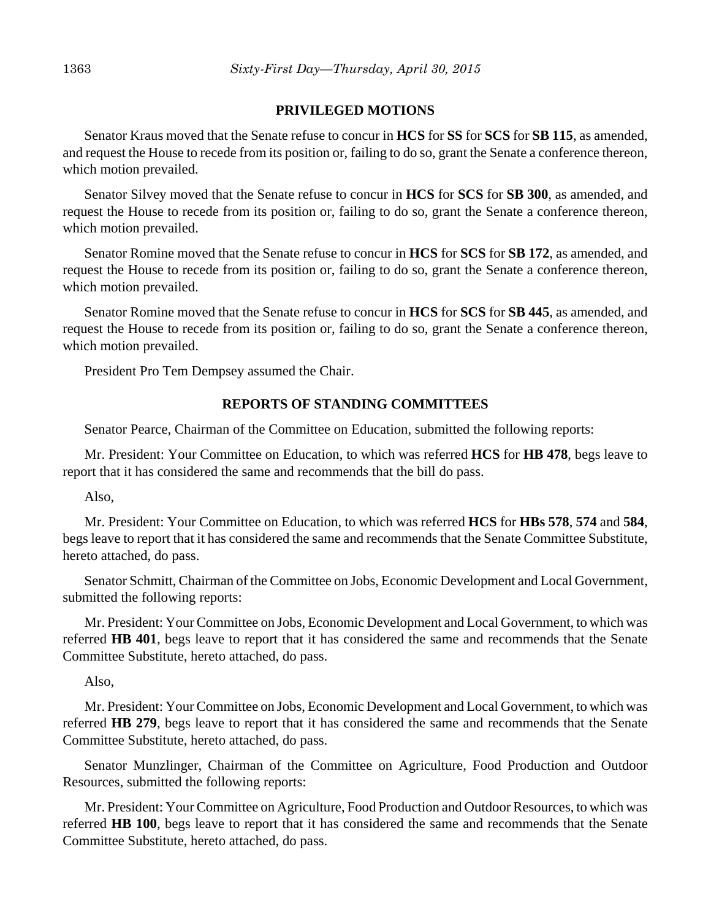### **PRIVILEGED MOTIONS**

Senator Kraus moved that the Senate refuse to concur in **HCS** for **SS** for **SCS** for **SB 115**, as amended, and request the House to recede from its position or, failing to do so, grant the Senate a conference thereon, which motion prevailed.

Senator Silvey moved that the Senate refuse to concur in **HCS** for **SCS** for **SB 300**, as amended, and request the House to recede from its position or, failing to do so, grant the Senate a conference thereon, which motion prevailed.

Senator Romine moved that the Senate refuse to concur in **HCS** for **SCS** for **SB 172**, as amended, and request the House to recede from its position or, failing to do so, grant the Senate a conference thereon, which motion prevailed.

Senator Romine moved that the Senate refuse to concur in **HCS** for **SCS** for **SB 445**, as amended, and request the House to recede from its position or, failing to do so, grant the Senate a conference thereon, which motion prevailed.

President Pro Tem Dempsey assumed the Chair.

### **REPORTS OF STANDING COMMITTEES**

Senator Pearce, Chairman of the Committee on Education, submitted the following reports:

Mr. President: Your Committee on Education, to which was referred **HCS** for **HB 478**, begs leave to report that it has considered the same and recommends that the bill do pass.

Also,

Mr. President: Your Committee on Education, to which was referred **HCS** for **HBs 578**, **574** and **584**, begs leave to report that it has considered the same and recommends that the Senate Committee Substitute, hereto attached, do pass.

Senator Schmitt, Chairman of the Committee on Jobs, Economic Development and Local Government, submitted the following reports:

Mr. President: Your Committee on Jobs, Economic Development and Local Government, to which was referred **HB 401**, begs leave to report that it has considered the same and recommends that the Senate Committee Substitute, hereto attached, do pass.

Also,

Mr. President: Your Committee on Jobs, Economic Development and Local Government, to which was referred **HB 279**, begs leave to report that it has considered the same and recommends that the Senate Committee Substitute, hereto attached, do pass.

Senator Munzlinger, Chairman of the Committee on Agriculture, Food Production and Outdoor Resources, submitted the following reports:

Mr. President: Your Committee on Agriculture, Food Production and Outdoor Resources, to which was referred **HB 100**, begs leave to report that it has considered the same and recommends that the Senate Committee Substitute, hereto attached, do pass.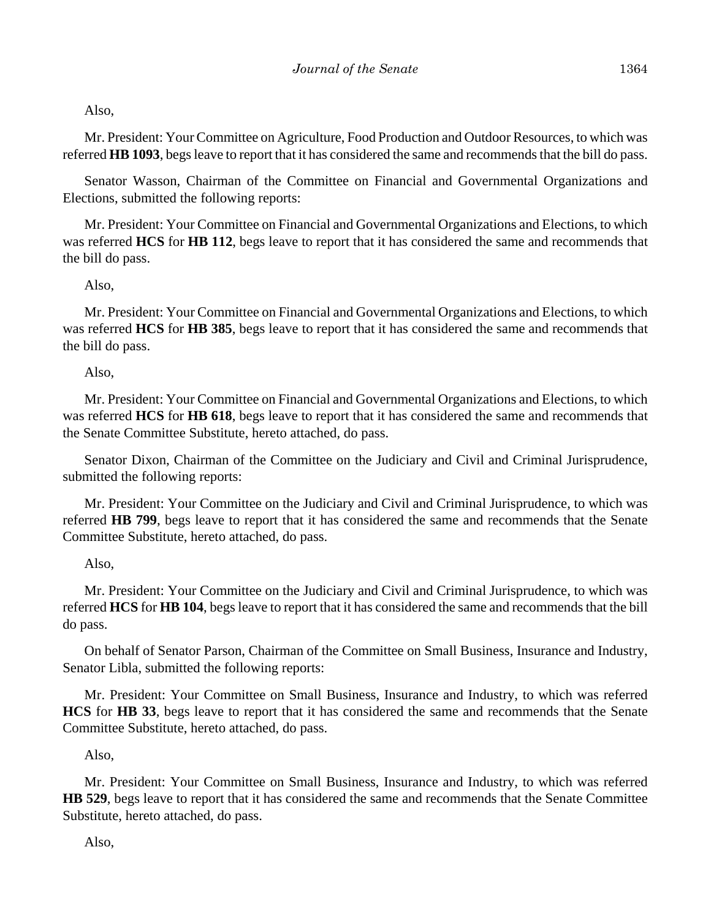Also,

Mr. President: Your Committee on Agriculture, Food Production and Outdoor Resources, to which was referred **HB 1093**, begs leave to report that it has considered the same and recommends that the bill do pass.

Senator Wasson, Chairman of the Committee on Financial and Governmental Organizations and Elections, submitted the following reports:

Mr. President: Your Committee on Financial and Governmental Organizations and Elections, to which was referred **HCS** for **HB 112**, begs leave to report that it has considered the same and recommends that the bill do pass.

### Also,

Mr. President: Your Committee on Financial and Governmental Organizations and Elections, to which was referred **HCS** for **HB 385**, begs leave to report that it has considered the same and recommends that the bill do pass.

### Also,

Mr. President: Your Committee on Financial and Governmental Organizations and Elections, to which was referred **HCS** for **HB 618**, begs leave to report that it has considered the same and recommends that the Senate Committee Substitute, hereto attached, do pass.

Senator Dixon, Chairman of the Committee on the Judiciary and Civil and Criminal Jurisprudence, submitted the following reports:

Mr. President: Your Committee on the Judiciary and Civil and Criminal Jurisprudence, to which was referred **HB 799**, begs leave to report that it has considered the same and recommends that the Senate Committee Substitute, hereto attached, do pass.

Also,

Mr. President: Your Committee on the Judiciary and Civil and Criminal Jurisprudence, to which was referred **HCS** for **HB 104**, begs leave to report that it has considered the same and recommends that the bill do pass.

On behalf of Senator Parson, Chairman of the Committee on Small Business, Insurance and Industry, Senator Libla, submitted the following reports:

Mr. President: Your Committee on Small Business, Insurance and Industry, to which was referred **HCS** for **HB 33**, begs leave to report that it has considered the same and recommends that the Senate Committee Substitute, hereto attached, do pass.

Also,

Mr. President: Your Committee on Small Business, Insurance and Industry, to which was referred **HB 529**, begs leave to report that it has considered the same and recommends that the Senate Committee Substitute, hereto attached, do pass.

Also,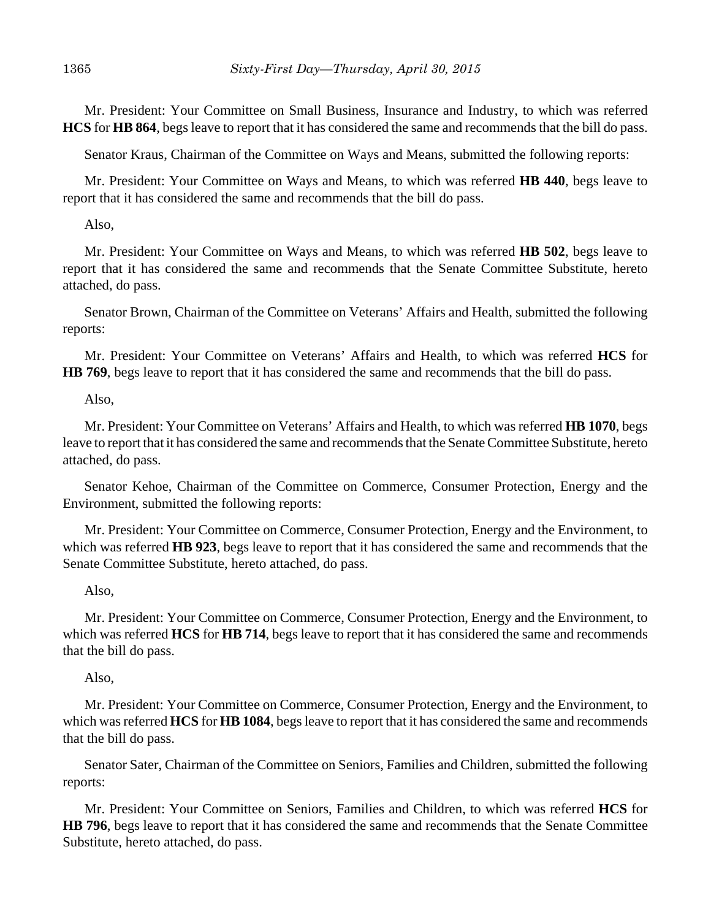Mr. President: Your Committee on Small Business, Insurance and Industry, to which was referred **HCS** for **HB 864**, begs leave to report that it has considered the same and recommends that the bill do pass.

Senator Kraus, Chairman of the Committee on Ways and Means, submitted the following reports:

Mr. President: Your Committee on Ways and Means, to which was referred **HB 440**, begs leave to report that it has considered the same and recommends that the bill do pass.

Also,

Mr. President: Your Committee on Ways and Means, to which was referred **HB 502**, begs leave to report that it has considered the same and recommends that the Senate Committee Substitute, hereto attached, do pass.

Senator Brown, Chairman of the Committee on Veterans' Affairs and Health, submitted the following reports:

Mr. President: Your Committee on Veterans' Affairs and Health, to which was referred **HCS** for **HB 769**, begs leave to report that it has considered the same and recommends that the bill do pass.

Also,

Mr. President: Your Committee on Veterans' Affairs and Health, to which was referred **HB 1070**, begs leave to report that it has considered the same and recommends that the Senate Committee Substitute, hereto attached, do pass.

Senator Kehoe, Chairman of the Committee on Commerce, Consumer Protection, Energy and the Environment, submitted the following reports:

Mr. President: Your Committee on Commerce, Consumer Protection, Energy and the Environment, to which was referred **HB 923**, begs leave to report that it has considered the same and recommends that the Senate Committee Substitute, hereto attached, do pass.

### Also,

Mr. President: Your Committee on Commerce, Consumer Protection, Energy and the Environment, to which was referred **HCS** for **HB 714**, begs leave to report that it has considered the same and recommends that the bill do pass.

Also,

Mr. President: Your Committee on Commerce, Consumer Protection, Energy and the Environment, to which was referred **HCS** for **HB 1084**, begs leave to report that it has considered the same and recommends that the bill do pass.

Senator Sater, Chairman of the Committee on Seniors, Families and Children, submitted the following reports:

Mr. President: Your Committee on Seniors, Families and Children, to which was referred **HCS** for **HB 796**, begs leave to report that it has considered the same and recommends that the Senate Committee Substitute, hereto attached, do pass.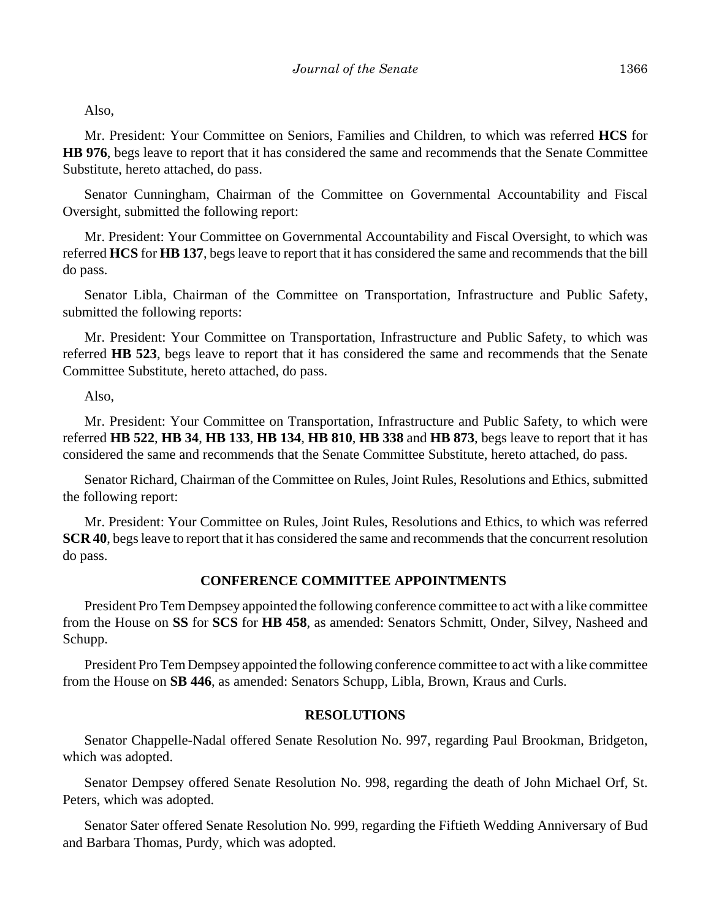Also,

Mr. President: Your Committee on Seniors, Families and Children, to which was referred **HCS** for **HB 976**, begs leave to report that it has considered the same and recommends that the Senate Committee Substitute, hereto attached, do pass.

Senator Cunningham, Chairman of the Committee on Governmental Accountability and Fiscal Oversight, submitted the following report:

Mr. President: Your Committee on Governmental Accountability and Fiscal Oversight, to which was referred **HCS** for **HB 137**, begs leave to report that it has considered the same and recommends that the bill do pass.

Senator Libla, Chairman of the Committee on Transportation, Infrastructure and Public Safety, submitted the following reports:

Mr. President: Your Committee on Transportation, Infrastructure and Public Safety, to which was referred **HB 523**, begs leave to report that it has considered the same and recommends that the Senate Committee Substitute, hereto attached, do pass.

Also,

Mr. President: Your Committee on Transportation, Infrastructure and Public Safety, to which were referred **HB 522**, **HB 34**, **HB 133**, **HB 134**, **HB 810**, **HB 338** and **HB 873**, begs leave to report that it has considered the same and recommends that the Senate Committee Substitute, hereto attached, do pass.

Senator Richard, Chairman of the Committee on Rules, Joint Rules, Resolutions and Ethics, submitted the following report:

Mr. President: Your Committee on Rules, Joint Rules, Resolutions and Ethics, to which was referred **SCR 40**, begs leave to report that it has considered the same and recommends that the concurrent resolution do pass.

### **CONFERENCE COMMITTEE APPOINTMENTS**

President Pro Tem Dempsey appointed the following conference committee to act with a like committee from the House on **SS** for **SCS** for **HB 458**, as amended: Senators Schmitt, Onder, Silvey, Nasheed and Schupp.

President Pro Tem Dempsey appointed the following conference committee to act with a like committee from the House on **SB 446**, as amended: Senators Schupp, Libla, Brown, Kraus and Curls.

#### **RESOLUTIONS**

Senator Chappelle-Nadal offered Senate Resolution No. 997, regarding Paul Brookman, Bridgeton, which was adopted.

Senator Dempsey offered Senate Resolution No. 998, regarding the death of John Michael Orf, St. Peters, which was adopted.

Senator Sater offered Senate Resolution No. 999, regarding the Fiftieth Wedding Anniversary of Bud and Barbara Thomas, Purdy, which was adopted.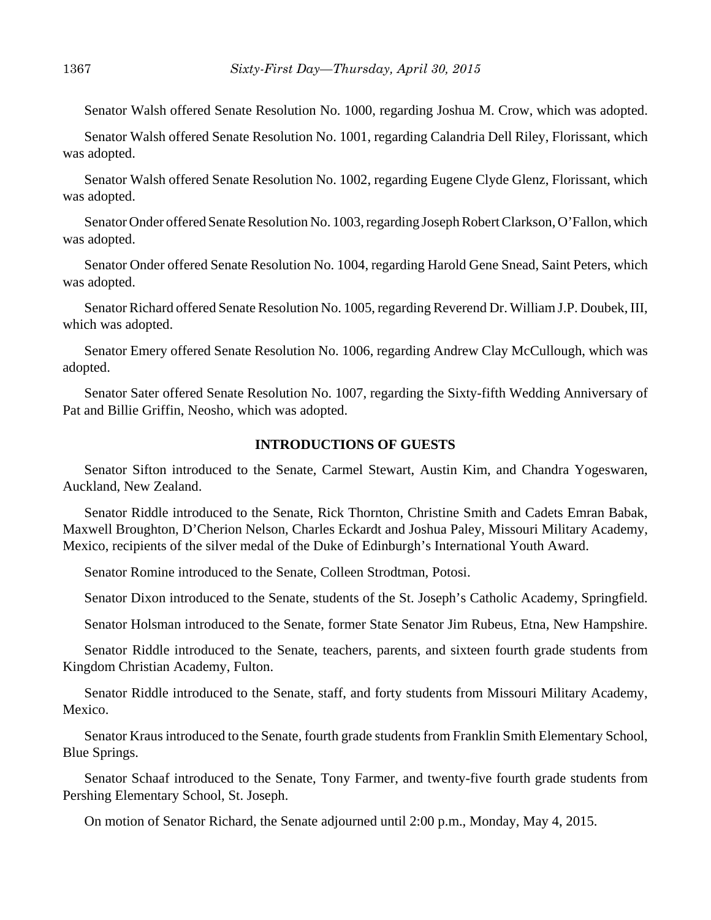Senator Walsh offered Senate Resolution No. 1000, regarding Joshua M. Crow, which was adopted.

Senator Walsh offered Senate Resolution No. 1001, regarding Calandria Dell Riley, Florissant, which was adopted.

Senator Walsh offered Senate Resolution No. 1002, regarding Eugene Clyde Glenz, Florissant, which was adopted.

Senator Onder offered Senate Resolution No. 1003, regarding Joseph Robert Clarkson, O'Fallon, which was adopted.

Senator Onder offered Senate Resolution No. 1004, regarding Harold Gene Snead, Saint Peters, which was adopted.

Senator Richard offered Senate Resolution No. 1005, regarding Reverend Dr. William J.P. Doubek, III, which was adopted.

Senator Emery offered Senate Resolution No. 1006, regarding Andrew Clay McCullough, which was adopted.

Senator Sater offered Senate Resolution No. 1007, regarding the Sixty-fifth Wedding Anniversary of Pat and Billie Griffin, Neosho, which was adopted.

#### **INTRODUCTIONS OF GUESTS**

Senator Sifton introduced to the Senate, Carmel Stewart, Austin Kim, and Chandra Yogeswaren, Auckland, New Zealand.

Senator Riddle introduced to the Senate, Rick Thornton, Christine Smith and Cadets Emran Babak, Maxwell Broughton, D'Cherion Nelson, Charles Eckardt and Joshua Paley, Missouri Military Academy, Mexico, recipients of the silver medal of the Duke of Edinburgh's International Youth Award.

Senator Romine introduced to the Senate, Colleen Strodtman, Potosi.

Senator Dixon introduced to the Senate, students of the St. Joseph's Catholic Academy, Springfield.

Senator Holsman introduced to the Senate, former State Senator Jim Rubeus, Etna, New Hampshire.

Senator Riddle introduced to the Senate, teachers, parents, and sixteen fourth grade students from Kingdom Christian Academy, Fulton.

Senator Riddle introduced to the Senate, staff, and forty students from Missouri Military Academy, Mexico.

Senator Kraus introduced to the Senate, fourth grade students from Franklin Smith Elementary School, Blue Springs.

Senator Schaaf introduced to the Senate, Tony Farmer, and twenty-five fourth grade students from Pershing Elementary School, St. Joseph.

On motion of Senator Richard, the Senate adjourned until 2:00 p.m., Monday, May 4, 2015.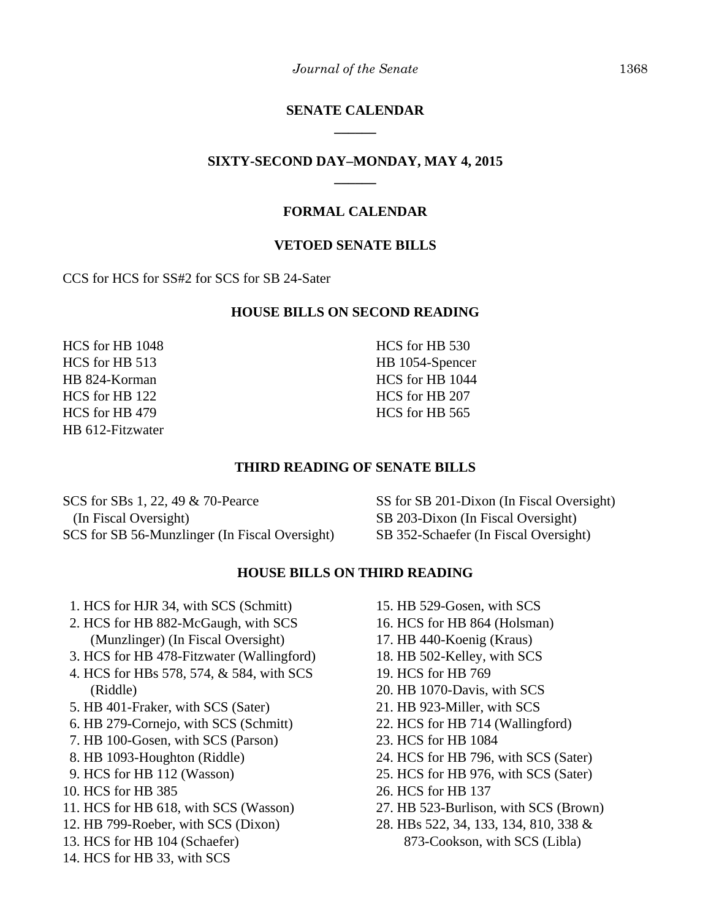### **SENATE CALENDAR \_\_\_\_\_\_**

### **SIXTY-SECOND DAY–MONDAY, MAY 4, 2015 \_\_\_\_\_\_**

### **FORMAL CALENDAR**

#### **VETOED SENATE BILLS**

CCS for HCS for SS#2 for SCS for SB 24-Sater

#### **HOUSE BILLS ON SECOND READING**

HCS for HB 1048 HCS for HB 513 HB 824-Korman HCS for HB 122 HCS for HB 479 HB 612-Fitzwater HCS for HB 530 HB 1054-Spencer HCS for HB 1044 HCS for HB 207 HCS for HB 565

#### **THIRD READING OF SENATE BILLS**

SCS for SBs 1, 22, 49 & 70-Pearce (In Fiscal Oversight) SCS for SB 56-Munzlinger (In Fiscal Oversight)

SS for SB 201-Dixon (In Fiscal Oversight) SB 203-Dixon (In Fiscal Oversight) SB 352-Schaefer (In Fiscal Oversight)

#### **HOUSE BILLS ON THIRD READING**

- 1. HCS for HJR 34, with SCS (Schmitt)
- 2. HCS for HB 882-McGaugh, with SCS (Munzlinger) (In Fiscal Oversight)
- 3. HCS for HB 478-Fitzwater (Wallingford)
- 4. HCS for HBs 578, 574, & 584, with SCS (Riddle)
- 5. HB 401-Fraker, with SCS (Sater)
- 6. HB 279-Cornejo, with SCS (Schmitt)
- 7. HB 100-Gosen, with SCS (Parson)
- 8. HB 1093-Houghton (Riddle)
- 9. HCS for HB 112 (Wasson)
- 10. HCS for HB 385
- 11. HCS for HB 618, with SCS (Wasson)
- 12. HB 799-Roeber, with SCS (Dixon)
- 13. HCS for HB 104 (Schaefer)
- 14. HCS for HB 33, with SCS
- 15. HB 529-Gosen, with SCS
- 16. HCS for HB 864 (Holsman)
- 17. HB 440-Koenig (Kraus)
- 18. HB 502-Kelley, with SCS
- 19. HCS for HB 769
- 20. HB 1070-Davis, with SCS
- 21. HB 923-Miller, with SCS
- 22. HCS for HB 714 (Wallingford)
- 23. HCS for HB 1084
- 24. HCS for HB 796, with SCS (Sater)
- 25. HCS for HB 976, with SCS (Sater)
- 26. HCS for HB 137
- 27. HB 523-Burlison, with SCS (Brown)
- 28. HBs 522, 34, 133, 134, 810, 338 & 873-Cookson, with SCS (Libla)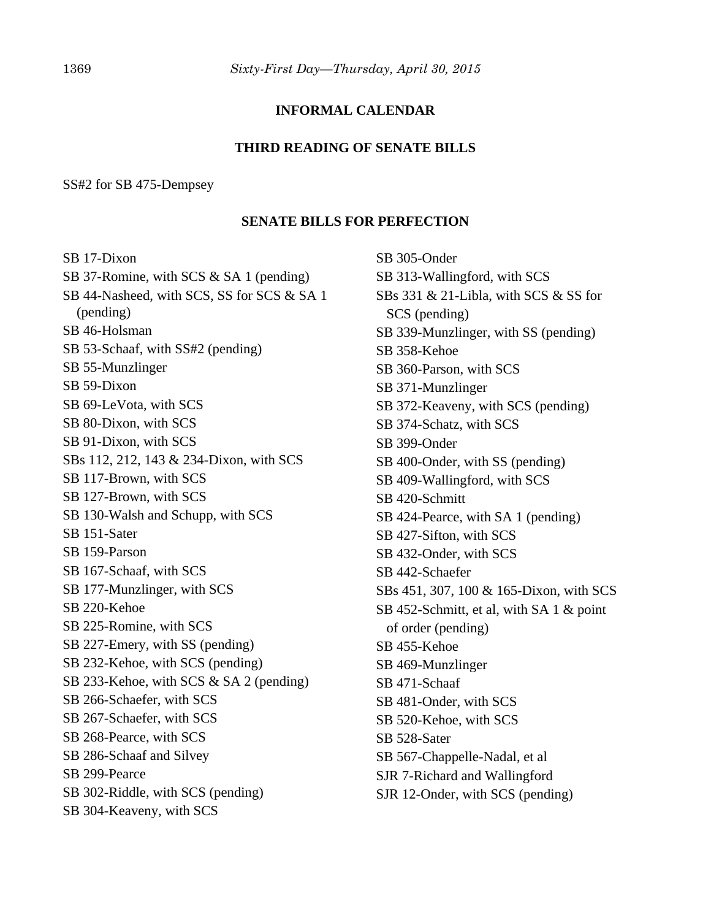### **INFORMAL CALENDAR**

#### **THIRD READING OF SENATE BILLS**

#### SS#2 for SB 475-Dempsey

#### **SENATE BILLS FOR PERFECTION**

SB 17-Dixon SB 37-Romine, with SCS & SA 1 (pending) SB 44-Nasheed, with SCS, SS for SCS & SA 1 (pending) SB 46-Holsman SB 53-Schaaf, with SS#2 (pending) SB 55-Munzlinger SB 59-Dixon SB 69-LeVota, with SCS SB 80-Dixon, with SCS SB 91-Dixon, with SCS SBs 112, 212, 143 & 234-Dixon, with SCS SB 117-Brown, with SCS SB 127-Brown, with SCS SB 130-Walsh and Schupp, with SCS SB 151-Sater SB 159-Parson SB 167-Schaaf, with SCS SB 177-Munzlinger, with SCS SB 220-Kehoe SB 225-Romine, with SCS SB 227-Emery, with SS (pending) SB 232-Kehoe, with SCS (pending) SB 233-Kehoe, with SCS & SA 2 (pending) SB 266-Schaefer, with SCS SB 267-Schaefer, with SCS SB 268-Pearce, with SCS SB 286-Schaaf and Silvey SB 299-Pearce SB 302-Riddle, with SCS (pending) SB 304-Keaveny, with SCS

SB 305-Onder SB 313-Wallingford, with SCS SBs 331 & 21-Libla, with SCS & SS for SCS (pending) SB 339-Munzlinger, with SS (pending) SB 358-Kehoe SB 360-Parson, with SCS SB 371-Munzlinger SB 372-Keaveny, with SCS (pending) SB 374-Schatz, with SCS SB 399-Onder SB 400-Onder, with SS (pending) SB 409-Wallingford, with SCS SB 420-Schmitt SB 424-Pearce, with SA 1 (pending) SB 427-Sifton, with SCS SB 432-Onder, with SCS SB 442-Schaefer SBs 451, 307, 100 & 165-Dixon, with SCS SB 452-Schmitt, et al, with SA 1 & point of order (pending) SB 455-Kehoe SB 469-Munzlinger SB 471-Schaaf SB 481-Onder, with SCS SB 520-Kehoe, with SCS SB 528-Sater SB 567-Chappelle-Nadal, et al SJR 7-Richard and Wallingford SJR 12-Onder, with SCS (pending)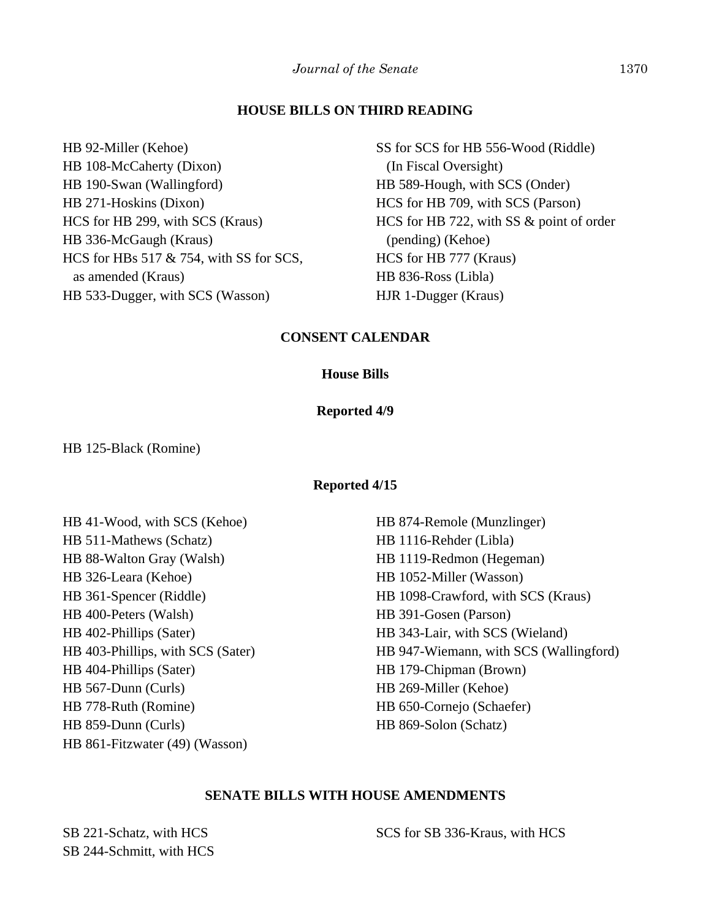#### **HOUSE BILLS ON THIRD READING**

HB 92-Miller (Kehoe)

HB 108-McCaherty (Dixon) HB 190-Swan (Wallingford) HB 271-Hoskins (Dixon) HCS for HB 299, with SCS (Kraus) HB 336-McGaugh (Kraus) HCS for HBs 517 & 754, with SS for SCS, as amended (Kraus) HB 533-Dugger, with SCS (Wasson)

SS for SCS for HB 556-Wood (Riddle) (In Fiscal Oversight) HB 589-Hough, with SCS (Onder) HCS for HB 709, with SCS (Parson) HCS for HB 722, with SS & point of order (pending) (Kehoe) HCS for HB 777 (Kraus) HB 836-Ross (Libla) HJR 1-Dugger (Kraus)

### **CONSENT CALENDAR**

#### **House Bills**

#### **Reported 4/9**

HB 125-Black (Romine)

#### **Reported 4/15**

HB 41-Wood, with SCS (Kehoe) HB 511-Mathews (Schatz) HB 88-Walton Gray (Walsh) HB 326-Leara (Kehoe) HB 361-Spencer (Riddle) HB 400-Peters (Walsh) HB 402-Phillips (Sater) HB 403-Phillips, with SCS (Sater) HB 404-Phillips (Sater) HB 567-Dunn (Curls) HB 778-Ruth (Romine) HB 859-Dunn (Curls) HB 861-Fitzwater (49) (Wasson)

HB 874-Remole (Munzlinger) HB 1116-Rehder (Libla) HB 1119-Redmon (Hegeman) HB 1052-Miller (Wasson) HB 1098-Crawford, with SCS (Kraus) HB 391-Gosen (Parson) HB 343-Lair, with SCS (Wieland) HB 947-Wiemann, with SCS (Wallingford) HB 179-Chipman (Brown) HB 269-Miller (Kehoe) HB 650-Cornejo (Schaefer) HB 869-Solon (Schatz)

#### **SENATE BILLS WITH HOUSE AMENDMENTS**

SB 221-Schatz, with HCS SB 244-Schmitt, with HCS SCS for SB 336-Kraus, with HCS